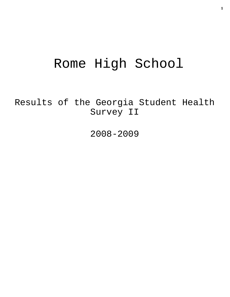# Rome High School

Results of the Georgia Student Health Survey II

2008-2009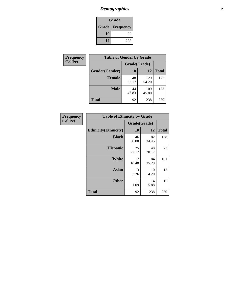# *Demographics* **2**

| Grade                    |     |  |  |
|--------------------------|-----|--|--|
| <b>Grade   Frequency</b> |     |  |  |
| 10                       | 92  |  |  |
| 12                       | 238 |  |  |

| Frequency      | <b>Table of Gender by Grade</b> |              |              |              |  |
|----------------|---------------------------------|--------------|--------------|--------------|--|
| <b>Col Pct</b> |                                 | Grade(Grade) |              |              |  |
|                | Gender(Gender)                  | 10           | 12           | <b>Total</b> |  |
|                | <b>Female</b>                   | 48<br>52.17  | 129<br>54.20 | 177          |  |
|                | <b>Male</b>                     | 44<br>47.83  | 109<br>45.80 | 153          |  |
|                | <b>Total</b>                    | 92           | 238          | 330          |  |

| Frequency<br>Col Pct |
|----------------------|

| <b>Table of Ethnicity by Grade</b> |              |             |              |  |  |  |
|------------------------------------|--------------|-------------|--------------|--|--|--|
|                                    | Grade(Grade) |             |              |  |  |  |
| <b>Ethnicity</b> (Ethnicity)       | 10           | 12          | <b>Total</b> |  |  |  |
| <b>Black</b>                       | 46<br>50.00  | 82<br>34.45 | 128          |  |  |  |
| <b>Hispanic</b>                    | 25<br>27.17  | 48<br>20.17 | 73           |  |  |  |
| White                              | 17<br>18.48  | 84<br>35.29 | 101          |  |  |  |
| Asian                              | 3<br>3.26    | 10<br>4.20  | 13           |  |  |  |
| <b>Other</b>                       | 1<br>1.09    | 14<br>5.88  | 15           |  |  |  |
| <b>Total</b>                       | 92           | 238         | 330          |  |  |  |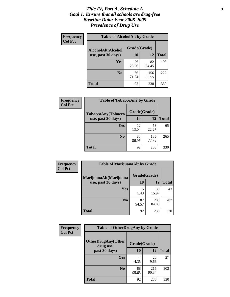### *Title IV, Part A, Schedule A* **3** *Goal 1: Ensure that all schools are drug-free Baseline Data: Year 2008-2009 Prevalence of Drug Use*

| Frequency<br><b>Col Pct</b> | <b>Table of AlcoholAlt by Grade</b> |              |              |              |  |
|-----------------------------|-------------------------------------|--------------|--------------|--------------|--|
|                             | AlcoholAlt(Alcohol                  | Grade(Grade) |              |              |  |
|                             | use, past 30 days)                  | 10           | 12           | <b>Total</b> |  |
|                             | Yes                                 | 26<br>28.26  | 82<br>34.45  | 108          |  |
|                             | N <sub>0</sub>                      | 66<br>71.74  | 156<br>65.55 | 222          |  |
|                             | Total                               | 92           | 238          | 330          |  |

| Frequency      | <b>Table of TobaccoAny by Grade</b> |              |              |              |
|----------------|-------------------------------------|--------------|--------------|--------------|
| <b>Col Pct</b> | TobaccoAny(Tobacco                  | Grade(Grade) |              |              |
|                | use, past 30 days)                  | 10           | 12           | <b>Total</b> |
|                | Yes                                 | 12<br>13.04  | 53<br>22.27  | 65           |
|                | N <sub>0</sub>                      | 80<br>86.96  | 185<br>77.73 | 265          |
|                | <b>Total</b>                        | 92           | 238          | 330          |

| Frequency      | <b>Table of MarijuanaAlt by Grade</b> |              |                     |              |  |
|----------------|---------------------------------------|--------------|---------------------|--------------|--|
| <b>Col Pct</b> | MarijuanaAlt(Marijuana                | Grade(Grade) |                     |              |  |
|                | use, past 30 days)                    | 10           | 12                  | <b>Total</b> |  |
|                | Yes                                   | 5<br>5.43    | 38<br>15.97         | 43           |  |
|                | N <sub>0</sub>                        | 87<br>94.57  | <b>200</b><br>84.03 | 287          |  |
|                | <b>Total</b>                          | 92           | 238                 | 330          |  |

| Frequency<br><b>Col Pct</b> | <b>Table of OtherDrugAny by Grade</b>  |              |              |              |  |
|-----------------------------|----------------------------------------|--------------|--------------|--------------|--|
|                             | <b>OtherDrugAny(Other</b><br>drug use, | Grade(Grade) |              |              |  |
|                             | past 30 days)                          | 10           | <b>12</b>    | <b>Total</b> |  |
|                             | Yes                                    | 4<br>4.35    | 23<br>9.66   | 27           |  |
|                             | N <sub>0</sub>                         | 88<br>95.65  | 215<br>90.34 | 303          |  |
|                             | <b>Total</b>                           | 92           | 238          | 330          |  |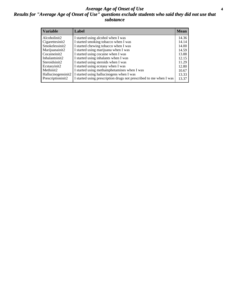### *Average Age of Onset of Use* **4** *Results for "Average Age of Onset of Use" questions exclude students who said they did not use that substance*

| <b>Variable</b>                         | Label                                                                                                          | <b>Mean</b>    |
|-----------------------------------------|----------------------------------------------------------------------------------------------------------------|----------------|
| Alcoholinit2<br>Cigarettesinit2         | I started using alcohol when I was<br>I started smoking tobacco when I was                                     | 14.36<br>14.14 |
| Smokelessinit2                          | I started chewing tobacco when I was                                                                           | 14.00          |
| Marijuanainit2<br>Cocaineinit2          | I started using marijuana when I was<br>I started using cocaine when I was                                     | 14.59<br>13.88 |
| Inhalantsinit2                          | I started using inhalants when I was                                                                           | 12.15          |
| Steroidsinit2                           | I started using steroids when I was                                                                            | 11.29          |
| Ecstasyinit2                            | I started using ecstasy when I was                                                                             | 12.80          |
| Methinit2                               | I started using methamphetamines when I was                                                                    | 10.67          |
| Hallucinogensinit2<br>Prescriptioninit2 | I started using hallucinogens when I was<br>I started using prescription drugs not prescribed to me when I was | 13.33<br>13.37 |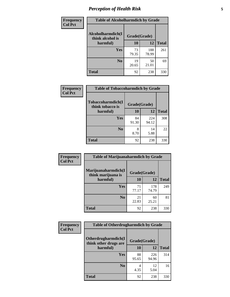# *Perception of Health Risk* **5**

| <b>Frequency</b> | <b>Table of Alcoholharmdich by Grade</b> |              |              |              |  |
|------------------|------------------------------------------|--------------|--------------|--------------|--|
| <b>Col Pct</b>   | Alcoholharmdich(I<br>think alcohol is    | Grade(Grade) |              |              |  |
|                  | harmful)                                 | 10           | 12           | <b>Total</b> |  |
|                  | <b>Yes</b>                               | 73<br>79.35  | 188<br>78.99 | 261          |  |
|                  | N <sub>0</sub>                           | 19<br>20.65  | 50<br>21.01  | 69           |  |
|                  | <b>Total</b>                             | 92           | 238          | 330          |  |

| Frequency      | <b>Table of Tobaccoharmdich by Grade</b> |              |              |              |  |
|----------------|------------------------------------------|--------------|--------------|--------------|--|
| <b>Col Pct</b> | Tobaccoharmdich(I<br>think tobacco is    | Grade(Grade) |              |              |  |
|                | harmful)                                 | 10           | 12           | <b>Total</b> |  |
|                | Yes                                      | 84<br>91.30  | 224<br>94.12 | 308          |  |
|                | N <sub>0</sub>                           | 8<br>8.70    | 14<br>5.88   | 22           |  |
|                | <b>Total</b>                             | 92           | 238          | 330          |  |

| <b>Frequency</b> | <b>Table of Marijuanaharmdich by Grade</b> |              |              |              |  |  |
|------------------|--------------------------------------------|--------------|--------------|--------------|--|--|
| <b>Col Pct</b>   | Marijuanaharmdich(I<br>think marijuana is  | Grade(Grade) |              |              |  |  |
|                  | harmful)                                   | 10           | 12           | <b>Total</b> |  |  |
|                  | <b>Yes</b>                                 | 71<br>77.17  | 178<br>74.79 | 249          |  |  |
|                  | N <sub>0</sub>                             | 21<br>22.83  | 60<br>25.21  | 81           |  |  |
|                  | <b>Total</b>                               | 92           | 238          | 330          |  |  |

| Frequency      | <b>Table of Otherdrugharmdich by Grade</b>   |              |              |              |  |  |  |  |
|----------------|----------------------------------------------|--------------|--------------|--------------|--|--|--|--|
| <b>Col Pct</b> | Otherdrugharmdich(I<br>think other drugs are | Grade(Grade) |              |              |  |  |  |  |
|                | harmful)                                     | <b>10</b>    | 12           | <b>Total</b> |  |  |  |  |
|                | <b>Yes</b>                                   | 88<br>95.65  | 226<br>94.96 | 314          |  |  |  |  |
|                | N <sub>0</sub>                               | 4.35         | 12<br>5.04   | 16           |  |  |  |  |
|                | <b>Total</b>                                 | 92           | 238          | 330          |  |  |  |  |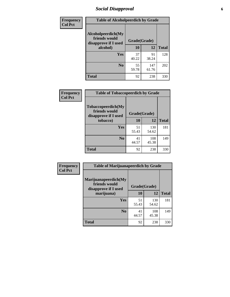# *Social Disapproval* **6**

| Frequency      | <b>Table of Alcoholpeerdich by Grade</b>                    |              |              |     |
|----------------|-------------------------------------------------------------|--------------|--------------|-----|
| <b>Col Pct</b> | Alcoholpeerdich(My<br>friends would<br>disapprove if I used | Grade(Grade) |              |     |
|                | alcohol)                                                    | 10           | <b>Total</b> |     |
|                | <b>Yes</b>                                                  | 37<br>40.22  | 91<br>38.24  | 128 |
|                | N <sub>0</sub>                                              | 55<br>59.78  | 147<br>61.76 | 202 |
|                | <b>Total</b>                                                | 92           | 238          | 330 |

| <b>Frequency</b> |
|------------------|
| <b>Col Pct</b>   |

| <b>Table of Tobaccopeerdich by Grade</b>                            |              |              |              |  |  |  |  |
|---------------------------------------------------------------------|--------------|--------------|--------------|--|--|--|--|
| <b>Tobaccopeerdich</b> (My<br>friends would<br>disapprove if I used | Grade(Grade) |              |              |  |  |  |  |
| tobacco)                                                            | 10           | 12           | <b>Total</b> |  |  |  |  |
| Yes                                                                 | 51<br>55.43  | 130<br>54.62 | 181          |  |  |  |  |
| N <sub>0</sub>                                                      | 41<br>44.57  | 108<br>45.38 | 149          |  |  |  |  |
| Total                                                               | 92           | 238          | 330          |  |  |  |  |

| <b>Frequency</b> | <b>Table of Marijuanapeerdich by Grade</b>                    |              |              |              |  |  |  |  |
|------------------|---------------------------------------------------------------|--------------|--------------|--------------|--|--|--|--|
| <b>Col Pct</b>   | Marijuanapeerdich(My<br>friends would<br>disapprove if I used | Grade(Grade) |              |              |  |  |  |  |
|                  | marijuana)                                                    | 10           | 12           | <b>Total</b> |  |  |  |  |
|                  | <b>Yes</b>                                                    | 51<br>55.43  | 130<br>54.62 | 181          |  |  |  |  |
|                  | N <sub>0</sub>                                                | 41<br>44.57  | 108<br>45.38 | 149          |  |  |  |  |
|                  | <b>Total</b>                                                  | 92           | 238          | 330          |  |  |  |  |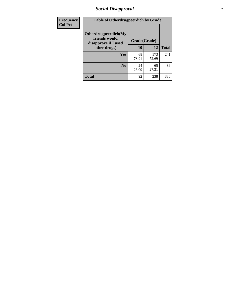# *Social Disapproval* **7**

| Frequency      | <b>Table of Otherdrugpeerdich by Grade</b>                    |              |              |              |  |  |  |  |
|----------------|---------------------------------------------------------------|--------------|--------------|--------------|--|--|--|--|
| <b>Col Pct</b> | Otherdrugpeerdich(My<br>friends would<br>disapprove if I used | Grade(Grade) |              |              |  |  |  |  |
|                | other drugs)                                                  | 10           | 12           | <b>Total</b> |  |  |  |  |
|                | <b>Yes</b>                                                    | 68<br>73.91  | 173<br>72.69 | 241          |  |  |  |  |
|                | N <sub>0</sub>                                                | 24<br>26.09  | 65<br>27.31  | 89           |  |  |  |  |
|                | <b>Total</b>                                                  | 92           | 238          | 330          |  |  |  |  |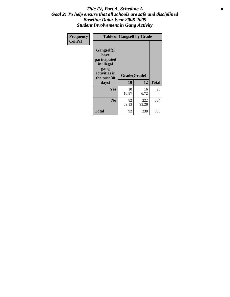### Title IV, Part A, Schedule A **8** *Goal 2: To help ensure that all schools are safe and disciplined Baseline Data: Year 2008-2009 Student Involvement in Gang Activity*

| Frequency      | <b>Table of Gangself by Grade</b>                                                                 |                    |              |              |
|----------------|---------------------------------------------------------------------------------------------------|--------------------|--------------|--------------|
| <b>Col Pct</b> | Gangself(I<br>have<br>participated<br>in illegal<br>gang<br>activities in<br>the past 30<br>days) | Grade(Grade)<br>10 | 12           | <b>Total</b> |
|                | Yes                                                                                               | 10<br>10.87        | 16<br>6.72   | 26           |
|                | N <sub>0</sub>                                                                                    | 82<br>89.13        | 222<br>93.28 | 304          |
|                | Total                                                                                             | 92                 | 238          | 330          |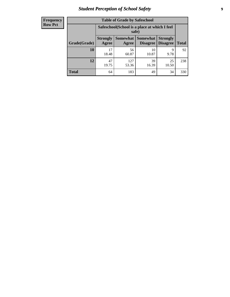# *Student Perception of School Safety* **9**

| <b>Frequency</b><br>Row Pct |
|-----------------------------|
|                             |

| <b>Table of Grade by Safeschool</b> |                                                                                                                      |                                                        |             |             |     |  |  |  |
|-------------------------------------|----------------------------------------------------------------------------------------------------------------------|--------------------------------------------------------|-------------|-------------|-----|--|--|--|
|                                     |                                                                                                                      | Safeschool (School is a place at which I feel<br>safe) |             |             |     |  |  |  |
| Grade(Grade)                        | Somewhat  <br><b>Somewhat</b><br><b>Strongly</b><br><b>Strongly</b><br><b>Disagree</b><br>Agree<br>Disagree<br>Agree |                                                        |             |             |     |  |  |  |
| 10                                  | 17<br>18.48                                                                                                          | 56<br>60.87                                            | 10<br>10.87 | 9<br>9.78   | 92  |  |  |  |
| 12                                  | 47<br>19.75                                                                                                          | 127<br>53.36                                           | 39<br>16.39 | 25<br>10.50 | 238 |  |  |  |
| <b>Total</b>                        | 64                                                                                                                   | 183                                                    | 49          | 34          | 330 |  |  |  |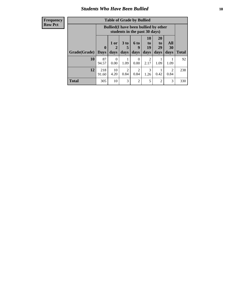### *Students Who Have Been Bullied* **10**

| <b>Frequency</b> |
|------------------|
| Row Pct          |

| <b>Table of Grade by Bullied</b> |                            |                                                                               |                        |                          |                        |                        |                                     |              |
|----------------------------------|----------------------------|-------------------------------------------------------------------------------|------------------------|--------------------------|------------------------|------------------------|-------------------------------------|--------------|
|                                  |                            | <b>Bullied</b> (I have been bullied by other<br>students in the past 30 days) |                        |                          |                        |                        |                                     |              |
| Grade(Grade)                     | $\mathbf 0$<br><b>Days</b> | 1 or<br>2<br>days                                                             | $3$ to<br>5<br>days    | <b>6 to</b><br>9<br>days | 10<br>to<br>19<br>days | 20<br>to<br>29<br>days | All<br><b>30</b><br>days            | <b>Total</b> |
| 10                               | 87<br>94.57                | $\Omega$<br>0.00                                                              | 1.09                   | $\Omega$<br>0.00         | $\overline{2}$<br>2.17 | 1.09                   | 1.09                                | 92           |
| 12                               | 218<br>91.60               | 10<br>4.20                                                                    | $\mathfrak{D}$<br>0.84 | 2<br>0.84                | 3<br>1.26              | 0.42                   | $\mathcal{D}_{\mathcal{L}}$<br>0.84 | 238          |
| <b>Total</b>                     | 305                        | 10                                                                            | 3                      | $\overline{2}$           | 5                      | $\overline{2}$         | 3                                   | 330          |

 $\blacksquare$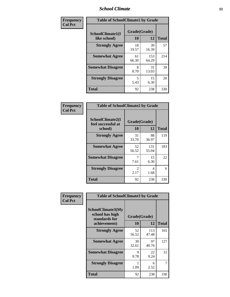### *School Climate* **11**

| Frequency      | <b>Table of SchoolClimate1 by Grade</b> |                    |              |              |  |  |
|----------------|-----------------------------------------|--------------------|--------------|--------------|--|--|
| <b>Col Pct</b> | SchoolClimate1(I<br>like school)        | Grade(Grade)<br>10 | 12           | <b>Total</b> |  |  |
|                | <b>Strongly Agree</b>                   | 18<br>19.57        | 39<br>16.39  | 57           |  |  |
|                | <b>Somewhat Agree</b>                   | 61<br>66.30        | 153<br>64.29 | 214          |  |  |
|                | <b>Somewhat Disagree</b>                | 8<br>8.70          | 31<br>13.03  | 39           |  |  |
|                | <b>Strongly Disagree</b>                | 5<br>5.43          | 15<br>6.30   | 20           |  |  |
|                | <b>Total</b>                            | 92                 | 238          | 330          |  |  |

| <b>Frequency</b> |
|------------------|
| <b>Col Pct</b>   |

| <b>Table of SchoolClimate2 by Grade</b>           |                       |              |              |  |  |
|---------------------------------------------------|-----------------------|--------------|--------------|--|--|
| SchoolClimate2(I<br>feel successful at<br>school) | Grade(Grade)<br>10    | 12           | <b>Total</b> |  |  |
| <b>Strongly Agree</b>                             | 31<br>33.70           | 88<br>36.97  | 119          |  |  |
| <b>Somewhat Agree</b>                             | 52<br>56.52           | 131<br>55.04 | 183          |  |  |
| <b>Somewhat Disagree</b>                          | 7.61                  | 15<br>6.30   | 22           |  |  |
| <b>Strongly Disagree</b>                          | $\mathcal{L}$<br>2.17 | 4<br>1.68    | 6            |  |  |
| <b>Total</b>                                      | 92                    | 238          | 330          |  |  |

| Frequency      | <b>Table of SchoolClimate3 by Grade</b>                                      |                    |              |              |  |
|----------------|------------------------------------------------------------------------------|--------------------|--------------|--------------|--|
| <b>Col Pct</b> | <b>SchoolClimate3(My</b><br>school has high<br>standards for<br>achievement) | Grade(Grade)<br>10 | 12           | <b>Total</b> |  |
|                |                                                                              |                    |              |              |  |
|                | <b>Strongly Agree</b>                                                        | 52<br>56.52        | 113<br>47.48 | 165          |  |
|                | <b>Somewhat Agree</b>                                                        | 30<br>32.61        | 97<br>40.76  | 127          |  |
|                | <b>Somewhat Disagree</b>                                                     | 9<br>9.78          | 22<br>9.24   | 31           |  |
|                | <b>Strongly Disagree</b>                                                     | 1.09               | 6<br>2.52    |              |  |
|                | Total                                                                        | 92                 | 238          | 330          |  |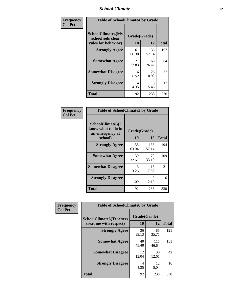### *School Climate* **12**

| Frequency      | <b>Table of SchoolClimate4 by Grade</b>                              |                    |              |              |  |
|----------------|----------------------------------------------------------------------|--------------------|--------------|--------------|--|
| <b>Col Pct</b> | <b>SchoolClimate4(My</b><br>school sets clear<br>rules for behavior) | Grade(Grade)<br>10 | 12           | <b>Total</b> |  |
|                | <b>Strongly Agree</b>                                                | 61<br>66.30        | 136<br>57.14 | 197          |  |
|                | <b>Somewhat Agree</b>                                                | 21<br>22.83        | 63<br>26.47  | 84           |  |
|                | <b>Somewhat Disagree</b>                                             | 6<br>6.52          | 26<br>10.92  | 32           |  |
|                | <b>Strongly Disagree</b>                                             | 4<br>4.35          | 13<br>5.46   | 17           |  |
|                | <b>Total</b>                                                         | 92                 | 238          | 330          |  |

| <b>Table of SchoolClimate5 by Grade</b>                   |              |              |              |  |  |
|-----------------------------------------------------------|--------------|--------------|--------------|--|--|
| SchoolClimate5(I<br>know what to do in<br>an emergency at | Grade(Grade) |              |              |  |  |
| school)                                                   | 10           | 12           | <b>Total</b> |  |  |
| <b>Strongly Agree</b>                                     | 58<br>63.04  | 136<br>57.14 | 194          |  |  |
| <b>Somewhat Agree</b>                                     | 30<br>32.61  | 79<br>33.19  | 109          |  |  |
| <b>Somewhat Disagree</b>                                  | 3<br>3.26    | 18<br>7.56   | 21           |  |  |
| <b>Strongly Disagree</b>                                  | 1.09         | 5<br>2.10    | 6            |  |  |
| Total                                                     | 92           | 238          | 330          |  |  |

| Frequency      | <b>Table of SchoolClimate6 by Grade</b>                  |                    |              |              |  |  |
|----------------|----------------------------------------------------------|--------------------|--------------|--------------|--|--|
| <b>Col Pct</b> | <b>SchoolClimate6(Teachers</b><br>treat me with respect) | Grade(Grade)<br>10 | 12           | <b>Total</b> |  |  |
|                | <b>Strongly Agree</b>                                    | 36<br>39.13        | 85<br>35.71  | 121          |  |  |
|                | <b>Somewhat Agree</b>                                    | 40<br>43.48        | 111<br>46.64 | 151          |  |  |
|                | <b>Somewhat Disagree</b>                                 | 12<br>13.04        | 30<br>12.61  | 42           |  |  |
|                | <b>Strongly Disagree</b>                                 | 4<br>4.35          | 12<br>5.04   | 16           |  |  |
|                | <b>Total</b>                                             | 92                 | 238          | 330          |  |  |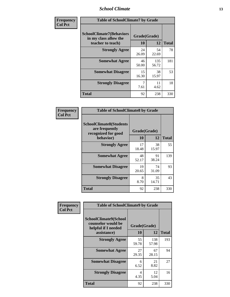### *School Climate* **13**

| Frequency      | <b>Table of SchoolClimate7 by Grade</b>                                       |                           |              |              |
|----------------|-------------------------------------------------------------------------------|---------------------------|--------------|--------------|
| <b>Col Pct</b> | <b>SchoolClimate7(Behaviors</b><br>in my class allow the<br>teacher to teach) | Grade(Grade)<br><b>10</b> | 12           | <b>Total</b> |
|                | <b>Strongly Agree</b>                                                         | 24<br>26.09               | 54<br>22.69  | 78           |
|                | <b>Somewhat Agree</b>                                                         | 46<br>50.00               | 135<br>56.72 | 181          |
|                | <b>Somewhat Disagree</b>                                                      | 15<br>16.30               | 38<br>15.97  | 53           |
|                | <b>Strongly Disagree</b>                                                      | 7<br>7.61                 | 11<br>4.62   | 18           |
|                | <b>Total</b>                                                                  | 92                        | 238          | 330          |

| Frequency      | <b>Table of SchoolClimate8 by Grade</b>                                 |              |             |              |  |
|----------------|-------------------------------------------------------------------------|--------------|-------------|--------------|--|
| <b>Col Pct</b> | <b>SchoolClimate8(Students</b><br>are frequently<br>recognized for good | Grade(Grade) |             |              |  |
|                | behavior)                                                               | 10           | 12          | <b>Total</b> |  |
|                | <b>Strongly Agree</b>                                                   | 17<br>18.48  | 38<br>15.97 | 55           |  |
|                | <b>Somewhat Agree</b>                                                   | 48<br>52.17  | 91<br>38.24 | 139          |  |
|                | <b>Somewhat Disagree</b>                                                | 19<br>20.65  | 74<br>31.09 | 93           |  |
|                | <b>Strongly Disagree</b>                                                | 8<br>8.70    | 35<br>14.71 | 43           |  |
|                | <b>Total</b>                                                            | 92           | 238         | 330          |  |

| <b>Frequency</b> | <b>Table of SchoolClimate9 by Grade</b>                                                  |                    |              |              |  |
|------------------|------------------------------------------------------------------------------------------|--------------------|--------------|--------------|--|
| <b>Col Pct</b>   | <b>SchoolClimate9(School</b><br>counselor would be<br>helpful if I needed<br>assistance) | Grade(Grade)<br>10 | 12           | <b>Total</b> |  |
|                  | <b>Strongly Agree</b>                                                                    | 55<br>59.78        | 138<br>57.98 | 193          |  |
|                  | <b>Somewhat Agree</b>                                                                    | 27<br>29.35        | 67<br>28.15  | 94           |  |
|                  | <b>Somewhat Disagree</b>                                                                 | 6<br>6.52          | 21<br>8.82   | 27           |  |
|                  | <b>Strongly Disagree</b>                                                                 | 4<br>4.35          | 12<br>5.04   | 16           |  |
|                  | <b>Total</b>                                                                             | 92                 | 238          | 330          |  |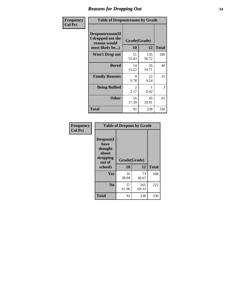### *Reasons for Dropping Out* **14**

| <b>Frequency</b> | <b>Table of Dropoutreason by Grade</b>                                   |             |                    |              |  |
|------------------|--------------------------------------------------------------------------|-------------|--------------------|--------------|--|
| <b>Col Pct</b>   | Dropoutreason(If<br>I dropped out the<br>reason would<br>most likely be) | 10          | Grade(Grade)<br>12 | <b>Total</b> |  |
|                  | <b>Won't Drop out</b>                                                    | 51<br>55.43 | 135<br>56.72       | 186          |  |
|                  | <b>Bored</b>                                                             | 14<br>15.22 | 35<br>14.71        | 49           |  |
|                  | <b>Family Reasons</b>                                                    | 9<br>9.78   | 22<br>9.24         | 31           |  |
|                  | <b>Being Bullied</b>                                                     | 2<br>2.17   | 0.42               | 3            |  |
|                  | <b>Other</b>                                                             | 16<br>17.39 | 45<br>18.91        | 61           |  |
|                  | <b>Total</b>                                                             | 92          | 238                | 330          |  |

| Frequency<br><b>Col Pct</b> | <b>Table of Dropout by Grade</b>                            |                    |              |              |  |  |
|-----------------------------|-------------------------------------------------------------|--------------------|--------------|--------------|--|--|
|                             | Dropout(I<br>have<br>thought<br>about<br>dropping<br>out of | Grade(Grade)<br>10 |              |              |  |  |
|                             | school)                                                     |                    | 12           | <b>Total</b> |  |  |
|                             | Yes                                                         | 35<br>38.04        | 73<br>30.67  | 108          |  |  |
|                             | N <sub>0</sub>                                              | 57<br>61.96        | 165<br>69.33 | 222          |  |  |
|                             | <b>Total</b>                                                | 92                 | 238          | 330          |  |  |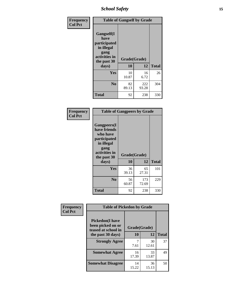*School Safety* **15**

| Frequency      | <b>Table of Gangself by Grade</b>                                                                         |                    |              |              |  |
|----------------|-----------------------------------------------------------------------------------------------------------|--------------------|--------------|--------------|--|
| <b>Col Pct</b> | <b>Gangself</b> (I<br>have<br>participated<br>in illegal<br>gang<br>activities in<br>the past 30<br>days) | Grade(Grade)<br>10 | 12           | <b>Total</b> |  |
|                | Yes                                                                                                       | 10<br>10.87        | 16<br>6.72   | 26           |  |
|                | N <sub>0</sub>                                                                                            | 82<br>89.13        | 222<br>93.28 | 304          |  |
|                | <b>Total</b>                                                                                              | 92                 | 238          | 330          |  |

| Frequency<br><b>Col Pct</b> | <b>Table of Gangpeers by Grade</b>                                                                                             |                    |              |              |  |  |  |  |  |
|-----------------------------|--------------------------------------------------------------------------------------------------------------------------------|--------------------|--------------|--------------|--|--|--|--|--|
|                             | <b>Gangpeers</b> (I<br>have friends<br>who have<br>participated<br>in illegal<br>gang<br>activities in<br>the past 30<br>days) | Grade(Grade)<br>10 | 12           | <b>Total</b> |  |  |  |  |  |
|                             | <b>Yes</b>                                                                                                                     | 36<br>39.13        | 65<br>27.31  | 101          |  |  |  |  |  |
|                             | N <sub>0</sub>                                                                                                                 | 56<br>60.87        | 173<br>72.69 | 229          |  |  |  |  |  |
|                             | <b>Total</b>                                                                                                                   | 92                 | 238          | 330          |  |  |  |  |  |

| Frequency      | <b>Table of Pickedon by Grade</b>                                  |              |             |              |  |  |  |  |  |
|----------------|--------------------------------------------------------------------|--------------|-------------|--------------|--|--|--|--|--|
| <b>Col Pct</b> | <b>Pickedon(I have</b><br>been picked on or<br>teased at school in | Grade(Grade) |             |              |  |  |  |  |  |
|                | the past 30 days)                                                  |              | 12          | <b>Total</b> |  |  |  |  |  |
|                | <b>Strongly Agree</b>                                              | 7.61         | 30<br>12.61 | 37           |  |  |  |  |  |
|                | <b>Somewhat Agree</b>                                              | 16<br>17.39  | 33<br>13.87 | 49           |  |  |  |  |  |
|                | <b>Somewhat Disagree</b>                                           | 14<br>15.22  | 36<br>15.13 | 50           |  |  |  |  |  |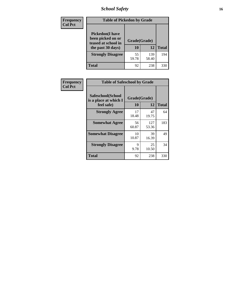# *School Safety* **16**

| Frequency      | <b>Table of Pickedon by Grade</b>                                                        |                    |              |              |
|----------------|------------------------------------------------------------------------------------------|--------------------|--------------|--------------|
| <b>Col Pct</b> | <b>Pickedon</b> (I have<br>been picked on or<br>teased at school in<br>the past 30 days) | Grade(Grade)<br>10 | 12           | <b>Total</b> |
|                | <b>Strongly Disagree</b>                                                                 | 55<br>59.78        | 139<br>58.40 | 194          |
|                | <b>Total</b>                                                                             | 92                 | 238          | 330          |

| Frequency      | <b>Table of Safeschool by Grade</b>                      |                    |              |     |  |  |  |  |  |
|----------------|----------------------------------------------------------|--------------------|--------------|-----|--|--|--|--|--|
| <b>Col Pct</b> | Safeschool(School<br>is a place at which I<br>feel safe) | Grade(Grade)<br>10 | <b>Total</b> |     |  |  |  |  |  |
|                | <b>Strongly Agree</b>                                    | 17<br>18.48        | 47<br>19.75  | 64  |  |  |  |  |  |
|                | <b>Somewhat Agree</b>                                    | 56<br>60.87        | 127<br>53.36 | 183 |  |  |  |  |  |
|                | <b>Somewhat Disagree</b>                                 | 10<br>10.87        | 39<br>16.39  | 49  |  |  |  |  |  |
|                | <b>Strongly Disagree</b>                                 | 9<br>9.78          | 25<br>10.50  | 34  |  |  |  |  |  |
|                | <b>Total</b>                                             | 92                 | 238          | 330 |  |  |  |  |  |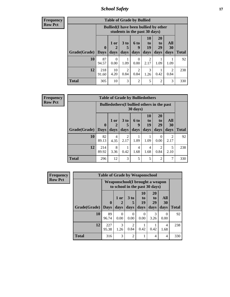*School Safety* **17**

| Frequency |  |
|-----------|--|
| Row Pct   |  |

| <b>Table of Grade by Bullied</b> |              |                                                                               |                      |                  |                |                       |                        |              |  |  |  |
|----------------------------------|--------------|-------------------------------------------------------------------------------|----------------------|------------------|----------------|-----------------------|------------------------|--------------|--|--|--|
|                                  |              | <b>Bullied</b> (I have been bullied by other<br>students in the past 30 days) |                      |                  |                |                       |                        |              |  |  |  |
|                                  | $\mathbf{0}$ | $1$ or $ $                                                                    | 3 <sub>to</sub><br>5 | <b>6 to</b><br>9 | 10<br>to<br>19 | <b>20</b><br>to<br>29 | All<br>30              |              |  |  |  |
| Grade(Grade)                     | <b>Days</b>  | days                                                                          | days                 | days             | days           | days                  | days                   | <b>Total</b> |  |  |  |
| 10                               | 87<br>94.57  | $\theta$<br>0.00                                                              | 1.09                 | $\theta$<br>0.00 | 2.17           | 1.09                  | 1.09                   | 92           |  |  |  |
| 12                               | 218<br>91.60 | 10<br>4.20                                                                    | 2<br>0.84            | 2<br>0.84        | 3<br>1.26      | 0.42                  | $\mathfrak{D}$<br>0.84 | 238          |  |  |  |
| <b>Total</b>                     | 305          | 10                                                                            | 3                    | $\overline{c}$   | 5              | $\overline{2}$        | 3                      | 330          |  |  |  |

| Frequency      | <b>Table of Grade by Bulliedothers</b> |                         |              |                        |                        |                               |                                                    |                       |              |  |  |  |
|----------------|----------------------------------------|-------------------------|--------------|------------------------|------------------------|-------------------------------|----------------------------------------------------|-----------------------|--------------|--|--|--|
| <b>Row Pct</b> |                                        |                         |              |                        | 30 days)               |                               | <b>Bulliedothers</b> (I bullied others in the past |                       |              |  |  |  |
|                | Grade(Grade)                           | $\bf{0}$<br><b>Days</b> | 1 or<br>days | $3$ to<br>days         | 6 to<br>9<br>days      | <b>10</b><br>to<br>19<br>days | <b>20</b><br>to<br>29<br>days                      | All<br>30<br>days     | <b>Total</b> |  |  |  |
|                | 10                                     | 82<br>89.13             | 4<br>4.35    | $\overline{2}$<br>2.17 | 1.09                   | 1.09                          | $\Omega$<br>0.00                                   | $\mathcal{D}$<br>2.17 | 92           |  |  |  |
|                | 12                                     | 214<br>89.92            | 8<br>3.36    | 0.42                   | $\overline{4}$<br>1.68 | 4<br>1.68                     | 2<br>0.84                                          | 5<br>2.10             | 238          |  |  |  |
|                | <b>Total</b>                           | 296                     | 12           | 3                      | 5                      | 5                             | $\overline{2}$                                     | 7                     | 330          |  |  |  |

| <b>Frequency</b> | <b>Table of Grade by Weaponschool</b> |                                                                    |                  |                                     |                               |                                    |                   |              |  |  |  |
|------------------|---------------------------------------|--------------------------------------------------------------------|------------------|-------------------------------------|-------------------------------|------------------------------------|-------------------|--------------|--|--|--|
| <b>Row Pct</b>   |                                       | Weaponschool (I brought a weapon<br>to school in the past 30 days) |                  |                                     |                               |                                    |                   |              |  |  |  |
|                  | Grade(Grade)                          | $\bf{0}$<br><b>Days</b>                                            | 1 or<br>days     | 3 to<br>days                        | <b>10</b><br>to<br>19<br>days | 20<br>t <sub>0</sub><br>29<br>days | All<br>30<br>days | <b>Total</b> |  |  |  |
|                  | 10                                    | 89<br>96.74                                                        | $\Omega$<br>0.00 | $\Omega$<br>0.00                    | 0<br>0.00                     | 3<br>3.26                          | $\Omega$<br>0.00  | 92           |  |  |  |
|                  | 12                                    | 227<br>95.38                                                       | 3<br>1.26        | $\mathcal{D}_{\mathcal{A}}$<br>0.84 | 0.42                          | 0.42                               | 4<br>1.68         | 238          |  |  |  |
|                  | <b>Total</b>                          | 316                                                                | $\mathcal{F}$    | $\mathfrak{D}$                      |                               | 4                                  | 4                 | 330          |  |  |  |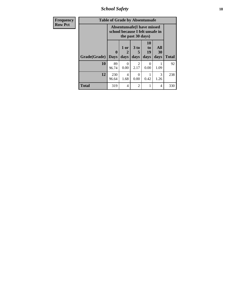*School Safety* **18**

| <b>Frequency</b> |              | <b>Table of Grade by Absentunsafe</b>                                |                   |                        |                        |                       |              |
|------------------|--------------|----------------------------------------------------------------------|-------------------|------------------------|------------------------|-----------------------|--------------|
| <b>Row Pct</b>   |              | <b>Absentunsafe(I have missed</b><br>school because I felt unsafe in |                   |                        |                        |                       |              |
|                  | Grade(Grade) | $\mathbf{0}$<br><b>Days</b>                                          | 1 or<br>2<br>days | 3 to<br>5<br>days      | 10<br>to<br>19<br>days | All<br>30<br>days     | <b>Total</b> |
|                  | 10           | 89<br>96.74                                                          | 0<br>0.00         | $\mathfrak{D}$<br>2.17 | 0.00                   | 1.09                  | 92           |
|                  | 12           | 230<br>96.64                                                         | 4<br>1.68         | 0<br>0.00              | 0.42                   | $\mathcal{R}$<br>1.26 | 238          |
|                  | Total        | 319                                                                  | 4                 | $\mathfrak{D}$         | 1                      | 4                     | 330          |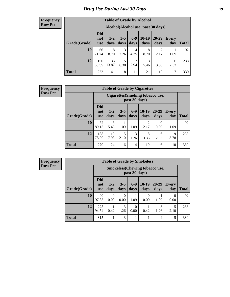# *Drug Use During Last 30 Days* **19**

#### **Frequency Row Pct**

| <b>Table of Grade by Alcohol</b> |                                 |                                     |                 |                 |                 |               |                     |       |  |  |  |
|----------------------------------|---------------------------------|-------------------------------------|-----------------|-----------------|-----------------|---------------|---------------------|-------|--|--|--|
|                                  |                                 | Alcohol (Alcohol use, past 30 days) |                 |                 |                 |               |                     |       |  |  |  |
| Grade(Grade)                     | <b>Did</b><br>not<br><b>use</b> | $1 - 2$<br>days                     | $3 - 5$<br>days | $6 - 9$<br>days | $10-19$<br>days | 20-29<br>days | <b>Every</b><br>day | Total |  |  |  |
| 10                               | 66<br>71.74                     | 8<br>8.70                           | 3<br>3.26       | 4<br>4.35       | 8<br>8.70       | 2<br>2.17     | 1.09                | 92    |  |  |  |
| 12                               | 156<br>65.55                    | 33<br>13.87                         | 15<br>6.30      | 7<br>2.94       | 13<br>5.46      | 8<br>3.36     | 6<br>2.52           | 238   |  |  |  |
| <b>Total</b>                     | 222                             | 41                                  | 18              | 11              | 21              | 10            | 7                   | 330   |  |  |  |

#### **Frequency Row Pct**

| <b>Table of Grade by Cigarettes</b> |                                 |                                                          |                 |               |                 |               |                     |              |  |  |  |
|-------------------------------------|---------------------------------|----------------------------------------------------------|-----------------|---------------|-----------------|---------------|---------------------|--------------|--|--|--|
|                                     |                                 | <b>Cigarettes</b> (Smoking tobacco use,<br>past 30 days) |                 |               |                 |               |                     |              |  |  |  |
| Grade(Grade)                        | <b>Did</b><br>not<br><b>use</b> | $1-2$<br>days                                            | $3 - 5$<br>days | $6-9$<br>days | $10-19$<br>days | 20-29<br>days | <b>Every</b><br>day | <b>Total</b> |  |  |  |
| 10                                  | 82<br>89.13                     | 5<br>5.43                                                | 1.09            | 1.09          | 2<br>2.17       | 0<br>0.00     | 1.09                | 92           |  |  |  |
| 12                                  | 188<br>78.99                    | 19<br>7.98                                               | 5<br>2.10       | 3<br>1.26     | 8<br>3.36       | 6<br>2.52     | 9<br>3.78           | 238          |  |  |  |
| <b>Total</b>                        | 270                             | 24                                                       | 6               | 4             | 10              | 6             | 10                  | 330          |  |  |  |

| <b>Table of Grade by Smokeless</b> |                                 |                                                         |                  |                  |                 |                   |                  |              |  |  |
|------------------------------------|---------------------------------|---------------------------------------------------------|------------------|------------------|-----------------|-------------------|------------------|--------------|--|--|
|                                    |                                 | <b>Smokeless</b> (Chewing tobacco use,<br>past 30 days) |                  |                  |                 |                   |                  |              |  |  |
| Grade(Grade)                       | <b>Did</b><br>not<br><b>use</b> | $1 - 2$<br>days                                         | $3 - 5$<br>days  | $6-9$<br>days    | $10-19$<br>days | $20 - 29$<br>days | Every<br>day     | <b>Total</b> |  |  |
| 10                                 | 90<br>97.83                     | $\Omega$<br>0.00                                        | $\Omega$<br>0.00 | 1.09             | 0<br>0.00       | 1.09              | $\Omega$<br>0.00 | 92           |  |  |
| 12                                 | 225<br>94.54                    | 0.42                                                    | 3<br>1.26        | $\Omega$<br>0.00 | 0.42            | 3<br>1.26         | 5<br>2.10        | 238          |  |  |
| <b>Total</b>                       | 315                             |                                                         | 3                |                  | 1               | 4                 | 5                | 330          |  |  |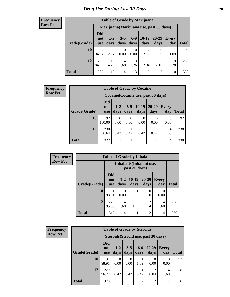| <b>Table of Grade by Marijuana</b> |                          |                        |                  |                  |                        |                                         |              |       |  |
|------------------------------------|--------------------------|------------------------|------------------|------------------|------------------------|-----------------------------------------|--------------|-------|--|
|                                    |                          |                        |                  |                  |                        | Marijuana (Marijuana use, past 30 days) |              |       |  |
| Grade(Grade)                       | Did<br>not<br><b>use</b> | $1 - 2$<br>days        | $3 - 5$<br>days  | $6-9$<br>days    | $10-19$<br>days        | 20-29<br>days                           | Every<br>day | Total |  |
| 10                                 | 87<br>94.57              | $\overline{2}$<br>2.17 | $\theta$<br>0.00 | $\theta$<br>0.00 | $\mathfrak{D}$<br>2.17 | 0.00                                    | 1.09         | 92    |  |
| 12                                 | 200<br>84.03             | 10<br>4.20             | 4<br>1.68        | 3<br>1.26        | 7<br>2.94              | 5<br>2.10                               | 9<br>3.78    | 238   |  |
| <b>Total</b>                       | 287                      | 12                     | 4                | 3                | 9                      | 5                                       | 10           | 330   |  |

| <b>Frequency</b> | <b>Table of Grade by Cocaine</b> |                          |                 |                  |                                     |                   |                        |              |
|------------------|----------------------------------|--------------------------|-----------------|------------------|-------------------------------------|-------------------|------------------------|--------------|
| <b>Row Pct</b>   |                                  |                          |                 |                  | Cocaine (Cocaine use, past 30 days) |                   |                        |              |
|                  | Grade(Grade)                     | Did<br>not<br><b>use</b> | $1 - 2$<br>days | $6-9$<br>days    | $10-19$<br>days                     | $20 - 29$<br>days | <b>Every</b><br>day    | <b>Total</b> |
|                  | 10                               | 92<br>100.00             | 0<br>0.00       | $\Omega$<br>0.00 | $\Omega$<br>0.00                    | 0.00              | $\Omega$<br>0.00       | 92           |
|                  | 12                               | 230<br>96.64             | 0.42            | 0.42             | 0.42                                | 0.42              | $\overline{4}$<br>1.68 | 238          |
|                  | <b>Total</b>                     | 322                      |                 |                  |                                     |                   | $\overline{4}$         | 330          |

| <b>Frequency</b> | <b>Table of Grade by Inhalants</b> |                                 |                 |                 |                        |                     |              |  |  |
|------------------|------------------------------------|---------------------------------|-----------------|-----------------|------------------------|---------------------|--------------|--|--|
| <b>Row Pct</b>   |                                    | <b>Inhalants</b> (Inhalant use, |                 |                 |                        |                     |              |  |  |
|                  | Grade(Grade)                       | <b>Did</b><br>not<br><b>use</b> | $1 - 2$<br>days | $10-19$<br>days | $20 - 29$<br>days      | <b>Every</b><br>day | <b>Total</b> |  |  |
|                  | 10                                 | 91<br>98.91                     | 0.00            | 1.09            | $\Omega$<br>0.00       | 0<br>0.00           | 92           |  |  |
|                  | 12                                 | 228<br>95.80                    | 4<br>1.68       | 0<br>0.00       | $\mathfrak{D}$<br>0.84 | 4<br>1.68           | 238          |  |  |
|                  | <b>Total</b>                       | 319                             | $\overline{4}$  | 1               | $\overline{2}$         | 4                   | 330          |  |  |

| Frequency      | <b>Table of Grade by Steroids</b> |                                 |                                      |                 |                |                        |                     |              |  |
|----------------|-----------------------------------|---------------------------------|--------------------------------------|-----------------|----------------|------------------------|---------------------|--------------|--|
| <b>Row Pct</b> |                                   |                                 | Steroids (Steroid use, past 30 days) |                 |                |                        |                     |              |  |
|                | Grade(Grade)                      | <b>Did</b><br>not<br><b>use</b> | $1-2$<br>days                        | $3 - 5$<br>days | $6-9$<br>days  | $20 - 29$<br>days      | <b>Every</b><br>day | <b>Total</b> |  |
|                | 10                                | 91<br>98.91                     | 0<br>0.00                            | 0.00            | 1.09           | $\theta$<br>0.00       | 0.00                | 92           |  |
|                | 12                                | 229<br>96.22                    | 0.42                                 | 0.42            | 0.42           | $\mathfrak{D}$<br>0.84 | 4<br>1.68           | 238          |  |
|                | Total                             | 320                             |                                      |                 | $\mathfrak{D}$ | $\overline{2}$         | 4                   | 330          |  |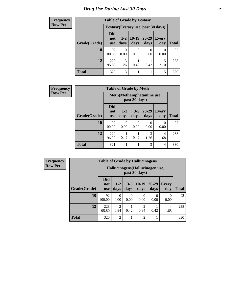| <b>Frequency</b> | <b>Table of Grade by Ecstasy</b> |                                 |               |                  |                                     |                     |              |
|------------------|----------------------------------|---------------------------------|---------------|------------------|-------------------------------------|---------------------|--------------|
| <b>Row Pct</b>   |                                  |                                 |               |                  | Ecstasy (Ecstasy use, past 30 days) |                     |              |
|                  | Grade(Grade)                     | <b>Did</b><br>not<br><b>use</b> | $1-2$<br>days | $ 10-19$<br>days | $20 - 29$<br>days                   | <b>Every</b><br>day | <b>Total</b> |
|                  | <b>10</b>                        | 92<br>100.00                    | 0.00          | $\theta$<br>0.00 | $\Omega$<br>0.00                    | $\Omega$<br>0.00    | 92           |
|                  | 12                               | 228<br>95.80                    | 3<br>1.26     | 0.42             | 0.42                                | 2.10                | 238          |
|                  | <b>Total</b>                     | 320                             | 3             |                  |                                     | 5                   | 330          |

| <b>Frequency</b> |              |                                 | <b>Table of Grade by Meth</b> |                  |                   |                     |              |
|------------------|--------------|---------------------------------|-------------------------------|------------------|-------------------|---------------------|--------------|
| <b>Row Pct</b>   |              | Meth(Methamphetamine use,       |                               |                  |                   |                     |              |
|                  | Grade(Grade) | <b>Did</b><br>not<br><b>use</b> | $1-2$<br>days                 | $3 - 5$<br>days  | $20 - 29$<br>days | <b>Every</b><br>day | <b>Total</b> |
|                  | 10           | 92<br>100.00                    | 0<br>0.00                     | $\Omega$<br>0.00 | 0<br>0.00         | 0<br>0.00           | 92           |
|                  | 12           | 229<br>96.22                    | 0.42                          | 0.42             | 3<br>1.26         | 4<br>1.68           | 238          |
|                  | <b>Total</b> | 321                             |                               |                  | 3                 | $\overline{4}$      | 330          |

| Frequency      | <b>Table of Grade by Hallucinogens</b> |                                 |                        |           |                                                   |                   |                  |              |  |
|----------------|----------------------------------------|---------------------------------|------------------------|-----------|---------------------------------------------------|-------------------|------------------|--------------|--|
| <b>Row Pct</b> |                                        |                                 |                        |           | Hallucinogens (Hallucinogen use,<br>past 30 days) |                   |                  |              |  |
|                | Grade(Grade)                           | <b>Did</b><br>not<br><b>use</b> | $1-2$<br>days          | days      | $3-5$   10-19<br>days                             | $20 - 29$<br>days | Every<br>day     | <b>Total</b> |  |
|                | 10                                     | 92<br>100.00                    | $\theta$<br>0.00       | 0<br>0.00 | 0<br>0.00                                         | 0<br>0.00         | $\Omega$<br>0.00 | 92           |  |
|                | 12                                     | 228<br>95.80                    | $\overline{c}$<br>0.84 | 0.42      | $\overline{c}$<br>0.84                            | 0.42              | 4<br>1.68        | 238          |  |
|                | <b>Total</b>                           | 320                             | $\mathfrak{D}$         |           | $\overline{2}$                                    |                   | $\overline{4}$   | 330          |  |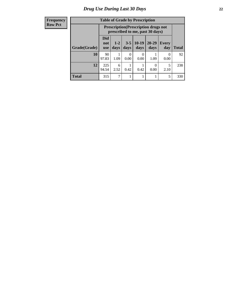| <b>Table of Grade by Prescription</b> |                                 |                                                                                |                 |                 |               |              |              |  |  |
|---------------------------------------|---------------------------------|--------------------------------------------------------------------------------|-----------------|-----------------|---------------|--------------|--------------|--|--|
|                                       |                                 | <b>Prescription</b> (Prescription drugs not<br>prescribed to me, past 30 days) |                 |                 |               |              |              |  |  |
| Grade(Grade)                          | <b>Did</b><br>not<br><b>use</b> | $1 - 2$<br>days                                                                | $3 - 5$<br>days | $10-19$<br>days | 20-29<br>days | Every<br>day | <b>Total</b> |  |  |
| 10                                    | 90<br>97.83                     | 1.09                                                                           | 0.00            | 0.00            | 1.09          | 0<br>0.00    | 92           |  |  |
| 12                                    | 225<br>94.54                    | 6<br>2.52                                                                      | 0.42            | 0.42            | 0.00          | 5<br>2.10    | 238          |  |  |
| <b>Total</b>                          | 315                             | 7                                                                              |                 |                 |               | 5            | 330          |  |  |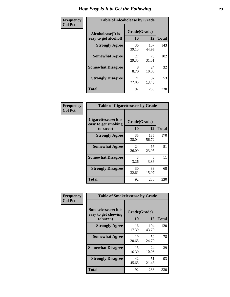| Frequency      | <b>Table of Alcoholease by Grade</b>              |             |                    |     |  |  |  |
|----------------|---------------------------------------------------|-------------|--------------------|-----|--|--|--|
| <b>Col Pct</b> | <b>Alcoholease</b> (It is<br>easy to get alcohol) | 10          | Grade(Grade)<br>12 |     |  |  |  |
|                | <b>Strongly Agree</b>                             | 36<br>39.13 | 107<br>44.96       | 143 |  |  |  |
|                | <b>Somewhat Agree</b>                             | 27<br>29.35 | 75<br>31.51        | 102 |  |  |  |
|                | <b>Somewhat Disagree</b>                          | 8<br>8.70   | 24<br>10.08        | 32  |  |  |  |
|                | <b>Strongly Disagree</b>                          | 21<br>22.83 | 32<br>13.45        | 53  |  |  |  |
|                | <b>Total</b>                                      | 92          | 238                | 330 |  |  |  |

| Frequency      | <b>Table of Cigarettesease by Grade</b>                 |                    |              |              |  |  |
|----------------|---------------------------------------------------------|--------------------|--------------|--------------|--|--|
| <b>Col Pct</b> | Cigarettesease(It is<br>easy to get smoking<br>tobacco) | Grade(Grade)<br>10 | 12           | <b>Total</b> |  |  |
|                | <b>Strongly Agree</b>                                   | 35<br>38.04        | 135<br>56.72 | 170          |  |  |
|                | <b>Somewhat Agree</b>                                   | 24<br>26.09        | 57<br>23.95  | 81           |  |  |
|                | <b>Somewhat Disagree</b>                                | 3<br>3.26          | 8<br>3.36    | 11           |  |  |
|                | <b>Strongly Disagree</b>                                | 30<br>32.61        | 38<br>15.97  | 68           |  |  |
|                | <b>Total</b>                                            | 92                 | 238          | 330          |  |  |

| Frequency      | <b>Table of Smokelessease by Grade</b>             |              |              |              |
|----------------|----------------------------------------------------|--------------|--------------|--------------|
| <b>Col Pct</b> | <b>Smokelessease</b> (It is<br>easy to get chewing | Grade(Grade) |              |              |
|                | tobacco)                                           | 10           | 12           | <b>Total</b> |
|                | <b>Strongly Agree</b>                              | 16<br>17.39  | 104<br>43.70 | 120          |
|                | <b>Somewhat Agree</b>                              | 19<br>20.65  | 59<br>24.79  | 78           |
|                | <b>Somewhat Disagree</b>                           | 15<br>16.30  | 24<br>10.08  | 39           |
|                | <b>Strongly Disagree</b>                           | 42<br>45.65  | 51<br>21.43  | 93           |
|                | <b>Total</b>                                       | 92           | 238          | 330          |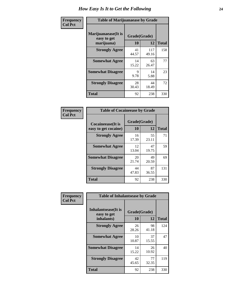| Frequency      | <b>Table of Marijuanaease by Grade</b>           |                    |              |              |  |  |  |
|----------------|--------------------------------------------------|--------------------|--------------|--------------|--|--|--|
| <b>Col Pct</b> | Marijuanaease(It is<br>easy to get<br>marijuana) | Grade(Grade)<br>10 | 12           | <b>Total</b> |  |  |  |
|                | <b>Strongly Agree</b>                            | 41<br>44.57        | 117<br>49.16 | 158          |  |  |  |
|                | <b>Somewhat Agree</b>                            | 14<br>15.22        | 63<br>26.47  | 77           |  |  |  |
|                | <b>Somewhat Disagree</b>                         | 9<br>9.78          | 14<br>5.88   | 23           |  |  |  |
|                | <b>Strongly Disagree</b>                         | 28<br>30.43        | 44<br>18.49  | 72           |  |  |  |
|                | <b>Total</b>                                     | 92                 | 238          | 330          |  |  |  |

| <b>Table of Cocaineease by Grade</b>              |                    |                   |     |  |  |  |  |  |  |  |  |
|---------------------------------------------------|--------------------|-------------------|-----|--|--|--|--|--|--|--|--|
| <b>Cocaineease</b> (It is<br>easy to get cocaine) | Grade(Grade)<br>10 | <b>Total</b>      |     |  |  |  |  |  |  |  |  |
| <b>Strongly Agree</b>                             | 16<br>17.39        | 12<br>55<br>23.11 | 71  |  |  |  |  |  |  |  |  |
| <b>Somewhat Agree</b>                             | 12<br>13.04        | 47<br>19.75       | 59  |  |  |  |  |  |  |  |  |
| <b>Somewhat Disagree</b>                          | 20<br>21.74        | 49<br>20.59       | 69  |  |  |  |  |  |  |  |  |
| <b>Strongly Disagree</b>                          | 44<br>47.83        | 87<br>36.55       | 131 |  |  |  |  |  |  |  |  |
| <b>Total</b>                                      | 92                 | 238               | 330 |  |  |  |  |  |  |  |  |

| Frequency      | <b>Table of Inhalantsease by Grade</b>                   |                    |             |              |  |  |  |  |  |  |  |
|----------------|----------------------------------------------------------|--------------------|-------------|--------------|--|--|--|--|--|--|--|
| <b>Col Pct</b> | <b>Inhalantsease</b> (It is<br>easy to get<br>inhalants) | Grade(Grade)<br>10 | 12          | <b>Total</b> |  |  |  |  |  |  |  |
|                | <b>Strongly Agree</b>                                    | 26<br>28.26        | 98<br>41.18 | 124          |  |  |  |  |  |  |  |
|                | <b>Somewhat Agree</b>                                    | 10<br>10.87        | 37<br>15.55 | 47           |  |  |  |  |  |  |  |
|                | <b>Somewhat Disagree</b>                                 | 14<br>15.22        | 26<br>10.92 | 40           |  |  |  |  |  |  |  |
|                | <b>Strongly Disagree</b>                                 | 42<br>45.65        | 77<br>32.35 | 119          |  |  |  |  |  |  |  |
|                | <b>Total</b>                                             | 92                 | 238         | 330          |  |  |  |  |  |  |  |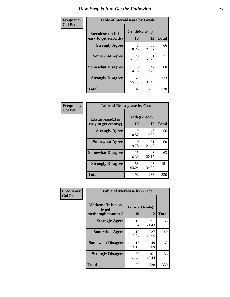| Frequency      | <b>Table of Steroidsease by Grade</b>               |                    |             |              |
|----------------|-----------------------------------------------------|--------------------|-------------|--------------|
| <b>Col Pct</b> | <b>Steroidsease</b> (It is<br>easy to get steroids) | Grade(Grade)<br>10 | 12          | <b>Total</b> |
|                | <b>Strongly Agree</b>                               | 8<br>8.70          | 58<br>24.37 | 66           |
|                | <b>Somewhat Agree</b>                               | 20<br>21.74        | 51<br>21.43 | 71           |
|                | <b>Somewhat Disagree</b>                            | 13<br>14.13        | 47<br>19.75 | 60           |
|                | <b>Strongly Disagree</b>                            | 51<br>55.43        | 82<br>34.45 | 133          |
|                | <b>Total</b>                                        | 92                 | 238         | 330          |

| Frequency      | <b>Table of Ecstasyease by Grade</b>              |                    |             |              |
|----------------|---------------------------------------------------|--------------------|-------------|--------------|
| <b>Col Pct</b> | <b>Ecstasyease</b> (It is<br>easy to get ecstasy) | Grade(Grade)<br>10 | 12          | <b>Total</b> |
|                | <b>Strongly Agree</b>                             | 10<br>10.87        | 46<br>19.33 | 56           |
|                | <b>Somewhat Agree</b>                             | 9<br>9.78          | 51<br>21.43 | 60           |
|                | <b>Somewhat Disagree</b>                          | 15<br>16.30        | 48<br>20.17 | 63           |
|                | <b>Strongly Disagree</b>                          | 58<br>63.04        | 93<br>39.08 | 151          |
|                | <b>Total</b>                                      | 92                 | 238         | 330          |

| Frequency      | <b>Table of Methease by Grade</b>     |              |              |              |
|----------------|---------------------------------------|--------------|--------------|--------------|
| <b>Col Pct</b> | <b>Methease</b> (It is easy<br>to get | Grade(Grade) |              |              |
|                | methamphetamines)                     | 10           | 12           | <b>Total</b> |
|                | <b>Strongly Agree</b>                 | 12<br>13.04  | 51<br>21.43  | 63           |
|                | <b>Somewhat Agree</b>                 | 12<br>13.04  | 37<br>15.55  | 49           |
|                | <b>Somewhat Disagree</b>              | 13<br>14.13  | 49<br>20.59  | 62           |
|                | <b>Strongly Disagree</b>              | 55<br>59.78  | 101<br>42.44 | 156          |
|                | <b>Total</b>                          | 92           | 238          | 330          |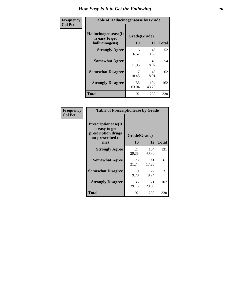| <b>Frequency</b> | <b>Table of Hallucinogensease by Grade</b>                |                    |              |              |  |  |  |  |  |  |  |
|------------------|-----------------------------------------------------------|--------------------|--------------|--------------|--|--|--|--|--|--|--|
| <b>Col Pct</b>   | Hallucinogensease(It)<br>is easy to get<br>hallucinogens) | Grade(Grade)<br>10 | 12           | <b>Total</b> |  |  |  |  |  |  |  |
|                  | <b>Strongly Agree</b>                                     | 6<br>6.52          | 46<br>19.33  | 52           |  |  |  |  |  |  |  |
|                  | <b>Somewhat Agree</b>                                     | 11<br>11.96        | 43<br>18.07  | 54           |  |  |  |  |  |  |  |
|                  | <b>Somewhat Disagree</b>                                  | 17<br>18.48        | 45<br>18.91  | 62           |  |  |  |  |  |  |  |
|                  | <b>Strongly Disagree</b>                                  | 58<br>63.04        | 104<br>43.70 | 162          |  |  |  |  |  |  |  |
|                  | <b>Total</b>                                              | 92                 | 238          | 330          |  |  |  |  |  |  |  |

| Frequency<br>Col Pct |
|----------------------|
|                      |

г

| <b>Table of Prescriptionease by Grade</b>                                                |             |              |              |  |  |  |  |  |  |
|------------------------------------------------------------------------------------------|-------------|--------------|--------------|--|--|--|--|--|--|
| <b>Prescriptionease</b> (It<br>is easy to get<br>prescription drugs<br>not prescribed to |             | Grade(Grade) |              |  |  |  |  |  |  |
| me)                                                                                      | 10          | 12           | <b>Total</b> |  |  |  |  |  |  |
| <b>Strongly Agree</b>                                                                    | 27<br>29.35 | 104<br>43.70 | 131          |  |  |  |  |  |  |
| <b>Somewhat Agree</b>                                                                    | 20<br>21.74 | 41<br>17.23  | 61           |  |  |  |  |  |  |
| <b>Somewhat Disagree</b>                                                                 | 9<br>9.78   | 22<br>9.24   | 31           |  |  |  |  |  |  |
| <b>Strongly Disagree</b>                                                                 | 36<br>39.13 | 71<br>29.83  | 107          |  |  |  |  |  |  |
| <b>Total</b>                                                                             | 92          | 238          | 330          |  |  |  |  |  |  |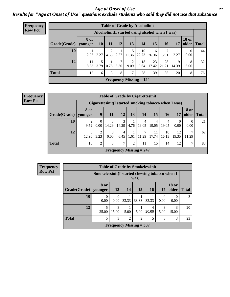### *Age at Onset of Use* **27** *Results for "Age at Onset of Use" questions exclude students who said they did not use that substance*

| <b>Frequency</b> | <b>Table of Grade by Alcoholinit</b> |                        |               |           |           |                                    |                                                  |             |             |             |                       |              |  |  |
|------------------|--------------------------------------|------------------------|---------------|-----------|-----------|------------------------------------|--------------------------------------------------|-------------|-------------|-------------|-----------------------|--------------|--|--|
| <b>Row Pct</b>   |                                      |                        |               |           |           |                                    | Alcoholinit (I started using alcohol when I was) |             |             |             |                       |              |  |  |
|                  | Grade(Grade)                         | <b>8 or</b><br>younger | 10            | <b>11</b> | 12        | 13                                 | 14                                               | 15          | <b>16</b>   | 17          | <b>18 or</b><br>older | <b>Total</b> |  |  |
|                  | 10                                   |                        | $2.27$   2.27 |           |           | 5<br>$4.55$   2.27   11.36   22.73 | 10                                               | 16<br>36.36 | 7<br>15.91  | 2.27        | $\Omega$<br>0.00      | 44           |  |  |
|                  | 12                                   | 11<br>8.33             | 5<br>3.79     | 0.76      | 7<br>5.30 | 12<br>9.09                         | 18<br>13.64                                      | 23<br>17.42 | 28<br>21.21 | 19<br>14.39 | 8<br>6.06             | 132          |  |  |
|                  | <b>Total</b>                         | 12                     | 6             | 3         | 8         | 17                                 | 28                                               | 39          | 35          | 20          | 8                     | 176          |  |  |
|                  |                                      |                        |               |           |           |                                    | Frequency Missing $= 154$                        |             |             |             |                       |              |  |  |

|              | <b>Table of Grade by Cigarettesinit</b> |                                                      |                  |                                |                |            |             |             |             |                       |              |  |  |
|--------------|-----------------------------------------|------------------------------------------------------|------------------|--------------------------------|----------------|------------|-------------|-------------|-------------|-----------------------|--------------|--|--|
|              |                                         | Cigarettesinit(I started smoking tobacco when I was) |                  |                                |                |            |             |             |             |                       |              |  |  |
| Grade(Grade) | 8 or<br>vounger                         | 9                                                    | 11               | 12                             | 13             | 14         | 15          | 16          | 17          | <b>18 or</b><br>older | <b>Total</b> |  |  |
| 10           | 2<br>9.52                               | 0<br>0.00                                            | 3<br>14.29       | 3<br>14.29                     | 4.76           | 4<br>19.05 | 4<br>19.05  | 4<br>19.05  | 0.00        | 0.00                  | 21           |  |  |
| 12           | 8<br>12.90                              | 2<br>3.23                                            | $\theta$<br>0.00 | 4<br>6.45                      | T<br>1.61      | 11.29      | 11<br>17.74 | 10<br>16.13 | 12<br>19.35 | 11.29                 | 62           |  |  |
| <b>Total</b> | 10                                      | $\overline{2}$                                       | 3                | 7                              | $\overline{2}$ | 11         | 15          | 14          | 12          | $\mathcal{L}$         | 83           |  |  |
|              |                                         |                                                      |                  | <b>Frequency Missing = 247</b> |                |            |             |             |             |                       |              |  |  |

| Frequency      |              |                                                 |                  | <b>Table of Grade by Smokelessinit</b> |                |           |                  |                          |              |
|----------------|--------------|-------------------------------------------------|------------------|----------------------------------------|----------------|-----------|------------------|--------------------------|--------------|
| <b>Row Pct</b> |              | Smokelessinit (I started chewing tobacco when I |                  |                                        | was)           |           |                  |                          |              |
|                | Grade(Grade) | 8 or<br>younger                                 | <b>13</b>        | 14                                     | <b>15</b>      | <b>16</b> | 17               | <b>18 or</b><br>older    | <b>Total</b> |
|                | 10           | 0<br>0.00                                       | $\Omega$<br>0.00 | 33.33                                  | 33.33          | 33.33     | $\Omega$<br>0.00 | $\left( \right)$<br>0.00 | 3            |
|                | 12           | 5<br>25.00                                      | 3<br>15.00       | 5.00                                   | 5.00           | 20.00     | 3<br>15.00       | 3<br>15.00               | 20           |
|                | <b>Total</b> | 5                                               | 3                | 2                                      | $\overline{c}$ | 5         | 3                | 3                        | 23           |
|                |              |                                                 |                  | <b>Frequency Missing = 307</b>         |                |           |                  |                          |              |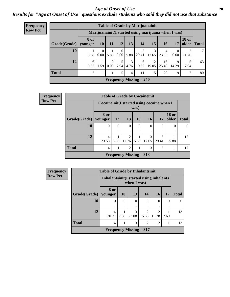#### *Age at Onset of Use* **28**

*Results for "Age at Onset of Use" questions exclude students who said they did not use that substance*

| <b>Frequency</b> | <b>Table of Grade by Marijuanainit</b> |                                                      |           |                      |                  |           |                           |             |             |                      |               |               |  |  |
|------------------|----------------------------------------|------------------------------------------------------|-----------|----------------------|------------------|-----------|---------------------------|-------------|-------------|----------------------|---------------|---------------|--|--|
| <b>Row Pct</b>   |                                        | Marijuanainit (I started using marijuana when I was) |           |                      |                  |           |                           |             |             |                      |               |               |  |  |
|                  | Grade(Grade)   younger                 | 8 or                                                 | <b>10</b> | 11                   | 12               | 13        | <b>14</b>                 | 15          | 16          | 17                   | <b>18 or</b>  | older   Total |  |  |
|                  | 10                                     | 5.88                                                 | 0<br>0.00 | 5.88                 | $\theta$<br>0.00 | 5.88      | 29.41                     | 3<br>17.65  | 4<br>23.53  | 0.00                 | 2<br>11.76    | 17            |  |  |
|                  | 12                                     | 6<br>9.52                                            | 1.59      | $\Omega$<br>$0.00\,$ | 5<br>7.94        | 3<br>4.76 | 6<br>9.52                 | 12<br>19.05 | 16<br>25.40 | $\mathbf Q$<br>14.29 | 5<br>7.94     | 63            |  |  |
|                  | <b>Total</b>                           | 7                                                    |           |                      | 5                | 4         | 11                        | 15          | 20          | $\mathbf Q$          | $\mathcal{I}$ | 80            |  |  |
|                  |                                        |                                                      |           |                      |                  |           | Frequency Missing $= 250$ |             |             |                      |               |               |  |  |

| Frequency      | <b>Table of Grade by Cocaineinit</b> |                                            |          |                           |          |            |            |                       |              |
|----------------|--------------------------------------|--------------------------------------------|----------|---------------------------|----------|------------|------------|-----------------------|--------------|
| <b>Row Pct</b> |                                      | Cocaineinit(I started using cocaine when I |          |                           | was)     |            |            |                       |              |
|                | Grade(Grade)                         | 8 or<br>younger                            | 12       | 13                        | 15       | <b>16</b>  | 17         | <b>18 or</b><br>older | <b>Total</b> |
|                | 10                                   | $\Omega$                                   | $\Omega$ | $\theta$                  | $\Omega$ | $\Omega$   | $\Omega$   | $\Omega$              | $\theta$     |
|                | 12                                   | 4<br>23.53                                 | 5.88     | $\mathfrak{D}$<br>11.76   | 5.88     | 3<br>17.65 | 5<br>29.41 | 5.88                  | 17           |
|                | <b>Total</b>                         | 4                                          | 1        | $\overline{2}$            |          | 3          | 5          |                       | 17           |
|                |                                      |                                            |          | Frequency Missing $= 313$ |          |            |            |                       |              |

| <b>Frequency</b> | <b>Table of Grade by Inhalantsinit</b> |                                          |           |               |                         |                         |          |              |  |
|------------------|----------------------------------------|------------------------------------------|-----------|---------------|-------------------------|-------------------------|----------|--------------|--|
| <b>Row Pct</b>   |                                        | Inhalantsinit (I started using inhalants |           | when I was)   |                         |                         |          |              |  |
|                  | Grade(Grade)                           | 8 or<br>younger                          | <b>10</b> | 13            | 14                      | <b>16</b>               | 17       | <b>Total</b> |  |
|                  | 10                                     | $\theta$                                 | $\Omega$  | $\theta$<br>٠ | $\theta$                | 0                       | $\theta$ | $\Omega$     |  |
|                  | 12                                     | $\overline{4}$<br>30.77                  | 7.69      | 3<br>23.08    | $\mathfrak{D}$<br>15.38 | $\overline{2}$<br>15.38 | 7.69     | 13           |  |
|                  | <b>Total</b>                           | 4                                        |           | 3             | $\overline{2}$          | $\overline{2}$          |          | 13           |  |
|                  |                                        | Frequency Missing $= 317$                |           |               |                         |                         |          |              |  |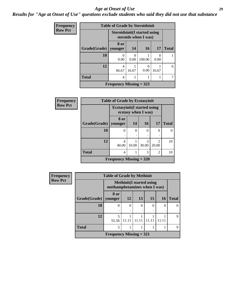#### *Age at Onset of Use* **29**

### *Results for "Age at Onset of Use" questions exclude students who said they did not use that substance*

| <b>Frequency</b> | <b>Table of Grade by Steroidsinit</b> |                                                             |       |           |       |              |  |  |  |
|------------------|---------------------------------------|-------------------------------------------------------------|-------|-----------|-------|--------------|--|--|--|
| <b>Row Pct</b>   |                                       | <b>Steroidsinit(I started using</b><br>steroids when I was) |       |           |       |              |  |  |  |
|                  | Grade(Grade)                          | 8 or<br>younger                                             | 14    | <b>16</b> | 17    | <b>Total</b> |  |  |  |
|                  | 10                                    | 0.00                                                        | 0.00  | 100.00    | 0.00  |              |  |  |  |
|                  | 12                                    | 4<br>66.67                                                  | 16.67 | 0.00      | 16.67 | 6            |  |  |  |
|                  | <b>Total</b>                          | 4                                                           |       |           |       |              |  |  |  |
|                  |                                       | Frequency Missing $=$ 323                                   |       |           |       |              |  |  |  |

| Frequency      |              | <b>Table of Grade by Ecstasyinit</b> |                     |                        |                                      |              |  |  |  |  |
|----------------|--------------|--------------------------------------|---------------------|------------------------|--------------------------------------|--------------|--|--|--|--|
| <b>Row Pct</b> |              | <b>Ecstasyinit</b> (I started using  | ecstasy when I was) |                        |                                      |              |  |  |  |  |
|                | Grade(Grade) | 8 or<br>younger                      | 14                  | <b>16</b>              | 17                                   | <b>Total</b> |  |  |  |  |
|                | 10           | 0                                    | $\theta$            | 0                      | 0                                    | 0            |  |  |  |  |
|                | 12           | 4<br>40.00                           | 10.00               | $\mathcal{R}$<br>30.00 | $\mathcal{D}_{\mathcal{L}}$<br>20.00 | 10           |  |  |  |  |
|                | <b>Total</b> | 4                                    |                     | 3                      | $\overline{2}$                       | 10           |  |  |  |  |
|                |              | Frequency Missing $= 320$            |                     |                        |                                      |              |  |  |  |  |

| <b>Frequency</b> | <b>Table of Grade by Methinit</b> |                                |                                  |    |       |    |              |  |  |
|------------------|-----------------------------------|--------------------------------|----------------------------------|----|-------|----|--------------|--|--|
| <b>Row Pct</b>   |                                   | methamphetamines when I was)   | <b>Methinit</b> (I started using |    |       |    |              |  |  |
|                  | Grade(Grade)   younger            | 8 or                           | 12                               | 13 | 15    | 16 | <b>Total</b> |  |  |
|                  | 10                                |                                | $\Omega$                         | 0  | 0     | 0  |              |  |  |
|                  |                                   |                                |                                  |    |       | ٠  |              |  |  |
|                  | 12                                | 5<br>55.56                     | 11.11                            |    | 11.11 |    | 9            |  |  |
|                  | <b>Total</b>                      | $\overline{\mathbf{5}}$        |                                  |    |       |    | Q            |  |  |
|                  |                                   | <b>Frequency Missing = 321</b> |                                  |    |       |    |              |  |  |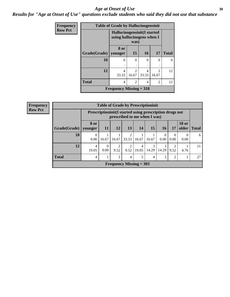#### Age at Onset of Use **30**

*Results for "Age at Onset of Use" questions exclude students who said they did not use that substance*

| <b>Frequency</b> | <b>Table of Grade by Hallucinogensinit</b> |                                                           |                         |            |                                                                                                                                                                          |              |  |  |
|------------------|--------------------------------------------|-----------------------------------------------------------|-------------------------|------------|--------------------------------------------------------------------------------------------------------------------------------------------------------------------------|--------------|--|--|
| <b>Row Pct</b>   |                                            | Hallucinogensinit(I started<br>using hallucinogens when I | was)                    |            |                                                                                                                                                                          |              |  |  |
|                  | Grade(Grade)   younger                     | 8 or                                                      | 15                      | 16         | 17                                                                                                                                                                       | <b>Total</b> |  |  |
|                  | 10                                         | 0                                                         | 0                       | 0<br>٠     | 0                                                                                                                                                                        |              |  |  |
|                  | 12                                         | 4<br>33.33                                                | $\mathfrak{D}$<br>16.67 | 4<br>33.33 | $\mathcal{D}_{\mathcal{A}}^{\mathcal{A}}(\mathcal{A})=\mathcal{D}_{\mathcal{A}}^{\mathcal{A}}(\mathcal{A})\mathcal{D}_{\mathcal{A}}^{\mathcal{A}}(\mathcal{A})$<br>16.67 | 12           |  |  |
|                  | <b>Total</b>                               | 4                                                         | $\mathfrak{D}$          | 4          | $\mathfrak{D}$                                                                                                                                                           | 12           |  |  |
|                  |                                            | Frequency Missing $=$ 318                                 |                         |            |                                                                                                                                                                          |              |  |  |

| <b>Frequency</b> | <b>Table of Grade by Prescriptioninit</b> |                        |                                                                                            |                                |       |            |            |                  |                  |                               |    |
|------------------|-------------------------------------------|------------------------|--------------------------------------------------------------------------------------------|--------------------------------|-------|------------|------------|------------------|------------------|-------------------------------|----|
| <b>Row Pct</b>   |                                           |                        | Prescription in it (I started using prescription drugs not<br>prescribed to me when I was) |                                |       |            |            |                  |                  |                               |    |
|                  | Grade(Grade)                              | <b>8 or</b><br>younger | 11                                                                                         | 12                             | 13    | <b>14</b>  | 15         | 16               | 17               | <b>18 or</b><br>older   Total |    |
|                  | 10                                        | 0<br>0.00              | 16.67                                                                                      | 16.67                          | 33.33 | 16.67      | 16.67      | $\Omega$<br>0.00 | $\Omega$<br>0.00 | $\theta$<br>0.00              | 6  |
|                  | 12                                        | 4<br>19.05             | 0<br>0.00                                                                                  | 9.52                           | 9.52  | 4<br>19.05 | 3<br>14.29 | 3<br>14.29       | 9.52             | 4.76                          | 21 |
|                  | <b>Total</b>                              | 4                      |                                                                                            | 3                              | 4     | 5          | 4          | 3                | $\overline{c}$   |                               | 27 |
|                  |                                           |                        |                                                                                            | <b>Frequency Missing = 303</b> |       |            |            |                  |                  |                               |    |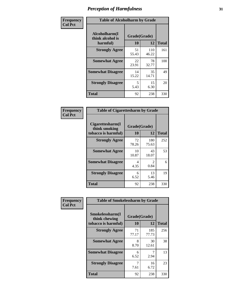| Frequency      | <b>Table of Alcoholharm by Grade</b>          |                    |              |              |  |  |
|----------------|-----------------------------------------------|--------------------|--------------|--------------|--|--|
| <b>Col Pct</b> | Alcoholharm(I<br>think alcohol is<br>harmful) | Grade(Grade)<br>10 | 12           | <b>Total</b> |  |  |
|                | <b>Strongly Agree</b>                         | 51<br>55.43        | 110<br>46.22 | 161          |  |  |
|                | <b>Somewhat Agree</b>                         | 22<br>23.91        | 78<br>32.77  | 100          |  |  |
|                | <b>Somewhat Disagree</b>                      | 14<br>15.22        | 35<br>14.71  | 49           |  |  |
|                | <b>Strongly Disagree</b>                      | 5<br>5.43          | 15<br>6.30   | 20           |  |  |
|                | <b>Total</b>                                  | 92                 | 238          | 330          |  |  |

| <b>Table of Cigarettesharm by Grade</b>                  |                    |                        |     |  |  |  |  |  |
|----------------------------------------------------------|--------------------|------------------------|-----|--|--|--|--|--|
| Cigarettesharm(I<br>think smoking<br>tobacco is harmful) | Grade(Grade)<br>10 | <b>Total</b>           |     |  |  |  |  |  |
| <b>Strongly Agree</b>                                    | 72<br>78.26        | 180<br>75.63           | 252 |  |  |  |  |  |
| <b>Somewhat Agree</b>                                    | 10<br>10.87        | 43<br>18.07            | 53  |  |  |  |  |  |
| <b>Somewhat Disagree</b>                                 | 4<br>4.35          | $\mathfrak{D}$<br>0.84 | 6   |  |  |  |  |  |
| <b>Strongly Disagree</b>                                 | 6<br>6.52          | 13<br>5.46             | 19  |  |  |  |  |  |
| <b>Total</b>                                             | 92                 | 238                    | 330 |  |  |  |  |  |

| Frequency      | <b>Table of Smokelessharm by Grade</b>                  |                           |              |              |
|----------------|---------------------------------------------------------|---------------------------|--------------|--------------|
| <b>Col Pct</b> | Smokelessharm(I<br>think chewing<br>tobacco is harmful) | Grade(Grade)<br><b>10</b> | 12           | <b>Total</b> |
|                | <b>Strongly Agree</b>                                   | 71<br>77.17               | 185<br>77.73 | 256          |
|                | <b>Somewhat Agree</b>                                   | 8<br>8.70                 | 30<br>12.61  | 38           |
|                | <b>Somewhat Disagree</b>                                | 6<br>6.52                 | 2.94         | 13           |
|                | <b>Strongly Disagree</b>                                | 7.61                      | 16<br>6.72   | 23           |
|                | <b>Total</b>                                            | 92                        | 238          | 330          |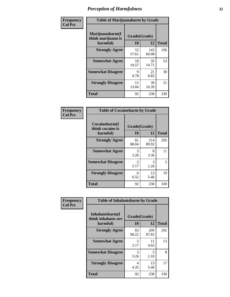| Frequency      | <b>Table of Marijuanaharm by Grade</b>            |                    |              |              |  |  |  |
|----------------|---------------------------------------------------|--------------------|--------------|--------------|--|--|--|
| <b>Col Pct</b> | Marijuanaharm(I<br>think marijuana is<br>harmful) | Grade(Grade)<br>10 | 12           | <b>Total</b> |  |  |  |
|                | <b>Strongly Agree</b>                             | 53<br>57.61        | 143<br>60.08 | 196          |  |  |  |
|                | <b>Somewhat Agree</b>                             | 18<br>19.57        | 35<br>14.71  | 53           |  |  |  |
|                | <b>Somewhat Disagree</b>                          | 9<br>9.78          | 21<br>8.82   | 30           |  |  |  |
|                | <b>Strongly Disagree</b>                          | 12<br>13.04        | 39<br>16.39  | 51           |  |  |  |
|                | <b>Total</b>                                      | 92                 | 238          | 330          |  |  |  |

| <b>Table of Cocaineharm by Grade</b>          |                        |              |     |  |  |  |  |  |  |
|-----------------------------------------------|------------------------|--------------|-----|--|--|--|--|--|--|
| Cocaineharm(I<br>think cocaine is<br>harmful) | Grade(Grade)<br>10     | <b>Total</b> |     |  |  |  |  |  |  |
| <b>Strongly Agree</b>                         | 81<br>88.04            | 214<br>89.92 | 295 |  |  |  |  |  |  |
| <b>Somewhat Agree</b>                         | 3<br>3.26              | 8<br>3.36    | 11  |  |  |  |  |  |  |
| <b>Somewhat Disagree</b>                      | $\mathfrak{D}$<br>2.17 | 3<br>1.26    | 5   |  |  |  |  |  |  |
| <b>Strongly Disagree</b>                      | 6<br>6.52              | 13<br>5.46   | 19  |  |  |  |  |  |  |
| <b>Total</b>                                  | 92                     | 238          | 330 |  |  |  |  |  |  |

| Frequency      | <b>Table of Inhalantsharm by Grade</b>             |                    |              |              |  |
|----------------|----------------------------------------------------|--------------------|--------------|--------------|--|
| <b>Col Pct</b> | Inhalantsharm(I<br>think inhalants are<br>harmful) | Grade(Grade)<br>10 | 12           | <b>Total</b> |  |
|                | <b>Strongly Agree</b>                              | 83<br>90.22        | 209<br>87.82 | 292          |  |
|                | <b>Somewhat Agree</b>                              | 2<br>2.17          | 11<br>4.62   | 13           |  |
|                | <b>Somewhat Disagree</b>                           | 3<br>3.26          | 5<br>2.10    | 8            |  |
|                | <b>Strongly Disagree</b>                           | 4<br>4.35          | 13<br>5.46   | 17           |  |
|                | <b>Total</b>                                       | 92                 | 238          | 330          |  |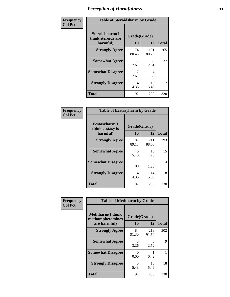| Frequency      | <b>Table of Steroidsharm by Grade</b>            |                    |              |              |
|----------------|--------------------------------------------------|--------------------|--------------|--------------|
| <b>Col Pct</b> | Steroidsharm(I<br>think steroids are<br>harmful) | Grade(Grade)<br>10 | 12           | <b>Total</b> |
|                | <b>Strongly Agree</b>                            | 74<br>80.43        | 191<br>80.25 | 265          |
|                | <b>Somewhat Agree</b>                            | 7.61               | 30<br>12.61  | 37           |
|                | <b>Somewhat Disagree</b>                         | 7.61               | 4<br>1.68    | 11           |
|                | <b>Strongly Disagree</b>                         | 4<br>4.35          | 13<br>5.46   | 17           |
|                | <b>Total</b>                                     | 92                 | 238          | 330          |

| <b>Table of Ecstasyharm by Grade</b>          |                    |              |              |  |  |  |
|-----------------------------------------------|--------------------|--------------|--------------|--|--|--|
| Ecstasyharm(I<br>think ecstasy is<br>harmful) | Grade(Grade)<br>10 | 12           | <b>Total</b> |  |  |  |
| <b>Strongly Agree</b>                         | 82<br>89.13        | 211<br>88.66 | 293          |  |  |  |
| <b>Somewhat Agree</b>                         | 5<br>5.43          | 10<br>4.20   | 15           |  |  |  |
| <b>Somewhat Disagree</b>                      | 1.09               | 3<br>1.26    | 4            |  |  |  |
| <b>Strongly Disagree</b>                      | 4<br>4.35          | 14<br>5.88   | 18           |  |  |  |
| <b>Total</b>                                  | 92                 | 238          | 330          |  |  |  |

| Frequency      | <b>Table of Methharm by Grade</b>            |              |              |              |  |
|----------------|----------------------------------------------|--------------|--------------|--------------|--|
| <b>Col Pct</b> | <b>Methharm</b> (I think<br>methamphetamines | Grade(Grade) |              |              |  |
|                | are harmful)                                 | 10           | 12           | <b>Total</b> |  |
|                | <b>Strongly Agree</b>                        | 84<br>91.30  | 218<br>91.60 | 302          |  |
|                | <b>Somewhat Agree</b>                        | 3<br>3.26    | 6<br>2.52    | 9            |  |
|                | <b>Somewhat Disagree</b>                     | 0<br>0.00    | 0.42         |              |  |
|                | <b>Strongly Disagree</b>                     | 5<br>5.43    | 13<br>5.46   | 18           |  |
|                | <b>Total</b>                                 | 92           | 238          | 330          |  |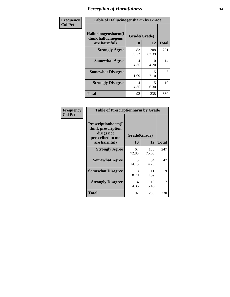| Frequency      | <b>Table of Hallucinogensharm by Grade</b>                 |                           |              |              |
|----------------|------------------------------------------------------------|---------------------------|--------------|--------------|
| <b>Col Pct</b> | Hallucinogensharm(I<br>think hallucinogens<br>are harmful) | Grade(Grade)<br><b>10</b> | 12           | <b>Total</b> |
|                | <b>Strongly Agree</b>                                      | 83<br>90.22               | 208<br>87.39 | 291          |
|                | <b>Somewhat Agree</b>                                      | 4<br>4.35                 | 10<br>4.20   | 14           |
|                | <b>Somewhat Disagree</b>                                   | 1.09                      | 5<br>2.10    | 6            |
|                | <b>Strongly Disagree</b>                                   | 4<br>4.35                 | 15<br>6.30   | 19           |
|                | <b>Total</b>                                               | 92                        | 238          | 330          |

| Frequency<br>  Col Pct |
|------------------------|

| <b>Table of Prescriptionharm by Grade</b>                                 |              |              |              |  |  |
|---------------------------------------------------------------------------|--------------|--------------|--------------|--|--|
| Prescriptionharm(I<br>think prescription<br>drugs not<br>prescribed to me | Grade(Grade) |              |              |  |  |
| are harmful)                                                              | 10           | 12           | <b>Total</b> |  |  |
| <b>Strongly Agree</b>                                                     | 67<br>72.83  | 180<br>75.63 | 247          |  |  |
| <b>Somewhat Agree</b>                                                     | 13<br>14.13  | 34<br>14.29  | 47           |  |  |
| <b>Somewhat Disagree</b>                                                  | 8<br>8.70    | 11<br>4.62   | 19           |  |  |
| <b>Strongly Disagree</b>                                                  | 4<br>4.35    | 13<br>5.46   | 17           |  |  |
| <b>Total</b>                                                              | 92           | 238          | 330          |  |  |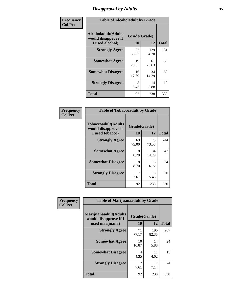# *Disapproval by Adults* **35**

| Frequency      | <b>Table of Alcoholadult by Grade</b>                                 |             |                    |              |
|----------------|-----------------------------------------------------------------------|-------------|--------------------|--------------|
| <b>Col Pct</b> | <b>Alcoholadult</b> (Adults<br>would disapprove if<br>I used alcohol) | 10          | Grade(Grade)<br>12 | <b>Total</b> |
|                | <b>Strongly Agree</b>                                                 | 52<br>56.52 | 129<br>54.20       | 181          |
|                | <b>Somewhat Agree</b>                                                 | 19<br>20.65 | 61<br>25.63        | 80           |
|                | <b>Somewhat Disagree</b>                                              | 16<br>17.39 | 34<br>14.29        | 50           |
|                | <b>Strongly Disagree</b>                                              | 5<br>5.43   | 14<br>5.88         | 19           |
|                | <b>Total</b>                                                          | 92          | 238                | 330          |

| <b>Table of Tobaccoadult by Grade</b>                                |                    |              |              |  |  |
|----------------------------------------------------------------------|--------------------|--------------|--------------|--|--|
| <b>Tobaccoadult(Adults</b><br>would disapprove if<br>I used tobacco) | Grade(Grade)<br>10 | 12           | <b>Total</b> |  |  |
| <b>Strongly Agree</b>                                                | 69<br>75.00        | 175<br>73.53 | 244          |  |  |
| <b>Somewhat Agree</b>                                                | 8<br>8.70          | 34<br>14.29  | 42           |  |  |
| <b>Somewhat Disagree</b>                                             | 8<br>8.70          | 16<br>6.72   | 24           |  |  |
| <b>Strongly Disagree</b>                                             | 7<br>7.61          | 13<br>5.46   | 20           |  |  |
| <b>Total</b>                                                         | 92                 | 238          | 330          |  |  |

| Frequency      | <b>Table of Marijuanaadult by Grade</b>                           |                    |              |              |
|----------------|-------------------------------------------------------------------|--------------------|--------------|--------------|
| <b>Col Pct</b> | Marijuanaadult(Adults<br>would disapprove if I<br>used marijuana) | Grade(Grade)<br>10 | 12           | <b>Total</b> |
|                | <b>Strongly Agree</b>                                             | 71<br>77.17        | 196<br>82.35 | 267          |
|                | <b>Somewhat Agree</b>                                             | 10<br>10.87        | 14<br>5.88   | 24           |
|                | <b>Somewhat Disagree</b>                                          | 4<br>4.35          | 11<br>4.62   | 15           |
|                | <b>Strongly Disagree</b>                                          | 7<br>7.61          | 17<br>7.14   | 24           |
|                | <b>Total</b>                                                      | 92                 | 238          | 330          |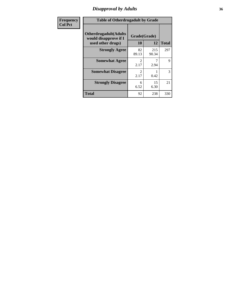# *Disapproval by Adults* **36**

| <b>Frequency</b> | <b>Table of Otherdrugadult by Grade</b>                                     |                                     |              |              |
|------------------|-----------------------------------------------------------------------------|-------------------------------------|--------------|--------------|
| <b>Col Pct</b>   | <b>Otherdrugadult</b> (Adults<br>would disapprove if I<br>used other drugs) | Grade(Grade)<br><b>10</b>           | 12           | <b>Total</b> |
|                  | <b>Strongly Agree</b>                                                       | 82<br>89.13                         | 215<br>90.34 | 297          |
|                  | <b>Somewhat Agree</b>                                                       | 2.17                                | 2.94         | 9            |
|                  | <b>Somewhat Disagree</b>                                                    | $\mathcal{D}_{\mathcal{L}}$<br>2.17 | 0.42         | 3            |
|                  | <b>Strongly Disagree</b>                                                    | 6<br>6.52                           | 15<br>6.30   | 21           |
|                  | <b>Total</b>                                                                | 92                                  | 238          | 330          |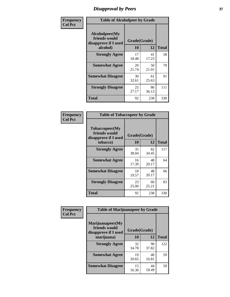# *Disapproval by Peers* **37**

| Frequency      | <b>Table of Alcoholpeer by Grade</b>                    |              |             |              |  |
|----------------|---------------------------------------------------------|--------------|-------------|--------------|--|
| <b>Col Pct</b> | Alcoholpeer(My<br>friends would<br>disapprove if I used | Grade(Grade) |             |              |  |
|                | alcohol)                                                | 10           | 12          | <b>Total</b> |  |
|                | <b>Strongly Agree</b>                                   | 17<br>18.48  | 41<br>17.23 | 58           |  |
|                | <b>Somewhat Agree</b>                                   | 20<br>21.74  | 50<br>21.01 | 70           |  |
|                | <b>Somewhat Disagree</b>                                | 30<br>32.61  | 61<br>25.63 | 91           |  |
|                | <b>Strongly Disagree</b>                                | 25<br>27.17  | 86<br>36.13 | 111          |  |
|                | Total                                                   | 92           | 238         | 330          |  |

| Frequency      | <b>Table of Tobaccopeer by Grade</b>                    |              |             |              |  |
|----------------|---------------------------------------------------------|--------------|-------------|--------------|--|
| <b>Col Pct</b> | Tobaccopeer(My<br>friends would<br>disapprove if I used | Grade(Grade) |             |              |  |
|                | tobacco)                                                | 10           | 12          | <b>Total</b> |  |
|                | <b>Strongly Agree</b>                                   | 35<br>38.04  | 82<br>34.45 | 117          |  |
|                | <b>Somewhat Agree</b>                                   | 16<br>17.39  | 48<br>20.17 | 64           |  |
|                | <b>Somewhat Disagree</b>                                | 18<br>19.57  | 48<br>20.17 | 66           |  |
|                | <b>Strongly Disagree</b>                                | 23<br>25.00  | 60<br>25.21 | 83           |  |
|                | Total                                                   | 92           | 238         | 330          |  |

| Frequency      | <b>Table of Marijuanapeer by Grade</b>                    |              |             |              |
|----------------|-----------------------------------------------------------|--------------|-------------|--------------|
| <b>Col Pct</b> | Marijuanapeer(My<br>friends would<br>disapprove if I used | Grade(Grade) |             |              |
|                | marijuana)                                                | 10           | 12          | <b>Total</b> |
|                | <b>Strongly Agree</b>                                     | 32<br>34.78  | 90<br>37.82 | 122          |
|                | <b>Somewhat Agree</b>                                     | 19<br>20.65  | 40<br>16.81 | 59           |
|                | <b>Somewhat Disagree</b>                                  | 15<br>16.30  | 44<br>18.49 | 59           |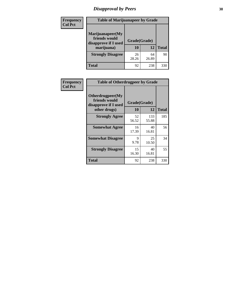# *Disapproval by Peers* **38**

| <b>Frequency</b> | <b>Table of Marijuanapeer by Grade</b>                                  |                           |             |              |  |
|------------------|-------------------------------------------------------------------------|---------------------------|-------------|--------------|--|
| <b>Col Pct</b>   | Marijuanapeer(My<br>friends would<br>disapprove if I used<br>marijuana) | Grade(Grade)<br><b>10</b> | 12          | <b>Total</b> |  |
|                  | <b>Strongly Disagree</b>                                                | 26<br>28.26               | 64<br>26.89 | 90           |  |
|                  | <b>Total</b>                                                            | 92                        | 238         | 330          |  |

| <b>Frequency</b> | <b>Table of Otherdrugpeer by Grade</b>                                    |                           |              |              |
|------------------|---------------------------------------------------------------------------|---------------------------|--------------|--------------|
| <b>Col Pct</b>   | Otherdrugpeer(My<br>friends would<br>disapprove if I used<br>other drugs) | Grade(Grade)<br><b>10</b> | 12           | <b>Total</b> |
|                  | <b>Strongly Agree</b>                                                     | 52<br>56.52               | 133<br>55.88 | 185          |
|                  | <b>Somewhat Agree</b>                                                     | 16<br>17.39               | 40<br>16.81  | 56           |
|                  | <b>Somewhat Disagree</b>                                                  | 9<br>9.78                 | 25<br>10.50  | 34           |
|                  | <b>Strongly Disagree</b>                                                  | 15<br>16.30               | 40<br>16.81  | 55           |
|                  | Total                                                                     | 92                        | 238          | 330          |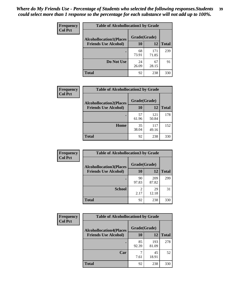| Frequency      | <b>Table of Alcohollocation1 by Grade</b> |              |              |              |  |
|----------------|-------------------------------------------|--------------|--------------|--------------|--|
| <b>Col Pct</b> | <b>Alcohollocation1(Places</b>            | Grade(Grade) |              |              |  |
|                | <b>Friends Use Alcohol)</b>               | 10           | 12           | <b>Total</b> |  |
|                |                                           | 68<br>73.91  | 171<br>71.85 | 239          |  |
|                | Do Not Use                                | 24<br>26.09  | 67<br>28.15  | 91           |  |
|                | <b>Total</b>                              | 92           | 238          | 330          |  |

| <b>Frequency</b> | <b>Table of Alcohollocation2 by Grade</b>                     |                    |              |              |
|------------------|---------------------------------------------------------------|--------------------|--------------|--------------|
| <b>Col Pct</b>   | <b>Alcohollocation2(Places</b><br><b>Friends Use Alcohol)</b> | Grade(Grade)<br>10 | 12           | <b>Total</b> |
|                  |                                                               |                    |              |              |
|                  |                                                               | 57<br>61.96        | 121<br>50.84 | 178          |
|                  | Home                                                          | 35<br>38.04        | 117<br>49.16 | 152          |
|                  | <b>Total</b>                                                  | 92                 | 238          | 330          |

| Frequency<br><b>Col Pct</b> | <b>Table of Alcohollocation 3 by Grade</b>                    |                    |              |              |  |
|-----------------------------|---------------------------------------------------------------|--------------------|--------------|--------------|--|
|                             | <b>Alcohollocation3(Places</b><br><b>Friends Use Alcohol)</b> | Grade(Grade)<br>10 | 12           | <b>Total</b> |  |
|                             |                                                               | 90<br>97.83        | 209<br>87.82 | 299          |  |
|                             | <b>School</b>                                                 | 2<br>2.17          | 29<br>12.18  | 31           |  |
|                             | <b>Total</b>                                                  | 92                 | 238          | 330          |  |

| <b>Frequency</b> | <b>Table of Alcohollocation4 by Grade</b> |              |              |              |  |
|------------------|-------------------------------------------|--------------|--------------|--------------|--|
| <b>Col Pct</b>   | <b>Alcohollocation4(Places</b>            | Grade(Grade) |              |              |  |
|                  | <b>Friends Use Alcohol)</b>               | 10           | 12           | <b>Total</b> |  |
|                  |                                           | 85<br>92.39  | 193<br>81.09 | 278          |  |
|                  | Car                                       | 7<br>7.61    | 45<br>18.91  | 52           |  |
|                  | <b>Total</b>                              | 92           | 238          | 330          |  |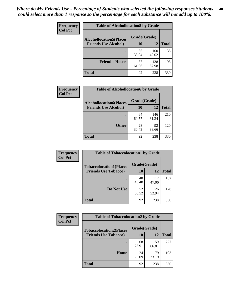| Frequency<br><b>Col Pct</b> | <b>Table of Alcohollocation5 by Grade</b>       |             |              |              |  |
|-----------------------------|-------------------------------------------------|-------------|--------------|--------------|--|
|                             | Grade(Grade)<br><b>Alcohollocation5</b> (Places |             |              |              |  |
|                             | <b>Friends Use Alcohol)</b>                     | 10          | 12           | <b>Total</b> |  |
|                             |                                                 | 35<br>38.04 | 100<br>42.02 | 135          |  |
|                             | <b>Friend's House</b>                           | 57<br>61.96 | 138<br>57.98 | 195          |  |
|                             | <b>Total</b>                                    | 92          | 238          | 330          |  |

| <b>Frequency</b> | <b>Table of Alcohollocation6 by Grade</b> |              |              |              |
|------------------|-------------------------------------------|--------------|--------------|--------------|
| <b>Col Pct</b>   | <b>Alcohollocation6(Places</b>            | Grade(Grade) |              |              |
|                  | <b>Friends Use Alcohol)</b>               | 10           | 12           | <b>Total</b> |
|                  |                                           | 64<br>69.57  | 146<br>61.34 | 210          |
|                  | <b>Other</b>                              | 28<br>30.43  | 92<br>38.66  | 120          |
|                  | <b>Total</b>                              | 92           | 238          | 330          |

| <b>Frequency</b> | <b>Table of Tobaccolocation1 by Grade</b> |              |              |              |
|------------------|-------------------------------------------|--------------|--------------|--------------|
| <b>Col Pct</b>   | <b>Tobaccolocation1(Places</b>            | Grade(Grade) |              |              |
|                  | <b>Friends Use Tobacco)</b>               | 10           | <b>12</b>    | <b>Total</b> |
|                  |                                           | 40<br>43.48  | 112<br>47.06 | 152          |
|                  | Do Not Use                                | 52<br>56.52  | 126<br>52.94 | 178          |
|                  | <b>Total</b>                              | 92           | 238          | 330          |

| <b>Frequency</b> | <b>Table of Tobaccolocation2 by Grade</b> |              |              |              |  |
|------------------|-------------------------------------------|--------------|--------------|--------------|--|
| <b>Col Pct</b>   | <b>Tobaccolocation2(Places</b>            | Grade(Grade) |              |              |  |
|                  | <b>Friends Use Tobacco)</b>               | 10           | 12           | <b>Total</b> |  |
|                  |                                           | 68<br>73.91  | 159<br>66.81 | 227          |  |
|                  | Home                                      | 24<br>26.09  | 79<br>33.19  | 103          |  |
|                  | <b>Total</b>                              | 92           | 238          | 330          |  |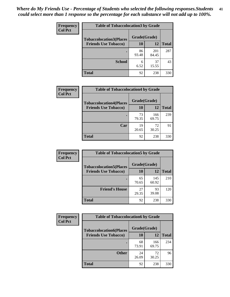| Frequency      |                                | <b>Table of Tobaccolocation 3 by Grade</b> |              |              |  |
|----------------|--------------------------------|--------------------------------------------|--------------|--------------|--|
| <b>Col Pct</b> | <b>Tobaccolocation3(Places</b> | Grade(Grade)                               |              |              |  |
|                | <b>Friends Use Tobacco)</b>    | 10                                         | 12           | <b>Total</b> |  |
|                |                                | 86<br>93.48                                | 201<br>84.45 | 287          |  |
|                | <b>School</b>                  | 6<br>6.52                                  | 37<br>15.55  | 43           |  |
|                | <b>Total</b>                   | 92                                         | 238          | 330          |  |

| Frequency      | <b>Table of Tobaccolocation4 by Grade</b> |              |              |              |
|----------------|-------------------------------------------|--------------|--------------|--------------|
| <b>Col Pct</b> | <b>Tobaccolocation4(Places</b>            | Grade(Grade) |              |              |
|                | <b>Friends Use Tobacco)</b>               | 10           | 12           | <b>Total</b> |
|                |                                           | 73<br>79.35  | 166<br>69.75 | 239          |
|                | Car                                       | 19<br>20.65  | 72<br>30.25  | 91           |
|                | <b>Total</b>                              | 92           | 238          | 330          |

| Frequency<br><b>Col Pct</b> | <b>Table of Tobaccolocation5 by Grade</b> |              |              |              |
|-----------------------------|-------------------------------------------|--------------|--------------|--------------|
|                             | <b>Tobaccolocation5(Places</b>            | Grade(Grade) |              |              |
|                             | <b>Friends Use Tobacco)</b>               | 10           | <b>12</b>    | <b>Total</b> |
|                             |                                           | 65<br>70.65  | 145<br>60.92 | 210          |
|                             | <b>Friend's House</b>                     | 27<br>29.35  | 93<br>39.08  | 120          |
|                             | <b>Total</b>                              | 92           | 238          | 330          |

 $\overline{\phantom{a}}$ 

| Frequency      | <b>Table of Tobaccolocation6 by Grade</b> |              |              |              |  |
|----------------|-------------------------------------------|--------------|--------------|--------------|--|
| <b>Col Pct</b> | <b>Tobaccolocation6(Places</b>            | Grade(Grade) |              |              |  |
|                | <b>Friends Use Tobacco)</b>               | 10           | 12           | <b>Total</b> |  |
|                |                                           | 68<br>73.91  | 166<br>69.75 | 234          |  |
|                | <b>Other</b>                              | 24<br>26.09  | 72<br>30.25  | 96           |  |
|                | <b>Total</b>                              | 92           | 238          | 330          |  |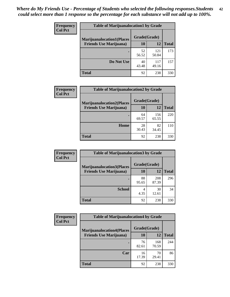| <b>Frequency</b> | <b>Table of Marijuanalocation1 by Grade</b> |              |              |              |
|------------------|---------------------------------------------|--------------|--------------|--------------|
| <b>Col Pct</b>   | <b>Marijuanalocation1(Places</b>            | Grade(Grade) |              |              |
|                  | <b>Friends Use Marijuana</b> )              | 10           | 12           | <b>Total</b> |
|                  |                                             | 52<br>56.52  | 121<br>50.84 | 173          |
|                  | Do Not Use                                  | 40<br>43.48  | 117<br>49.16 | 157          |
|                  | Total                                       | 92           | 238          | 330          |

| <b>Frequency</b> | <b>Table of Marijuanalocation2 by Grade</b>                        |                    |              |              |
|------------------|--------------------------------------------------------------------|--------------------|--------------|--------------|
| <b>Col Pct</b>   | <b>Marijuanalocation2(Places</b><br><b>Friends Use Marijuana</b> ) | Grade(Grade)<br>10 | 12           | <b>Total</b> |
|                  |                                                                    | 64<br>69.57        | 156<br>65.55 | 220          |
|                  | Home                                                               | 28<br>30.43        | 82<br>34.45  | 110          |
|                  | <b>Total</b>                                                       | 92                 | 238          | 330          |

| <b>Frequency</b> | <b>Table of Marijuanalocation3 by Grade</b> |              |              |              |
|------------------|---------------------------------------------|--------------|--------------|--------------|
| <b>Col Pct</b>   | <b>Marijuanalocation3(Places</b>            | Grade(Grade) |              |              |
|                  | <b>Friends Use Marijuana</b> )              | <b>10</b>    | 12           | <b>Total</b> |
|                  |                                             | 88<br>95.65  | 208<br>87.39 | 296          |
|                  | <b>School</b>                               | 4<br>4.35    | 30<br>12.61  | 34           |
|                  | <b>Total</b>                                | 92           | 238          | 330          |

| <b>Frequency</b> | <b>Table of Marijuanalocation4 by Grade</b> |              |              |              |
|------------------|---------------------------------------------|--------------|--------------|--------------|
| <b>Col Pct</b>   | <b>Marijuanalocation4(Places</b>            | Grade(Grade) |              |              |
|                  | <b>Friends Use Marijuana</b> )              | <b>10</b>    | 12           | <b>Total</b> |
|                  |                                             | 76<br>82.61  | 168<br>70.59 | 244          |
|                  | Car                                         | 16<br>17.39  | 70<br>29.41  | 86           |
|                  | <b>Total</b>                                | 92           | 238          | 330          |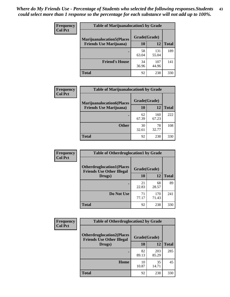| <b>Frequency</b> | <b>Table of Marijuanalocation5 by Grade</b> |              |              |              |
|------------------|---------------------------------------------|--------------|--------------|--------------|
| <b>Col Pct</b>   | <b>Marijuanalocation5</b> (Places           | Grade(Grade) |              |              |
|                  | <b>Friends Use Marijuana</b> )              | 10           | 12           | <b>Total</b> |
|                  |                                             | 58<br>63.04  | 131<br>55.04 | 189          |
|                  | <b>Friend's House</b>                       | 34<br>36.96  | 107<br>44.96 | 141          |
|                  | <b>Total</b>                                | 92           | 238          | 330          |

| <b>Frequency</b> | <b>Table of Marijuanalocation6 by Grade</b>                        |                           |              |              |
|------------------|--------------------------------------------------------------------|---------------------------|--------------|--------------|
| <b>Col Pct</b>   | <b>Marijuanalocation6(Places</b><br><b>Friends Use Marijuana</b> ) | Grade(Grade)<br><b>10</b> | 12           | <b>Total</b> |
|                  |                                                                    | 62<br>67.39               | 160<br>67.23 | 222          |
|                  | <b>Other</b>                                                       | 30<br>32.61               | 78<br>32.77  | 108          |
|                  | <b>Total</b>                                                       | 92                        | 238          | 330          |

| <b>Frequency</b> | <b>Table of Otherdruglocation1 by Grade</b>                          |              |              |              |
|------------------|----------------------------------------------------------------------|--------------|--------------|--------------|
| <b>Col Pct</b>   | <b>Otherdruglocation1(Places</b><br><b>Friends Use Other Illegal</b> | Grade(Grade) |              |              |
|                  | Drugs)                                                               | 10           | 12           | <b>Total</b> |
|                  |                                                                      | 21<br>22.83  | 68<br>28.57  | 89           |
|                  | Do Not Use                                                           | 71<br>77.17  | 170<br>71.43 | 241          |
|                  | <b>Total</b>                                                         | 92           | 238          | 330          |

| <b>Frequency</b><br><b>Col Pct</b>                                   | <b>Table of Otherdruglocation2 by Grade</b> |              |              |              |
|----------------------------------------------------------------------|---------------------------------------------|--------------|--------------|--------------|
| <b>Otherdruglocation2(Places</b><br><b>Friends Use Other Illegal</b> |                                             | Grade(Grade) |              |              |
|                                                                      | Drugs)                                      | 10           | 12           | <b>Total</b> |
|                                                                      |                                             | 82<br>89.13  | 203<br>85.29 | 285          |
|                                                                      | Home                                        | 10<br>10.87  | 35<br>14.71  | 45           |
|                                                                      | <b>Total</b>                                | 92           | 238          | 330          |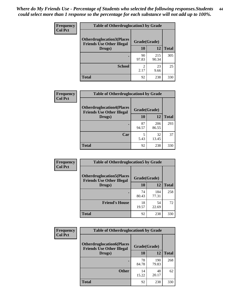| <b>Frequency</b> | <b>Table of Otherdruglocation 3 by Grade</b>                         |             |              |              |
|------------------|----------------------------------------------------------------------|-------------|--------------|--------------|
| <b>Col Pct</b>   | <b>Otherdruglocation3(Places</b><br><b>Friends Use Other Illegal</b> |             | Grade(Grade) |              |
|                  | Drugs)                                                               | 10          | 12           | <b>Total</b> |
|                  |                                                                      | 90<br>97.83 | 215<br>90.34 | 305          |
|                  | <b>School</b>                                                        | 2<br>2.17   | 23<br>9.66   | 25           |
|                  | <b>Total</b>                                                         | 92          | 238          | 330          |

| Frequency      | <b>Table of Otherdruglocation4 by Grade</b>                          |              |              |              |  |
|----------------|----------------------------------------------------------------------|--------------|--------------|--------------|--|
| <b>Col Pct</b> | <b>Otherdruglocation4(Places</b><br><b>Friends Use Other Illegal</b> | Grade(Grade) |              |              |  |
|                | Drugs)                                                               | 10           | 12           | <b>Total</b> |  |
|                |                                                                      | 87<br>94.57  | 206<br>86.55 | 293          |  |
|                | Car                                                                  | 5.43         | 32<br>13.45  | 37           |  |
|                | <b>Total</b>                                                         | 92           | 238          | 330          |  |

| Frequency<br><b>Col Pct</b> | <b>Table of Otherdruglocation5 by Grade</b>                          |              |              |              |
|-----------------------------|----------------------------------------------------------------------|--------------|--------------|--------------|
|                             | <b>Otherdruglocation5(Places</b><br><b>Friends Use Other Illegal</b> | Grade(Grade) |              |              |
|                             | Drugs)                                                               | 10           | 12           | <b>Total</b> |
|                             |                                                                      | 74<br>80.43  | 184<br>77.31 | 258          |
|                             | <b>Friend's House</b>                                                | 18<br>19.57  | 54<br>22.69  | 72           |
|                             | Total                                                                | 92           | 238          | 330          |

| <b>Frequency</b> | <b>Table of Otherdruglocation6 by Grade</b>                          |              |              |              |
|------------------|----------------------------------------------------------------------|--------------|--------------|--------------|
| <b>Col Pct</b>   | <b>Otherdruglocation6(Places</b><br><b>Friends Use Other Illegal</b> | Grade(Grade) |              |              |
|                  | Drugs)                                                               | <b>10</b>    | 12           | <b>Total</b> |
|                  |                                                                      | 78<br>84.78  | 190<br>79.83 | 268          |
|                  | <b>Other</b>                                                         | 14<br>15.22  | 48<br>20.17  | 62           |
|                  | <b>Total</b>                                                         | 92           | 238          | 330          |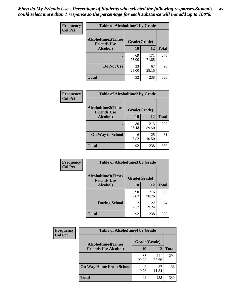| Frequency      | <b>Table of Alcoholtime1 by Grade</b>           |              |              |              |
|----------------|-------------------------------------------------|--------------|--------------|--------------|
| <b>Col Pct</b> | <b>Alcoholtime1(Times</b><br><b>Friends Use</b> | Grade(Grade) |              |              |
|                | Alcohol)                                        | 10           | <b>12</b>    | <b>Total</b> |
|                |                                                 | 69<br>75.00  | 171<br>71.85 | 240          |
|                | Do Not Use                                      | 23<br>25.00  | 67<br>28.15  | 90           |
|                | <b>Total</b>                                    | 92           | 238          | 330          |

| <b>Frequency</b> |                                                 | <b>Table of Alcoholtime2 by Grade</b> |              |              |  |  |
|------------------|-------------------------------------------------|---------------------------------------|--------------|--------------|--|--|
| <b>Col Pct</b>   | <b>Alcoholtime2(Times</b><br><b>Friends Use</b> | Grade(Grade)                          |              |              |  |  |
|                  | <b>Alcohol</b> )                                | 10                                    | 12           | <b>Total</b> |  |  |
|                  |                                                 | 86<br>93.48                           | 213<br>89.50 | 299          |  |  |
|                  | <b>On Way to School</b>                         | 6<br>6.52                             | 25<br>10.50  | 31           |  |  |
|                  | <b>Total</b>                                    | 92                                    | 238          | 330          |  |  |

| Frequency      | <b>Table of Alcoholtime3 by Grade</b>           |                        |              |              |
|----------------|-------------------------------------------------|------------------------|--------------|--------------|
| <b>Col Pct</b> | <b>Alcoholtime3(Times</b><br><b>Friends Use</b> | Grade(Grade)           |              |              |
|                | Alcohol)                                        | 10                     | <b>12</b>    | <b>Total</b> |
|                |                                                 | 90<br>97.83            | 216<br>90.76 | 306          |
|                | <b>During School</b>                            | $\mathfrak{D}$<br>2.17 | 22<br>9.24   | 24           |
|                | <b>Total</b>                                    | 92                     | 238          | 330          |

| <b>Frequency</b><br><b>Col Pct</b> | <b>Table of Alcoholtime4 by Grade</b> |              |              |              |
|------------------------------------|---------------------------------------|--------------|--------------|--------------|
|                                    | <b>Alcoholtime4(Times</b>             | Grade(Grade) |              |              |
|                                    | <b>Friends Use Alcohol)</b>           | 10           | 12           | <b>Total</b> |
|                                    |                                       | 83<br>90.22  | 211<br>88.66 | 294          |
|                                    | <b>On Way Home From School</b>        | q<br>9.78    | 27<br>11.34  | 36           |
|                                    | Total                                 | 92           | 238          | 330          |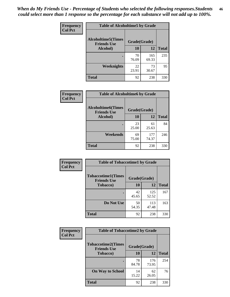*When do My Friends Use - Percentage of Students who selected the following responses.Students could select more than 1 response so the percentage for each substance will not add up to 100%.* **46**

| Frequency      | <b>Table of Alcoholtime5 by Grade</b>           |              |              |              |
|----------------|-------------------------------------------------|--------------|--------------|--------------|
| <b>Col Pct</b> | <b>Alcoholtime5(Times</b><br><b>Friends Use</b> | Grade(Grade) |              |              |
|                | Alcohol)                                        | 10           | 12           | <b>Total</b> |
|                |                                                 | 70<br>76.09  | 165<br>69.33 | 235          |
|                | Weeknights                                      | 22<br>23.91  | 73<br>30.67  | 95           |
|                | <b>Total</b>                                    | 92           | 238          | 330          |

| Frequency      | <b>Table of Alcoholtime6 by Grade</b>           |              |              |              |
|----------------|-------------------------------------------------|--------------|--------------|--------------|
| <b>Col Pct</b> | <b>Alcoholtime6(Times</b><br><b>Friends Use</b> | Grade(Grade) |              |              |
|                | Alcohol)                                        | 10           | 12           | <b>Total</b> |
|                |                                                 | 23<br>25.00  | 61<br>25.63  | 84           |
|                | Weekends                                        | 69<br>75.00  | 177<br>74.37 | 246          |
|                | <b>Total</b>                                    | 92           | 238          | 330          |

| <b>Frequency</b> | <b>Table of Tobaccotime1 by Grade</b>           |              |              |              |
|------------------|-------------------------------------------------|--------------|--------------|--------------|
| <b>Col Pct</b>   | <b>Tobaccotime1(Times</b><br><b>Friends Use</b> | Grade(Grade) |              |              |
|                  | <b>Tobacco</b> )                                | 10           | 12           | <b>Total</b> |
|                  | ٠                                               | 42<br>45.65  | 125<br>52.52 | 167          |
|                  | Do Not Use                                      | 50<br>54.35  | 113<br>47.48 | 163          |
|                  | <b>Total</b>                                    | 92           | 238          | 330          |

| <b>Frequency</b> | <b>Table of Tobaccotime2 by Grade</b>           |              |              |              |  |
|------------------|-------------------------------------------------|--------------|--------------|--------------|--|
| <b>Col Pct</b>   | <b>Tobaccotime2(Times</b><br><b>Friends Use</b> | Grade(Grade) |              |              |  |
|                  | <b>Tobacco</b> )                                | 10           | 12           | <b>Total</b> |  |
|                  |                                                 | 78<br>84.78  | 176<br>73.95 | 254          |  |
|                  | <b>On Way to School</b>                         | 14<br>15.22  | 62<br>26.05  | 76           |  |
|                  | Total                                           | 92           | 238          | 330          |  |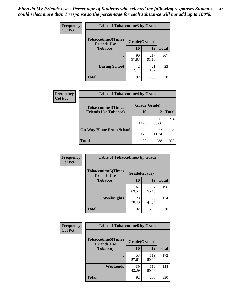*When do My Friends Use - Percentage of Students who selected the following responses.Students could select more than 1 response so the percentage for each substance will not add up to 100%.* **47**

| <b>Frequency</b> | <b>Table of Tobaccotime3 by Grade</b>           |              |              |              |
|------------------|-------------------------------------------------|--------------|--------------|--------------|
| <b>Col Pct</b>   | <b>Tobaccotime3(Times</b><br><b>Friends Use</b> | Grade(Grade) |              |              |
|                  | <b>Tobacco</b> )                                | 10           | 12           | <b>Total</b> |
|                  |                                                 | 90<br>97.83  | 217<br>91.18 | 307          |
|                  | <b>During School</b>                            | 2<br>2.17    | 21<br>8.82   | 23           |
|                  | <b>Total</b>                                    | 92           | 238          | 330          |

| <b>Frequency</b><br><b>Col Pct</b> | <b>Table of Tobaccotime4 by Grade</b> |              |              |              |
|------------------------------------|---------------------------------------|--------------|--------------|--------------|
|                                    | <b>Tobaccotime4(Times</b>             | Grade(Grade) |              |              |
|                                    | <b>Friends Use Tobacco)</b>           | 10           | 12           | <b>Total</b> |
|                                    |                                       | 83<br>90.22  | 211<br>88.66 | 294          |
|                                    | <b>On Way Home From School</b>        | 9<br>9.78    | 27<br>11.34  | 36           |
|                                    | Total                                 | 92           | 238          | 330          |

| Frequency      | <b>Table of Tobaccotime5 by Grade</b>            |              |              |              |
|----------------|--------------------------------------------------|--------------|--------------|--------------|
| <b>Col Pct</b> | <b>Tobaccotime5</b> (Times<br><b>Friends Use</b> | Grade(Grade) |              |              |
|                | <b>Tobacco</b> )                                 | 10           | 12           | <b>Total</b> |
|                | ٠                                                | 64<br>69.57  | 132<br>55.46 | 196          |
|                | Weeknights                                       | 28<br>30.43  | 106<br>44.54 | 134          |
|                | <b>Total</b>                                     | 92           | 238          | 330          |

| Frequency<br><b>Col Pct</b> | <b>Table of Tobaccotime6 by Grade</b>           |              |              |              |
|-----------------------------|-------------------------------------------------|--------------|--------------|--------------|
|                             | <b>Tobaccotime6(Times</b><br><b>Friends Use</b> | Grade(Grade) |              |              |
|                             | <b>Tobacco</b> )                                | 10           | 12           | <b>Total</b> |
|                             | ٠                                               | 53<br>57.61  | 119<br>50.00 | 172          |
|                             | Weekends                                        | 39<br>42.39  | 119<br>50.00 | 158          |
|                             | <b>Total</b>                                    | 92           | 238          | 330          |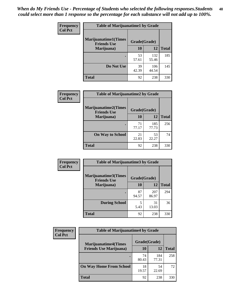| Frequency      | <b>Table of Marijuanatime1 by Grade</b>           |              |              |              |
|----------------|---------------------------------------------------|--------------|--------------|--------------|
| <b>Col Pct</b> | <b>Marijuanatime1(Times</b><br><b>Friends Use</b> | Grade(Grade) |              |              |
|                | Marijuana)                                        | 10           | 12           | <b>Total</b> |
|                |                                                   | 53<br>57.61  | 132<br>55.46 | 185          |
|                | Do Not Use                                        | 39<br>42.39  | 106<br>44.54 | 145          |
|                | <b>Total</b>                                      | 92           | 238          | 330          |

| Frequency      | <b>Table of Marijuanatime2 by Grade</b>           |              |              |              |
|----------------|---------------------------------------------------|--------------|--------------|--------------|
| <b>Col Pct</b> | <b>Marijuanatime2(Times</b><br><b>Friends Use</b> | Grade(Grade) |              |              |
|                | Marijuana)                                        | 10           | 12           | <b>Total</b> |
|                |                                                   | 71<br>77.17  | 185<br>77.73 | 256          |
|                | <b>On Way to School</b>                           | 21<br>22.83  | 53<br>22.27  | 74           |
|                | <b>Total</b>                                      | 92           | 238          | 330          |

| Frequency      | <b>Table of Marijuanatime3 by Grade</b>    |              |              |              |
|----------------|--------------------------------------------|--------------|--------------|--------------|
| <b>Col Pct</b> | Marijuanatime3(Times<br><b>Friends Use</b> | Grade(Grade) |              |              |
|                | Marijuana)                                 | 10           | 12           | <b>Total</b> |
|                |                                            | 87<br>94.57  | 207<br>86.97 | 294          |
|                | <b>During School</b>                       | 5<br>5.43    | 31<br>13.03  | 36           |
|                | <b>Total</b>                               | 92           | 238          | 330          |

| <b>Frequency</b> | <b>Table of Marijuanatime4 by Grade</b> |              |              |              |
|------------------|-----------------------------------------|--------------|--------------|--------------|
| <b>Col Pct</b>   | <b>Marijuanatime4</b> (Times            | Grade(Grade) |              |              |
|                  | <b>Friends Use Marijuana</b> )          | 10           | 12           | <b>Total</b> |
|                  |                                         | 74<br>80.43  | 184<br>77.31 | 258          |
|                  | <b>On Way Home From School</b>          | 18<br>19.57  | 54<br>22.69  | 72           |
|                  | <b>Total</b>                            | 92           | 238          | 330          |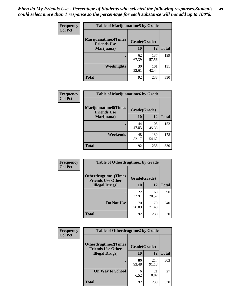| Frequency      | <b>Table of Marijuanatime5 by Grade</b>            |              |              |              |
|----------------|----------------------------------------------------|--------------|--------------|--------------|
| <b>Col Pct</b> | <b>Marijuanatime5</b> (Times<br><b>Friends Use</b> | Grade(Grade) |              |              |
|                | Marijuana)                                         | 10           | 12           | <b>Total</b> |
|                |                                                    | 62<br>67.39  | 137<br>57.56 | 199          |
|                | Weeknights                                         | 30<br>32.61  | 101<br>42.44 | 131          |
|                | <b>Total</b>                                       | 92           | 238          | 330          |

| <b>Frequency</b><br><b>Col Pct</b> | <b>Table of Marijuanatime6 by Grade</b>            |              |              |              |  |
|------------------------------------|----------------------------------------------------|--------------|--------------|--------------|--|
|                                    | <b>Marijuanatime6</b> (Times<br><b>Friends Use</b> | Grade(Grade) |              |              |  |
|                                    | Marijuana)                                         | <b>10</b>    | 12           | <b>Total</b> |  |
|                                    | $\bullet$                                          | 44<br>47.83  | 108<br>45.38 | 152          |  |
|                                    | Weekends                                           | 48<br>52.17  | 130<br>54.62 | 178          |  |
|                                    | <b>Total</b>                                       | 92           | 238          | 330          |  |

| Frequency      | <b>Table of Otherdrugtime1 by Grade</b>                 |              |              |              |
|----------------|---------------------------------------------------------|--------------|--------------|--------------|
| <b>Col Pct</b> | <b>Otherdrugtime1(Times</b><br><b>Friends Use Other</b> | Grade(Grade) |              |              |
|                | <b>Illegal Drugs</b> )                                  | 10           | 12           | <b>Total</b> |
|                |                                                         | 22<br>23.91  | 68<br>28.57  | 90           |
|                | Do Not Use                                              | 70<br>76.09  | 170<br>71.43 | 240          |
|                | <b>Total</b>                                            | 92           | 238          | 330          |

| Frequency      | <b>Table of Otherdrugtime2 by Grade</b>                 |              |              |              |  |  |
|----------------|---------------------------------------------------------|--------------|--------------|--------------|--|--|
| <b>Col Pct</b> | <b>Otherdrugtime2(Times</b><br><b>Friends Use Other</b> | Grade(Grade) |              |              |  |  |
|                | <b>Illegal Drugs</b> )                                  | 10           | 12           | <b>Total</b> |  |  |
|                |                                                         | 86<br>93.48  | 217<br>91.18 | 303          |  |  |
|                | <b>On Way to School</b>                                 | 6<br>6.52    | 21<br>8.82   | 27           |  |  |
|                | Total                                                   | 92           | 238          | 330          |  |  |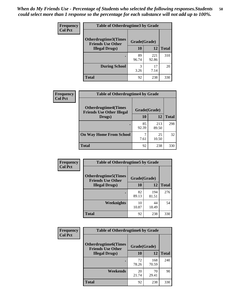| <b>Frequency</b> | <b>Table of Otherdrugtime3 by Grade</b>          |              |              |              |  |  |
|------------------|--------------------------------------------------|--------------|--------------|--------------|--|--|
| <b>Col Pct</b>   | Otherdrugtime3(Times<br><b>Friends Use Other</b> | Grade(Grade) |              |              |  |  |
|                  | <b>Illegal Drugs</b> )                           | 10           | 12           | <b>Total</b> |  |  |
|                  |                                                  | 89<br>96.74  | 221<br>92.86 | 310          |  |  |
|                  | <b>During School</b>                             | 3<br>3.26    | 17<br>7.14   | 20           |  |  |
|                  | <b>Total</b>                                     | 92           | 238          | 330          |  |  |

| <b>Frequency</b> | <b>Table of Otherdrugtime4 by Grade</b>                                         |             |              |              |  |  |
|------------------|---------------------------------------------------------------------------------|-------------|--------------|--------------|--|--|
| <b>Col Pct</b>   | <b>Otherdrugtime4(Times</b><br>Grade(Grade)<br><b>Friends Use Other Illegal</b> |             |              |              |  |  |
|                  | Drugs)                                                                          | 10          | 12           | <b>Total</b> |  |  |
|                  | $\bullet$                                                                       | 85<br>92.39 | 213<br>89.50 | 298          |  |  |
|                  | <b>On Way Home From School</b>                                                  | 7.61        | 25<br>10.50  | 32           |  |  |
|                  | Total                                                                           | 92          | 238          | 330          |  |  |

| <b>Frequency</b> | <b>Table of Otherdrugtime5 by Grade</b>                  |              |              |              |  |  |
|------------------|----------------------------------------------------------|--------------|--------------|--------------|--|--|
| <b>Col Pct</b>   | <b>Otherdrugtime5</b> (Times<br><b>Friends Use Other</b> | Grade(Grade) |              |              |  |  |
|                  | <b>Illegal Drugs</b> )                                   | 10           | 12           | <b>Total</b> |  |  |
|                  |                                                          | 82<br>89.13  | 194<br>81.51 | 276          |  |  |
|                  | Weeknights                                               | 10<br>10.87  | 44<br>18.49  | 54           |  |  |
|                  | Total                                                    | 92           | 238          | 330          |  |  |

| <b>Frequency</b> | <b>Table of Otherdrugtime6 by Grade</b>                 |              |              |              |  |  |
|------------------|---------------------------------------------------------|--------------|--------------|--------------|--|--|
| <b>Col Pct</b>   | <b>Otherdrugtime6(Times</b><br><b>Friends Use Other</b> | Grade(Grade) |              |              |  |  |
|                  | <b>Illegal Drugs</b> )                                  | 10           | 12           | <b>Total</b> |  |  |
|                  |                                                         | 72<br>78.26  | 168<br>70.59 | 240          |  |  |
|                  | Weekends                                                | 20<br>21.74  | 70<br>29.41  | 90           |  |  |
|                  | <b>Total</b>                                            | 92           | 238          | 330          |  |  |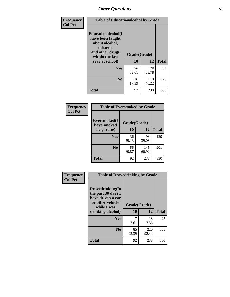| Frequency      | <b>Table of Educationalcohol by Grade</b>                                                                  |              |              |              |  |  |
|----------------|------------------------------------------------------------------------------------------------------------|--------------|--------------|--------------|--|--|
| <b>Col Pct</b> | Educationalcohol(I<br>have been taught<br>about alcohol,<br>tobacco,<br>and other drugs<br>within the last | Grade(Grade) |              |              |  |  |
|                | year at school)                                                                                            | 10           | 12           | <b>Total</b> |  |  |
|                | <b>Yes</b>                                                                                                 | 76<br>82.61  | 128<br>53.78 | 204          |  |  |
|                | N <sub>0</sub>                                                                                             | 16<br>17.39  | 110<br>46.22 | 126          |  |  |
|                | <b>Total</b>                                                                                               | 92           | 238          | 330          |  |  |

| Frequency      | <b>Table of Eversmoked by Grade</b> |              |              |              |  |  |  |
|----------------|-------------------------------------|--------------|--------------|--------------|--|--|--|
| <b>Col Pct</b> | Eversmoked(I<br>have smoked         | Grade(Grade) |              |              |  |  |  |
|                | a cigarette)                        | 10           | 12           | <b>Total</b> |  |  |  |
|                | Yes                                 | 36<br>39.13  | 93<br>39.08  | 129          |  |  |  |
|                | N <sub>0</sub>                      | 56<br>60.87  | 145<br>60.92 | 201          |  |  |  |
|                | <b>Total</b>                        | 92           | 238          | 330          |  |  |  |

| Frequency      | <b>Table of Drovedrinking by Grade</b>                                                                              |                          |              |              |  |  |
|----------------|---------------------------------------------------------------------------------------------------------------------|--------------------------|--------------|--------------|--|--|
| <b>Col Pct</b> | Drovedrinking(In<br>the past 30 days I<br>have driven a car<br>or other vehicle<br>while I was<br>drinking alcohol) | Grade(Grade)<br>10<br>12 |              | <b>Total</b> |  |  |
|                |                                                                                                                     |                          |              |              |  |  |
|                | <b>Yes</b>                                                                                                          | 7.61                     | 18<br>7.56   | 25           |  |  |
|                | N <sub>0</sub>                                                                                                      | 85<br>92.39              | 220<br>92.44 | 305          |  |  |
|                | <b>Total</b>                                                                                                        | 92                       | 238          | 330          |  |  |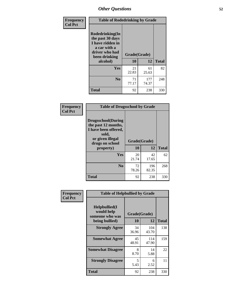| Frequency<br><b>Col Pct</b> | <b>Table of Rodedrinking by Grade</b>                                                                             |              |              |              |  |  |  |
|-----------------------------|-------------------------------------------------------------------------------------------------------------------|--------------|--------------|--------------|--|--|--|
|                             | <b>Rodedrinking(In</b><br>the past 30 days<br>I have ridden in<br>a car with a<br>driver who had<br>been drinking | Grade(Grade) |              |              |  |  |  |
|                             | alcohol)                                                                                                          | 10           | 12           | <b>Total</b> |  |  |  |
|                             | <b>Yes</b>                                                                                                        | 21<br>22.83  | 61<br>25.63  | 82           |  |  |  |
|                             | N <sub>0</sub>                                                                                                    | 71<br>77.17  | 177<br>74.37 | 248          |  |  |  |
|                             | <b>Total</b>                                                                                                      | 92           | 238          | 330          |  |  |  |

#### **Frequency Col Pct**

| <b>Table of Drugsschool by Grade</b>                                                                                      |              |              |              |  |  |  |  |
|---------------------------------------------------------------------------------------------------------------------------|--------------|--------------|--------------|--|--|--|--|
| <b>Drugsschool</b> (During<br>the past 12 months,<br>I have been offered,<br>sold,<br>or given illegal<br>drugs on school | Grade(Grade) |              |              |  |  |  |  |
| property)                                                                                                                 | 10           | 12           | <b>Total</b> |  |  |  |  |
| Yes                                                                                                                       | 20<br>21.74  | 42<br>17.65  | 62           |  |  |  |  |
| $\bf No$                                                                                                                  | 72<br>78.26  | 196<br>82.35 | 268          |  |  |  |  |
| Total                                                                                                                     | 92           | 238          | 330          |  |  |  |  |

| Frequency      | <b>Table of Helpbullied by Grade</b>                                   |                    |              |     |  |  |  |
|----------------|------------------------------------------------------------------------|--------------------|--------------|-----|--|--|--|
| <b>Col Pct</b> | $Helpb$ ullied $(I$<br>would help<br>someone who was<br>being bullied) | Grade(Grade)<br>10 | <b>Total</b> |     |  |  |  |
|                |                                                                        |                    | 12           |     |  |  |  |
|                | <b>Strongly Agree</b>                                                  | 34<br>36.96        | 104<br>43.70 | 138 |  |  |  |
|                | <b>Somewhat Agree</b>                                                  | 45<br>48.91        | 114<br>47.90 | 159 |  |  |  |
|                | <b>Somewhat Disagree</b>                                               | 8<br>8.70          | 14<br>5.88   | 22  |  |  |  |
|                | <b>Strongly Disagree</b>                                               | 5<br>5.43          | 6<br>2.52    | 11  |  |  |  |
|                | <b>Total</b>                                                           | 92                 | 238          | 330 |  |  |  |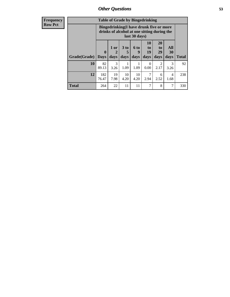| <b>Frequency</b> | <b>Table of Grade by Bingedrinking</b> |                                                                                                         |                                |                              |                   |                        |                               |                        |              |
|------------------|----------------------------------------|---------------------------------------------------------------------------------------------------------|--------------------------------|------------------------------|-------------------|------------------------|-------------------------------|------------------------|--------------|
| <b>Row Pct</b>   |                                        | Bingedrinking(I have drunk five or more<br>drinks of alcohol at one sitting during the<br>last 30 days) |                                |                              |                   |                        |                               |                        |              |
|                  | Grade(Grade)                           | $\mathbf{0}$<br><b>Days</b>                                                                             | 1 or<br>$\overline{2}$<br>days | 3 <sub>to</sub><br>5<br>days | 6 to<br>9<br>days | 10<br>to<br>19<br>days | <b>20</b><br>to<br>29<br>days | All<br>30<br>days      | <b>Total</b> |
|                  | 10                                     | 82<br>89.13                                                                                             | 3<br>3.26                      | 1.09                         | 1.09              | $\Omega$<br>0.00       | 2<br>2.17                     | 3<br>3.26              | 92           |
|                  | 12                                     | 182<br>76.47                                                                                            | 19<br>7.98                     | 10<br>4.20                   | 10<br>4.20        | 7<br>2.94              | 6<br>2.52                     | $\overline{4}$<br>1.68 | 238          |
|                  | <b>Total</b>                           | 264                                                                                                     | 22                             | 11                           | 11                | 7                      | 8                             | 7                      | 330          |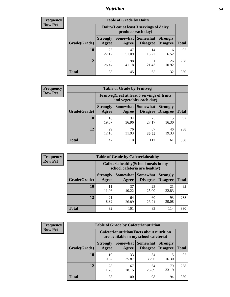### *Nutrition* **54**

| <b>Frequency</b><br>Row Pct |
|-----------------------------|
|                             |

| <b>Table of Grade by Dairy</b> |             |                                                                                                                                                                                                              |             |             |     |  |  |  |
|--------------------------------|-------------|--------------------------------------------------------------------------------------------------------------------------------------------------------------------------------------------------------------|-------------|-------------|-----|--|--|--|
|                                |             | Dairy (I eat at least 3 servings of dairy<br>products each day)<br><b>Somewhat</b><br><b>Somewhat</b><br><b>Strongly</b><br><b>Strongly</b><br><b>Disagree</b><br>Disagree<br><b>Total</b><br>Agree<br>Agree |             |             |     |  |  |  |
| Grade(Grade)                   |             |                                                                                                                                                                                                              |             |             |     |  |  |  |
| 10                             | 25<br>27.17 | 47<br>51.09                                                                                                                                                                                                  | 14<br>15.22 | 6<br>6.52   | 92  |  |  |  |
| 12                             | 63<br>26.47 | 98<br>41.18                                                                                                                                                                                                  | 51<br>21.43 | 26<br>10.92 | 238 |  |  |  |
| <b>Total</b>                   | 88          | 145                                                                                                                                                                                                          | 65          | 32          | 330 |  |  |  |

| <b>Frequency</b> |
|------------------|
| <b>Row Pct</b>   |

| <b>y</b> | <b>Table of Grade by Fruitveg</b> |                                 |                                                                                                     |             |             |     |  |  |
|----------|-----------------------------------|---------------------------------|-----------------------------------------------------------------------------------------------------|-------------|-------------|-----|--|--|
|          |                                   |                                 | Fruitveg(I eat at least 5 servings of fruits<br>and vegetables each day)                            |             |             |     |  |  |
|          | Grade(Grade)                      | <b>Strongly</b><br><b>Agree</b> | <b>Somewhat</b> Somewhat<br><b>Strongly</b><br><b>Disagree</b><br>Disagree<br><b>Total</b><br>Agree |             |             |     |  |  |
|          | 10                                | 18<br>19.57                     | 34<br>36.96                                                                                         | 25<br>27.17 | 15<br>16.30 | 92  |  |  |
|          | 12                                | 29<br>12.18                     | 76<br>31.93                                                                                         | 87<br>36.55 | 46<br>19.33 | 238 |  |  |
|          | <b>Total</b>                      | 47                              | 110                                                                                                 | 112         | 61          | 330 |  |  |

| <b>Frequency</b> | <b>Table of Grade by Cafeteriahealthy</b> |                                                                       |             |                                      |                                    |              |  |
|------------------|-------------------------------------------|-----------------------------------------------------------------------|-------------|--------------------------------------|------------------------------------|--------------|--|
| <b>Row Pct</b>   |                                           | Cafeteriahealthy (School meals in my<br>school cafeteria are healthy) |             |                                      |                                    |              |  |
|                  | Grade(Grade)                              | <b>Strongly</b><br>Agree                                              | Agree       | Somewhat Somewhat<br><b>Disagree</b> | <b>Strongly</b><br><b>Disagree</b> | <b>Total</b> |  |
|                  | 10                                        | 11<br>11.96                                                           | 37<br>40.22 | 23<br>25.00                          | 21<br>22.83                        | 92           |  |
|                  | 12                                        | 21<br>8.82                                                            | 64<br>26.89 | 60<br>25.21                          | 93<br>39.08                        | 238          |  |
|                  | Total                                     | 32                                                                    | 101         | 83                                   | 114                                | 330          |  |

| <b>Frequency</b> |
|------------------|
| <b>Row Pct</b>   |

|                                                                      | <b>Table of Grade by Cafeterianutrition</b> |                                                                                           |             |                                    |                                    |              |  |  |
|----------------------------------------------------------------------|---------------------------------------------|-------------------------------------------------------------------------------------------|-------------|------------------------------------|------------------------------------|--------------|--|--|
|                                                                      |                                             | <b>Cafeterianutrition</b> (Facts about nutrition<br>are available in my school cafeteria) |             |                                    |                                    |              |  |  |
| <b>Somewhat</b><br><b>Strongly</b><br>Agree<br>Grade(Grade)<br>Agree |                                             |                                                                                           |             | <b>Somewhat</b><br><b>Disagree</b> | <b>Strongly</b><br><b>Disagree</b> | <b>Total</b> |  |  |
|                                                                      | 10                                          | 10<br>10.87                                                                               | 33<br>35.87 | 34<br>36.96                        | 15<br>16.30                        | 92           |  |  |
|                                                                      | 12                                          | 28<br>11.76                                                                               | 67<br>28.15 | 64<br>26.89                        | 79<br>33.19                        | 238          |  |  |
|                                                                      | Total                                       | 38                                                                                        | 100         | 98                                 | 94                                 | 330          |  |  |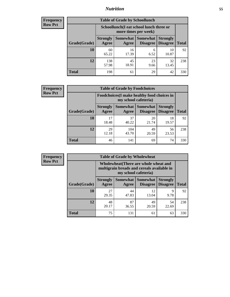### *Nutrition* **55**

| Frequency |
|-----------|
| Row Pct   |

| <b>Table of Grade by Schoollunch</b> |                                                                                                                            |                                                                 |            |             |     |  |  |  |
|--------------------------------------|----------------------------------------------------------------------------------------------------------------------------|-----------------------------------------------------------------|------------|-------------|-----|--|--|--|
|                                      |                                                                                                                            | Schoollunch(I eat school lunch three or<br>more times per week) |            |             |     |  |  |  |
| Grade(Grade)                         | Somewhat   Somewhat<br><b>Strongly</b><br><b>Strongly</b><br><b>Disagree</b><br>Disagree<br><b>Total</b><br>Agree<br>Agree |                                                                 |            |             |     |  |  |  |
| 10                                   | 60<br>65.22                                                                                                                | 16<br>17.39                                                     | 6<br>6.52  | 10<br>10.87 | 92  |  |  |  |
| 12                                   | 138<br>57.98                                                                                                               | 45<br>18.91                                                     | 23<br>9.66 | 32<br>13.45 | 238 |  |  |  |
| <b>Total</b>                         | 198                                                                                                                        | 61                                                              | 29         | 42          | 330 |  |  |  |

| <b>Frequency</b> |  |
|------------------|--|
| <b>Row Pct</b>   |  |

| <b>Table of Grade by Foodchoices</b>                                               |             |              |             |             |              |  |  |  |
|------------------------------------------------------------------------------------|-------------|--------------|-------------|-------------|--------------|--|--|--|
| Foodchoices (I make healthy food choices in<br>my school cafeteria)                |             |              |             |             |              |  |  |  |
| Somewhat Somewhat<br><b>Strongly</b><br>Grade(Grade)<br>Agree<br>Disagree<br>Agree |             |              |             |             | <b>Total</b> |  |  |  |
| 10                                                                                 | 17<br>18.48 | 37<br>40.22  | 20<br>21.74 | 18<br>19.57 | 92           |  |  |  |
| 12                                                                                 | 29<br>12.18 | 104<br>43.70 | 49<br>20.59 | 56<br>23.53 | 238          |  |  |  |
| <b>Total</b>                                                                       | 46          | 141          | 69          | 74          | 330          |  |  |  |

| <b>Frequency</b> | <b>Table of Grade by Wholewheat</b> |                                                                                                             |             |                                   |                                    |              |  |  |
|------------------|-------------------------------------|-------------------------------------------------------------------------------------------------------------|-------------|-----------------------------------|------------------------------------|--------------|--|--|
| <b>Row Pct</b>   |                                     | Wholewheat (There are whole wheat and<br>multigrain breads and cereals available in<br>my school cafeteria) |             |                                   |                                    |              |  |  |
|                  | Grade(Grade)                        | <b>Strongly</b><br>Agree                                                                                    | Agree       | Somewhat   Somewhat  <br>Disagree | <b>Strongly</b><br><b>Disagree</b> | <b>Total</b> |  |  |
|                  | 10                                  | 27<br>29.35                                                                                                 | 44<br>47.83 | 12<br>13.04                       | 9<br>9.78                          | 92           |  |  |
|                  | 12                                  | 48<br>20.17                                                                                                 | 87<br>36.55 | 49<br>20.59                       | 54<br>22.69                        | 238          |  |  |
|                  | <b>Total</b>                        | 75                                                                                                          | 131         | 61                                | 63                                 | 330          |  |  |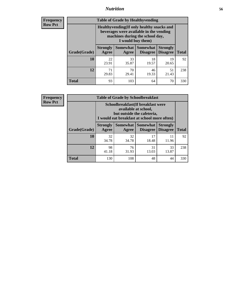### *Nutrition* **56**

**Frequency Row Pct**

| <b>Table of Grade by Healthyvending</b> |                                                                                                                                               |                          |                                    |                                    |              |  |
|-----------------------------------------|-----------------------------------------------------------------------------------------------------------------------------------------------|--------------------------|------------------------------------|------------------------------------|--------------|--|
|                                         | Healthyvending (If only healthy snacks and<br>beverages were available in the vending<br>machines during the school day,<br>I would buy them) |                          |                                    |                                    |              |  |
| Grade(Grade)                            | <b>Strongly</b><br>Agree                                                                                                                      | <b>Somewhat</b><br>Agree | <b>Somewhat</b><br><b>Disagree</b> | <b>Strongly</b><br><b>Disagree</b> | <b>Total</b> |  |
| 10                                      | 22<br>23.91                                                                                                                                   | 33<br>35.87              | 18<br>19.57                        | 19<br>20.65                        | 92           |  |
| 12                                      | 71<br>29.83                                                                                                                                   | 70<br>29.41              | 46<br>19.33                        | 51<br>21.43                        | 238          |  |
| <b>Total</b>                            | 93                                                                                                                                            | 103                      | 64                                 | 70                                 | 330          |  |

**Frequency Row Pct**

| <b>Table of Grade by Schoolbreakfast</b> |                                                                                                                                         |             |                                        |                                    |              |  |
|------------------------------------------|-----------------------------------------------------------------------------------------------------------------------------------------|-------------|----------------------------------------|------------------------------------|--------------|--|
|                                          | Schoolbreakfast (If breakfast were<br>available at school,<br>but outside the cafeteria,<br>I would eat breakfast at school more often) |             |                                        |                                    |              |  |
| Grade(Grade)                             | <b>Strongly</b><br>Agree                                                                                                                | Agree       | Somewhat   Somewhat<br><b>Disagree</b> | <b>Strongly</b><br><b>Disagree</b> | <b>Total</b> |  |
| 10                                       | 32<br>34.78                                                                                                                             | 32<br>34.78 | 17<br>18.48                            | 11<br>11.96                        | 92           |  |
| 12                                       | 98<br>41.18                                                                                                                             | 76<br>31.93 | 31<br>13.03                            | 33<br>13.87                        | 238          |  |
| <b>Total</b>                             | 130                                                                                                                                     | 108         | 48                                     | 44                                 | 330          |  |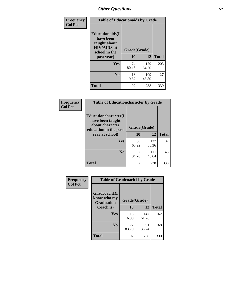| Frequency<br><b>Col Pct</b> | <b>Table of Educationaids by Grade</b>                                                                    |                    |              |              |
|-----------------------------|-----------------------------------------------------------------------------------------------------------|--------------------|--------------|--------------|
|                             | <b>Educationaids</b> (I<br>have been<br>taught about<br><b>HIV/AIDS</b> at<br>school in the<br>past year) | Grade(Grade)<br>10 | 12           | <b>Total</b> |
|                             | Yes                                                                                                       | 74<br>80.43        | 129<br>54.20 | 203          |
|                             | N <sub>0</sub>                                                                                            | 18<br>19.57        | 109<br>45.80 | 127          |
|                             | <b>Total</b>                                                                                              | 92                 | 238          | 330          |

| Frequency      | <b>Table of Educationcharacter by Grade</b>                         |              |              |              |
|----------------|---------------------------------------------------------------------|--------------|--------------|--------------|
| <b>Col Pct</b> | <b>Educationcharacter(I)</b><br>have been taught<br>about character |              |              |              |
|                | education in the past                                               | Grade(Grade) |              |              |
|                | year at school)                                                     | 10           | 12           | <b>Total</b> |
|                | Yes                                                                 | 60<br>65.22  | 127<br>53.36 | 187          |
|                | N <sub>0</sub>                                                      | 32<br>34.78  | 111<br>46.64 | 143          |
|                | <b>Total</b>                                                        | 92           | 238          | 330          |

| <b>Frequency</b><br><b>Col Pct</b> | <b>Table of Gradcoach1 by Grade</b> |              |              |              |
|------------------------------------|-------------------------------------|--------------|--------------|--------------|
|                                    | Gradcoach1(I<br>know who my         | Grade(Grade) |              |              |
|                                    | <b>Graduation</b><br>Coach is)      | 10           | 12           | <b>Total</b> |
|                                    | Yes                                 | 15<br>16.30  | 147<br>61.76 | 162          |
|                                    | N <sub>0</sub>                      | 77<br>83.70  | 91<br>38.24  | 168          |
|                                    | <b>Total</b>                        | 92           | 238          | 330          |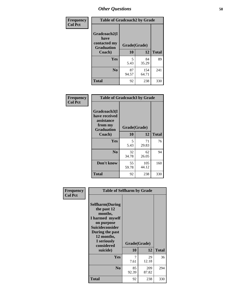| Frequency      | <b>Table of Gradcoach2 by Grade</b> |              |              |              |
|----------------|-------------------------------------|--------------|--------------|--------------|
| <b>Col Pct</b> |                                     |              |              |              |
|                | Gradcoach2(I<br>have                |              |              |              |
|                | contacted my<br><b>Graduation</b>   | Grade(Grade) |              |              |
|                | Coach)                              | 10           | 12           | <b>Total</b> |
|                | Yes                                 | 5<br>5.43    | 84<br>35.29  | 89           |
|                | N <sub>0</sub>                      | 87<br>94.57  | 154<br>64.71 | 241          |
|                | <b>Total</b>                        | 92           | 238          | 330          |

| Frequency<br><b>Col Pct</b> | <b>Table of Gradcoach3 by Grade</b>                                         |              |              |              |
|-----------------------------|-----------------------------------------------------------------------------|--------------|--------------|--------------|
|                             | Gradcoach3(I<br>have received<br>assistance<br>from my<br><b>Graduation</b> | Grade(Grade) |              |              |
|                             | Coach)                                                                      | 10           | 12           | <b>Total</b> |
|                             | <b>Yes</b>                                                                  | 5<br>5.43    | 71<br>29.83  | 76           |
|                             | N <sub>0</sub>                                                              | 32<br>34.78  | 62<br>26.05  | 94           |
|                             | Don't know                                                                  | 55<br>59.78  | 105<br>44.12 | 160          |
|                             | <b>Total</b>                                                                | 92           | 238          | 330          |

| Frequency      | <b>Table of Selfharm by Grade</b>                                                                                                                                                      |                    |              |              |
|----------------|----------------------------------------------------------------------------------------------------------------------------------------------------------------------------------------|--------------------|--------------|--------------|
| <b>Col Pct</b> | <b>Selfharm</b> (During<br>the past 12<br>months,<br>I harmed myself<br>on purpose<br><b>Suicideconsider</b><br>During the past<br>12 months,<br>I seriously<br>considered<br>suicide) | Grade(Grade)<br>10 | 12           | <b>Total</b> |
|                | Yes                                                                                                                                                                                    | 7<br>7.61          | 29<br>12.18  | 36           |
|                | N <sub>0</sub>                                                                                                                                                                         | 85<br>92.39        | 209<br>87.82 | 294          |
|                | <b>Total</b>                                                                                                                                                                           | 92                 | 238          | 330          |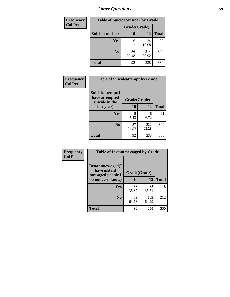| <b>Frequency</b> | <b>Table of Suicideconsider by Grade</b> |              |              |              |  |
|------------------|------------------------------------------|--------------|--------------|--------------|--|
| <b>Col Pct</b>   |                                          | Grade(Grade) |              |              |  |
|                  | <b>Suicideconsider</b>                   | <b>10</b>    | 12           | <b>Total</b> |  |
|                  | Yes                                      | 6<br>6.52    | 24<br>10.08  | 30           |  |
|                  | N <sub>0</sub>                           | 86<br>93.48  | 214<br>89.92 | 300          |  |
|                  | <b>Total</b>                             | 92           | 238          | 330          |  |

| Frequency      | <b>Table of Suicideattempt by Grade</b>              |              |              |              |
|----------------|------------------------------------------------------|--------------|--------------|--------------|
| <b>Col Pct</b> | Suicideattempt(I<br>have attempted<br>suicide in the | Grade(Grade) |              |              |
|                | last year)                                           | 10           | 12           | <b>Total</b> |
|                | Yes                                                  | 5<br>5.43    | 16<br>6.72   | 21           |
|                | N <sub>0</sub>                                       | 87<br>94.57  | 222<br>93.28 | 309          |
|                | <b>Total</b>                                         | 92           | 238          | 330          |

| Frequency      | <b>Table of Instantmessaged by Grade</b>                       |              |              |              |
|----------------|----------------------------------------------------------------|--------------|--------------|--------------|
| <b>Col Pct</b> | <b>Instantmessaged</b> (I<br>have instant<br>messaged people I | Grade(Grade) |              |              |
|                | do not even know)                                              | 10           | 12           | <b>Total</b> |
|                | Yes                                                            | 33<br>35.87  | 85<br>35.71  | 118          |
|                | N <sub>0</sub>                                                 | 59<br>64.13  | 153<br>64.29 | 212          |
|                | <b>Total</b>                                                   | 92           | 238          | 330          |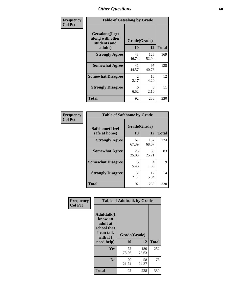| Frequency      | <b>Table of Getsalong by Grade</b>                          |                       |              |              |
|----------------|-------------------------------------------------------------|-----------------------|--------------|--------------|
| <b>Col Pct</b> | <b>Getsalong</b> (I get<br>along with other<br>students and | Grade(Grade)          |              |              |
|                | adults)                                                     | 10                    | 12           | <b>Total</b> |
|                | <b>Strongly Agree</b>                                       | 43<br>46.74           | 126<br>52.94 | 169          |
|                | <b>Somewhat Agree</b>                                       | 41<br>44.57           | 97<br>40.76  | 138          |
|                | <b>Somewhat Disagree</b>                                    | $\mathcal{L}$<br>2.17 | 10<br>4.20   | 12           |
|                | <b>Strongly Disagree</b>                                    | 6<br>6.52             | 5<br>2.10    | 11           |
|                | <b>Total</b>                                                | 92                    | 238          | 330          |

| Frequency      | <b>Table of Safehome by Grade</b> |                                     |              |              |
|----------------|-----------------------------------|-------------------------------------|--------------|--------------|
| <b>Col Pct</b> | Safehome(I feel<br>safe at home)  | Grade(Grade)<br>10                  | 12           | <b>Total</b> |
|                | <b>Strongly Agree</b>             | 62<br>67.39                         | 162<br>68.07 | 224          |
|                | <b>Somewhat Agree</b>             | 23<br>25.00                         | 60<br>25.21  | 83           |
|                | <b>Somewhat Disagree</b>          | 5<br>5.43                           | 4<br>1.68    | 9            |
|                | <b>Strongly Disagree</b>          | $\mathcal{D}_{\mathcal{L}}$<br>2.17 | 12<br>5.04   | 14           |
|                | <b>Total</b>                      | 92                                  | 238          | 330          |

| Frequency      |                                                                                                    | <b>Table of Adulttalk by Grade</b> |              |              |
|----------------|----------------------------------------------------------------------------------------------------|------------------------------------|--------------|--------------|
| <b>Col Pct</b> | <b>Adulttalk</b> (I<br>know an<br>adult at<br>school that<br>I can talk<br>with if I<br>need help) | Grade(Grade)<br>10                 | 12           | <b>Total</b> |
|                | Yes                                                                                                | 72<br>78.26                        | 180<br>75.63 | 252          |
|                | N <sub>0</sub>                                                                                     | 20<br>21.74                        | 58<br>24.37  | 78           |
|                | <b>Total</b>                                                                                       | 92                                 | 238          | 330          |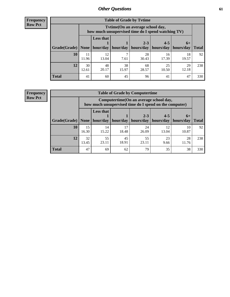**Frequency Row Pct**

| <b>Table of Grade by Tvtime</b> |             |                                                                                        |             |             |             |             |              |  |  |  |
|---------------------------------|-------------|----------------------------------------------------------------------------------------|-------------|-------------|-------------|-------------|--------------|--|--|--|
|                                 |             | Tvtime(On an average school day,<br>how much unsupervised time do I spend watching TV) |             |             |             |             |              |  |  |  |
|                                 |             | <b>Less that</b>                                                                       |             | $2 - 3$     | $4 - 5$     | $6+$        |              |  |  |  |
| Grade(Grade)                    | None        | hour/day                                                                               | hour/day    | hours/day   | hours/day   | hours/day   | <b>Total</b> |  |  |  |
| 10                              | 11<br>11.96 | 12<br>13.04                                                                            | 7.61        | 28<br>30.43 | 16<br>17.39 | 18<br>19.57 | 92           |  |  |  |
| 12                              | 30<br>12.61 | 48<br>20.17                                                                            | 38<br>15.97 | 68<br>28.57 | 25<br>10.50 | 29<br>12.18 | 238          |  |  |  |
| <b>Total</b>                    | 41          | 60                                                                                     | 45          | 96          | 41          | 47          | 330          |  |  |  |

**Frequency Row Pct**

| <b>Table of Grade by Computertime</b> |             |                                                                                                   |                     |             |             |             |              |  |  |
|---------------------------------------|-------------|---------------------------------------------------------------------------------------------------|---------------------|-------------|-------------|-------------|--------------|--|--|
|                                       |             | Computertime (On an average school day,<br>how much unsupervised time do I spend on the computer) |                     |             |             |             |              |  |  |
|                                       |             | <b>Less that</b>                                                                                  |                     | $2 - 3$     | $4 - 5$     | $6+$        |              |  |  |
| Grade(Grade)                          | None        |                                                                                                   | hour/day   hour/day | hours/day   | hours/day   | hours/day   | <b>Total</b> |  |  |
| 10                                    | 15<br>16.30 | 14<br>15.22                                                                                       | 17<br>18.48         | 24<br>26.09 | 12<br>13.04 | 10<br>10.87 | 92           |  |  |
| 12                                    | 32<br>13.45 | 55<br>45<br>55<br>23<br>28<br>23.11<br>18.91<br>23.11<br>9.66<br>11.76                            |                     |             |             |             |              |  |  |
| <b>Total</b>                          | 47          | 69                                                                                                | 62                  | 79          | 35          | 38          | 330          |  |  |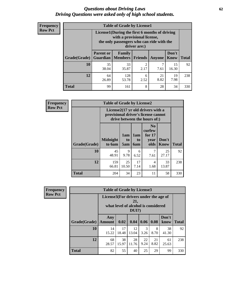#### *Questions about Driving Laws* **62** *Driving Questions were asked only of high school students.*

| <b>Frequency</b> |
|------------------|
| <b>Row Pct</b>   |

| <b>Table of Grade by License1</b> |                                                                      |                                                                                                                                           |                |        |               |              |  |  |  |
|-----------------------------------|----------------------------------------------------------------------|-------------------------------------------------------------------------------------------------------------------------------------------|----------------|--------|---------------|--------------|--|--|--|
|                                   |                                                                      | License1(During the first 6 months of driving<br>with a provisional license,<br>the only passengers who can ride with the<br>driver are:) |                |        |               |              |  |  |  |
| Grade(Grade)                      | <b>Parent or</b><br>Guardian                                         | Family<br><b>Members</b>                                                                                                                  | <b>Friends</b> | Anyone | Don't<br>Know | <b>Total</b> |  |  |  |
| 10                                | 35<br>38.04                                                          | 33<br>35.87                                                                                                                               | 2<br>2.17      | 7.61   | 15<br>16.30   | 92           |  |  |  |
| 12                                | 128<br>21<br>19<br>64<br>6<br>8.82<br>7.98<br>53.78<br>26.89<br>2.52 |                                                                                                                                           |                |        |               |              |  |  |  |
| Total                             | 99                                                                   | 161                                                                                                                                       | 8              | 28     | 34            | 330          |  |  |  |

| Frequency      |              | <b>Table of Grade by License2</b>                                                                        |                  |                         |                                                      |                      |              |  |
|----------------|--------------|----------------------------------------------------------------------------------------------------------|------------------|-------------------------|------------------------------------------------------|----------------------|--------------|--|
| <b>Row Pct</b> |              | License2(17 yr old drivers with a<br>provisional driver's license cannot<br>drive between the hours of:) |                  |                         |                                                      |                      |              |  |
|                | Grade(Grade) | <b>Midnight</b><br>to 6am                                                                                | 1am<br>to<br>5am | 1am<br>to<br><b>6am</b> | N <sub>0</sub><br>curfew<br>for $17$<br>year<br>olds | Don't<br><b>Know</b> | <b>Total</b> |  |
|                | 10           | 45<br>48.91                                                                                              | 9<br>9.78        | 6<br>6.52               | 7<br>7.61                                            | 25<br>27.17          | 92           |  |
|                | 12           | 159<br>66.81                                                                                             | 25<br>10.50      | 17<br>7.14              | 4<br>1.68                                            | 33<br>13.87          | 238          |  |
|                | <b>Total</b> | 204                                                                                                      | 34               | 23                      | 11                                                   | 58                   | 330          |  |

| Frequency      | <b>Table of Grade by License3</b> |                                       |             |                                                        |            |            |               |              |
|----------------|-----------------------------------|---------------------------------------|-------------|--------------------------------------------------------|------------|------------|---------------|--------------|
| <b>Row Pct</b> |                                   | License3(For drivers under the age of |             | 21,<br>what level of alcohol is considered<br>$DUI$ ?) |            |            |               |              |
|                | Grade(Grade)                      | Any<br><b>Amount</b>                  | 0.02        | 0.04                                                   | 0.06       | 0.08       | Don't<br>know | <b>Total</b> |
|                | <b>10</b>                         | 14<br>15.22                           | 17<br>18.48 | 12<br>13.04                                            | 3<br>3.26  | 8<br>8.70  | 38<br>41.30   | 92           |
|                | 12                                | 68<br>28.57                           | 38<br>15.97 | 28<br>11.76                                            | 22<br>9.24 | 21<br>8.82 | 61<br>25.63   | 238          |
|                | <b>Total</b>                      | 82                                    | 55          | 40                                                     | 25         | 29         | 99            | 330          |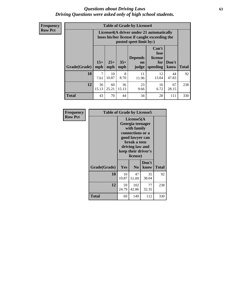#### *Questions about Driving Laws* **63** *Driving Questions were asked only of high school students.*

**Frequency Row Pct**

| <b>Table of Grade by License4</b> |              |                                                                                                                                                                                                                                                                              |           |             |             |             |     |  |  |
|-----------------------------------|--------------|------------------------------------------------------------------------------------------------------------------------------------------------------------------------------------------------------------------------------------------------------------------------------|-----------|-------------|-------------|-------------|-----|--|--|
|                                   |              | License4(A driver under 21 automatically<br>loses his/her license if caught exceeding the<br>posted speet limit by:)<br>Can't<br>lose<br><b>Depends</b><br>license<br>$25+$<br>$35+$<br>Don't<br>for<br><b>on</b><br><b>Total</b><br>speeding<br>mph<br>know<br>mph<br>judge |           |             |             |             |     |  |  |
| Grade(Grade)                      | $15+$<br>mph |                                                                                                                                                                                                                                                                              |           |             |             |             |     |  |  |
| 10                                | 7<br>7.61    | 10<br>10.87                                                                                                                                                                                                                                                                  | 8<br>8.70 | 11<br>11.96 | 12<br>13.04 | 44<br>47.83 | 92  |  |  |
| 12                                | 36<br>15.13  | 23<br>60<br>36<br>16<br>67<br>25.21<br>6.72<br>28.15<br>15.13<br>9.66                                                                                                                                                                                                        |           |             |             |             |     |  |  |
| <b>Total</b>                      | 43           | 70                                                                                                                                                                                                                                                                           | 44        | 34          | 28          | 111         | 330 |  |  |

| Frequency      |              | <b>Table of Grade by License5</b> |                                                                                                                                      |                     |       |  |  |
|----------------|--------------|-----------------------------------|--------------------------------------------------------------------------------------------------------------------------------------|---------------------|-------|--|--|
| <b>Row Pct</b> |              |                                   | License5(A)<br>Georgia teenager<br>with family<br>connections or a<br>good lawyer can<br>break a teen<br>driving law and<br>license) | keep their driver's |       |  |  |
|                | Grade(Grade) | Yes                               | N <sub>0</sub>                                                                                                                       | Don't<br>know       | Total |  |  |
|                | 10           | 10<br>10.87                       | 47<br>51.09                                                                                                                          | 35<br>38.04         | 92    |  |  |
|                | 12           | 59<br>24.79                       | 102<br>42.86                                                                                                                         | 77<br>32.35         | 238   |  |  |
|                | <b>Total</b> | 69                                | 149                                                                                                                                  | 112                 | 330   |  |  |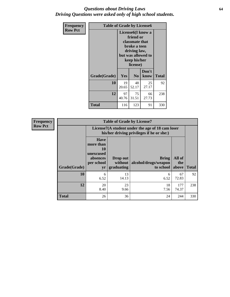#### *Questions about Driving Laws* **64** *Driving Questions were asked only of high school students.*

| <b>Frequency</b> | <b>Table of Grade by License6</b> |             |                                                                                                                           |                    |              |  |
|------------------|-----------------------------------|-------------|---------------------------------------------------------------------------------------------------------------------------|--------------------|--------------|--|
| <b>Row Pct</b>   |                                   |             | License <sub>6</sub> (I know a<br>friend or<br>classmate that<br>broke a teen<br>driving law,<br>keep his/her<br>license) | but was allowed to |              |  |
|                  | Grade(Grade)                      | <b>Yes</b>  | N <sub>0</sub>                                                                                                            | Don't<br>know      | <b>Total</b> |  |
|                  | 10                                | 19<br>20.65 | 48<br>52.17                                                                                                               | 25<br>27.17        | 92           |  |
|                  | 12                                | 97<br>40.76 | 75<br>31.51                                                                                                               | 66<br>27.73        | 238          |  |
|                  | <b>Total</b>                      | 116         | 123                                                                                                                       | 91                 | 330          |  |

| <b>Frequency</b> | <b>Table of Grade by License7</b> |                                                                             |                                     |                                                                                               |                        |              |  |
|------------------|-----------------------------------|-----------------------------------------------------------------------------|-------------------------------------|-----------------------------------------------------------------------------------------------|------------------------|--------------|--|
| <b>Row Pct</b>   |                                   |                                                                             |                                     | License7(A student under the age of 18 cam loser<br>his/her driving privileges if he or she:) |                        |              |  |
|                  | Grade(Grade)                      | <b>Have</b><br>more than<br>10<br>unexcused<br>absences<br>per school<br>yr | Drop out<br>without  <br>graduating | <b>Bring</b><br>alcohol/drugs/weapon<br>to school                                             | All of<br>the<br>above | <b>Total</b> |  |
|                  | 10                                | 6<br>6.52                                                                   | 13<br>14.13                         | 6<br>6.52                                                                                     | 67<br>72.83            | 92           |  |
|                  | 12                                | 20<br>8.40                                                                  | 23<br>9.66                          | 18<br>7.56                                                                                    | 177<br>74.37           | 238          |  |
|                  | <b>Total</b>                      | 26                                                                          | 36                                  | 24                                                                                            | 244                    | 330          |  |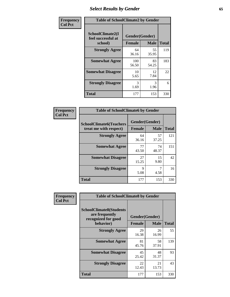# *Select Results by Gender* **65**

| Frequency      | <b>Table of SchoolClimate2 by Gender</b>          |                                 |             |              |  |
|----------------|---------------------------------------------------|---------------------------------|-------------|--------------|--|
| <b>Col Pct</b> | SchoolClimate2(I<br>feel successful at<br>school) | Gender(Gender)<br><b>Female</b> | <b>Male</b> | <b>Total</b> |  |
|                | <b>Strongly Agree</b>                             | 64<br>36.16                     | 55<br>35.95 | 119          |  |
|                | <b>Somewhat Agree</b>                             | 100<br>56.50                    | 83<br>54.25 | 183          |  |
|                | <b>Somewhat Disagree</b>                          | 10<br>5.65                      | 12<br>7.84  | 22           |  |
|                | <b>Strongly Disagree</b>                          | 3<br>1.69                       | 3<br>1.96   | 6            |  |
|                | <b>Total</b>                                      | 177                             | 153         | 330          |  |

| <b>Frequency</b> | <b>Table of SchoolClimate6 by Gender</b>                 |                     |                               |              |  |
|------------------|----------------------------------------------------------|---------------------|-------------------------------|--------------|--|
| <b>Col Pct</b>   | <b>SchoolClimate6(Teachers</b><br>treat me with respect) | <b>Female</b>       | Gender(Gender)<br><b>Male</b> | <b>Total</b> |  |
|                  | <b>Strongly Agree</b>                                    | 64<br>36.16         | 57<br>37.25                   | 121          |  |
|                  | <b>Somewhat Agree</b>                                    | 77<br>43.50         | 74<br>48.37                   | 151          |  |
|                  | <b>Somewhat Disagree</b>                                 | 27<br>15.25         | 15<br>9.80                    | 42           |  |
|                  | <b>Strongly Disagree</b>                                 | $\mathbf Q$<br>5.08 | 4.58                          | 16           |  |
|                  | <b>Total</b>                                             | 177                 | 153                           | 330          |  |

| <b>Frequency</b> | <b>Table of SchoolClimate8 by Gender</b>                                             |               |                               |              |
|------------------|--------------------------------------------------------------------------------------|---------------|-------------------------------|--------------|
| <b>Col Pct</b>   | <b>SchoolClimate8(Students</b><br>are frequently<br>recognized for good<br>behavior) | <b>Female</b> | Gender(Gender)<br><b>Male</b> | <b>Total</b> |
|                  | <b>Strongly Agree</b>                                                                | 29<br>16.38   | 26<br>16.99                   | 55           |
|                  | <b>Somewhat Agree</b>                                                                | 81<br>45.76   | 58<br>37.91                   | 139          |
|                  | <b>Somewhat Disagree</b>                                                             | 45<br>25.42   | 48<br>31.37                   | 93           |
|                  | <b>Strongly Disagree</b>                                                             | 22<br>12.43   | 21<br>13.73                   | 43           |
|                  | <b>Total</b>                                                                         | 177           | 153                           | 330          |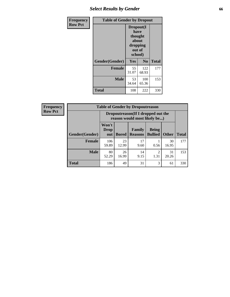# *Select Results by Gender* **66**

| Frequency      | <b>Table of Gender by Dropout</b> |                                                                        |                |              |
|----------------|-----------------------------------|------------------------------------------------------------------------|----------------|--------------|
| <b>Row Pct</b> |                                   | Dropout(I<br>have<br>thought<br>about<br>dropping<br>out of<br>school) |                |              |
|                | Gender(Gender)                    | Yes                                                                    | N <sub>0</sub> | <b>Total</b> |
|                | <b>Female</b>                     | 55<br>31.07                                                            | 122<br>68.93   | 177          |
|                | <b>Male</b>                       | 53<br>34.64                                                            | 100<br>65.36   | 153          |
|                | <b>Total</b>                      | 108                                                                    | 222            | 330          |

| <b>Frequency</b> |                       | <b>Table of Gender by Dropoutreason</b>                            |              |                          |                                |              |              |
|------------------|-----------------------|--------------------------------------------------------------------|--------------|--------------------------|--------------------------------|--------------|--------------|
| <b>Row Pct</b>   |                       | Dropoutreason(If I dropped out the<br>reason would most likely be) |              |                          |                                |              |              |
|                  | <b>Gender(Gender)</b> | Won't<br><b>Drop</b><br>out                                        | <b>Bored</b> | Family<br><b>Reasons</b> | <b>Being</b><br><b>Bullied</b> | <b>Other</b> | <b>Total</b> |
|                  | <b>Female</b>         | 106<br>59.89                                                       | 23<br>12.99  | 17<br>9.60               | 0.56                           | 30<br>16.95  | 177          |
|                  | <b>Male</b>           | 80<br>52.29                                                        | 26<br>16.99  | 14<br>9.15               | 1.31                           | 31<br>20.26  | 153          |
|                  | <b>Total</b>          | 186                                                                | 49           | 31                       | 3                              | 61           | 330          |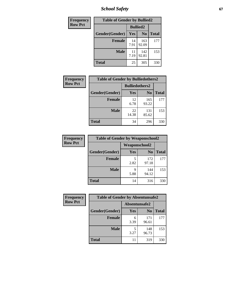*School Safety* **67**

| Frequency      |                | <b>Table of Gender by Bullied2</b> |                |              |
|----------------|----------------|------------------------------------|----------------|--------------|
| <b>Row Pct</b> |                | <b>Bullied2</b>                    |                |              |
|                | Gender(Gender) | <b>Yes</b>                         | N <sub>0</sub> | <b>Total</b> |
|                | <b>Female</b>  | 14<br>7.91                         | 163<br>92.09   | 177          |
|                | <b>Male</b>    | 11<br>7.19                         | 142<br>92.81   | 153          |
|                | <b>Total</b>   | 25                                 | 305            | 330          |

| Frequency      | <b>Table of Gender by Bulliedothers2</b> |                       |                |              |
|----------------|------------------------------------------|-----------------------|----------------|--------------|
| <b>Row Pct</b> |                                          | <b>Bulliedothers2</b> |                |              |
|                | Gender(Gender)                           | Yes                   | N <sub>0</sub> | <b>Total</b> |
|                | <b>Female</b>                            | 12<br>6.78            | 165<br>93.22   | 177          |
|                | Male                                     | 22<br>14.38           | 131<br>85.62   | 153          |
|                | <b>Total</b>                             | 34                    | 296            | 330          |

| <b>Frequency</b> | <b>Table of Gender by Weaponschool2</b> |               |                |              |
|------------------|-----------------------------------------|---------------|----------------|--------------|
| <b>Row Pct</b>   |                                         | Weaponschool2 |                |              |
|                  | Gender(Gender)                          | Yes           | N <sub>0</sub> | <b>Total</b> |
|                  | <b>Female</b>                           | 5<br>2.82     | 172<br>97.18   | 177          |
|                  | <b>Male</b>                             | 9<br>5.88     | 144<br>94.12   | 153          |
|                  | <b>Total</b>                            | 14            | 316            | 330          |

| Frequency      | <b>Table of Gender by Absentunsafe2</b> |               |                |              |
|----------------|-----------------------------------------|---------------|----------------|--------------|
| <b>Row Pct</b> |                                         | Absentunsafe2 |                |              |
|                | Gender(Gender)                          | Yes           | N <sub>0</sub> | <b>Total</b> |
|                | <b>Female</b>                           | 6<br>3.39     | 171<br>96.61   | 177          |
|                | <b>Male</b>                             | 3.27          | 148<br>96.73   | 153          |
|                | <b>Total</b>                            | 11            | 319            | 330          |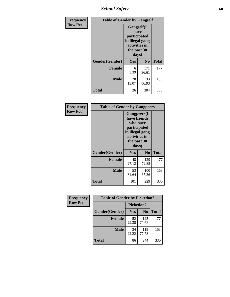*School Safety* **68**

| Frequency      | <b>Table of Gender by Gangself</b> |                                                                                                |              |              |
|----------------|------------------------------------|------------------------------------------------------------------------------------------------|--------------|--------------|
| <b>Row Pct</b> |                                    | Gangself(I<br>have<br>participated<br>in illegal gang<br>activities in<br>the past 30<br>days) |              |              |
|                | Gender(Gender)                     | Yes                                                                                            | No           | <b>Total</b> |
|                | <b>Female</b>                      | 6<br>3.39                                                                                      | 171<br>96.61 | 177          |
|                | <b>Male</b>                        | 20<br>13.07                                                                                    | 133<br>86.93 | 153          |
|                | <b>Total</b>                       | 26                                                                                             | 304          | 330          |

| Frequency      |                | <b>Table of Gender by Gangpeers</b>                                                                                         |                |              |
|----------------|----------------|-----------------------------------------------------------------------------------------------------------------------------|----------------|--------------|
| <b>Row Pct</b> |                | <b>Gangpeers</b> (I<br>have friends<br>who have<br>participated<br>in illegal gang<br>activities in<br>the past 30<br>days) |                |              |
|                | Gender(Gender) | Yes                                                                                                                         | N <sub>0</sub> | <b>Total</b> |
|                | <b>Female</b>  | 48<br>27.12                                                                                                                 | 129<br>72.88   | 177          |
|                | <b>Male</b>    | 53<br>34.64                                                                                                                 | 100<br>65.36   | 153          |
|                | <b>Total</b>   | 101                                                                                                                         | 229            | 330          |

| Frequency      | <b>Table of Gender by Pickedon2</b> |             |                |              |
|----------------|-------------------------------------|-------------|----------------|--------------|
| <b>Row Pct</b> |                                     | Pickedon2   |                |              |
|                | Gender(Gender)                      | <b>Yes</b>  | N <sub>0</sub> | <b>Total</b> |
|                | <b>Female</b>                       | 52<br>29.38 | 125<br>70.62   | 177          |
|                | <b>Male</b>                         | 34<br>22.22 | 119<br>77.78   | 153          |
|                | <b>Total</b>                        | 86          | 244            | 330          |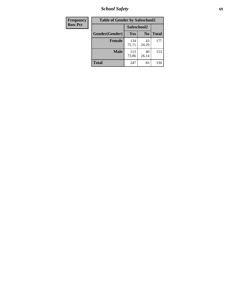*School Safety* **69**

| Frequency      | <b>Table of Gender by Safeschool2</b> |              |                |              |  |
|----------------|---------------------------------------|--------------|----------------|--------------|--|
| <b>Row Pct</b> |                                       | Safeschool2  |                |              |  |
|                | Gender(Gender)                        | Yes          | N <sub>0</sub> | <b>Total</b> |  |
|                | <b>Female</b>                         | 134<br>75.71 | 43<br>24.29    | 177          |  |
|                | <b>Male</b>                           | 113<br>73.86 | 40<br>26.14    | 153          |  |
|                | <b>Total</b>                          | 247          | 83             | 330          |  |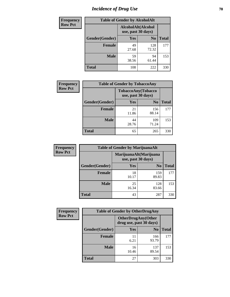# *Incidence of Drug Use* **70**

| <b>Frequency</b> | <b>Table of Gender by AlcoholAlt</b> |                                          |                |              |  |
|------------------|--------------------------------------|------------------------------------------|----------------|--------------|--|
| <b>Row Pct</b>   |                                      | AlcoholAlt(Alcohol<br>use, past 30 days) |                |              |  |
|                  | Gender(Gender)                       | <b>Yes</b>                               | N <sub>0</sub> | <b>Total</b> |  |
|                  | <b>Female</b>                        | 49<br>27.68                              | 128<br>72.32   | 177          |  |
|                  | <b>Male</b>                          | 59<br>38.56                              | 94<br>61.44    | 153          |  |
|                  | <b>Total</b>                         | 108                                      | 222            | 330          |  |

| <b>Frequency</b> | <b>Table of Gender by TobaccoAny</b> |                    |                    |              |
|------------------|--------------------------------------|--------------------|--------------------|--------------|
| <b>Row Pct</b>   |                                      | use, past 30 days) | TobaccoAny(Tobacco |              |
|                  | Gender(Gender)                       | Yes                | N <sub>0</sub>     | <b>Total</b> |
|                  | <b>Female</b>                        | 21<br>11.86        | 156<br>88.14       | 177          |
|                  | <b>Male</b>                          | 44<br>28.76        | 109<br>71.24       | 153          |
|                  | <b>Total</b>                         | 65                 | 265                | 330          |

| <b>Frequency</b> | <b>Table of Gender by MarijuanaAlt</b> |             |                                              |              |
|------------------|----------------------------------------|-------------|----------------------------------------------|--------------|
| <b>Row Pct</b>   |                                        |             | MarijuanaAlt(Marijuana<br>use, past 30 days) |              |
|                  | Gender(Gender)                         | <b>Yes</b>  | N <sub>0</sub>                               | <b>Total</b> |
|                  | <b>Female</b>                          | 18<br>10.17 | 159<br>89.83                                 | 177          |
|                  | <b>Male</b>                            | 25<br>16.34 | 128<br>83.66                                 | 153          |
|                  | <b>Total</b>                           | 43          | 287                                          | 330          |

| <b>Frequency</b> | <b>Table of Gender by OtherDrugAny</b> |                         |                            |              |
|------------------|----------------------------------------|-------------------------|----------------------------|--------------|
| <b>Row Pct</b>   |                                        | drug use, past 30 days) | <b>OtherDrugAny</b> (Other |              |
|                  | Gender(Gender)                         | <b>Yes</b>              | N <sub>0</sub>             | <b>Total</b> |
|                  | <b>Female</b>                          | 6.21                    | 166<br>93.79               | 177          |
|                  | <b>Male</b>                            | 16<br>10.46             | 137<br>89.54               | 153          |
|                  | <b>Total</b>                           | 27                      | 303                        | 330          |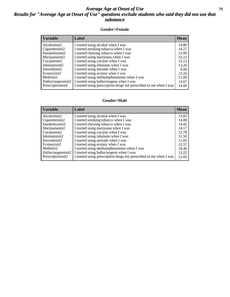#### *Average Age at Onset of Use* **71** *Results for "Average Age at Onset of Use" questions exclude students who said they did not use that substance*

#### **Gender=Female**

| <b>Variable</b>                 | <b>Label</b>                                                       | <b>Mean</b> |
|---------------------------------|--------------------------------------------------------------------|-------------|
| Alcoholinit2                    | I started using alcohol when I was                                 | 14.80       |
| Cigarettesinit2                 | I started smoking tobacco when I was                               | 14.27       |
| Smokelessinit2                  | I started chewing tobacco when I was                               | 12.00       |
| Marijuanainit2                  | I started using marijuana when I was                               | 15.22       |
| Cocaineinit2                    | I started using cocaine when I was                                 | 15.13       |
| Inhalantsinit2                  | I started using inhalants when I was                               | 13.20       |
| Steroidsinit2                   | I started using steroids when I was                                | 8.00        |
| Ecstasyinit2                    | I started using ecstasy when I was                                 | 13.33       |
| Methinit2                       | I started using methamphetamines when I was                        | 11.00       |
| Hallucinogensinit2              | I started using hallucinogens when I was                           | 13.67       |
| Prescription in it <sub>2</sub> | I started using prescription drugs not prescribed to me when I was | 14.00       |

#### **Gender=Male**

| <b>Variable</b>                 | Label                                                              | <b>Mean</b> |
|---------------------------------|--------------------------------------------------------------------|-------------|
| Alcoholinit2                    | I started using alcohol when I was                                 | 13.83       |
| Cigarettesinit2                 | I started smoking tobacco when I was                               | 14.08       |
| Smokelessinit2                  | I started chewing tobacco when I was                               | 14.42       |
| Marijuanainit2                  | I started using marijuana when I was                               | 14.17       |
| Cocaineinit2                    | I started using cocaine when I was                                 | 12.78       |
| Inhalantsinit2                  | I started using inhalants when I was                               | 11.50       |
| Steroidsinit2                   | I started using steroids when I was                                | 11.83       |
| Ecstasyinit2                    | I started using ecstasy when I was                                 | 12.57       |
| Methinit2                       | I started using methamphetamines when I was                        | 10.40       |
| Hallucinogensinit2              | I started using hallucinogens when I was                           | 13.22       |
| Prescription in it <sub>2</sub> | I started using prescription drugs not prescribed to me when I was | 12.69       |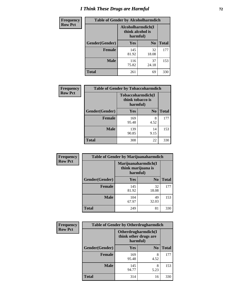# *I Think These Drugs are Harmful* **72**

| <b>Frequency</b> | <b>Table of Gender by Alcoholharmdich</b> |                  |                               |              |
|------------------|-------------------------------------------|------------------|-------------------------------|--------------|
| <b>Row Pct</b>   |                                           | think alcohol is | Alcoholharmdich(I<br>harmful) |              |
|                  | Gender(Gender)                            | <b>Yes</b>       | N <sub>0</sub>                | <b>Total</b> |
|                  | <b>Female</b>                             | 145<br>81.92     | 32<br>18.08                   | 177          |
|                  | <b>Male</b>                               | 116<br>75.82     | 37<br>24.18                   | 153          |
|                  | Total                                     | 261              | 69                            | 330          |

 $\overline{\phantom{a}}$ 

| Frequency      | <b>Table of Gender by Tobaccoharmdich</b> |                                                   |                |              |
|----------------|-------------------------------------------|---------------------------------------------------|----------------|--------------|
| <b>Row Pct</b> |                                           | Tobaccoharmdich(I<br>think tobacco is<br>harmful) |                |              |
|                | Gender(Gender)                            | Yes                                               | N <sub>0</sub> | <b>Total</b> |
|                | <b>Female</b>                             | 169<br>95.48                                      | 8<br>4.52      | 177          |
|                | <b>Male</b>                               | 139<br>90.85                                      | 14<br>9.15     | 153          |
|                | Total                                     | 308                                               | 22             | 330          |

| Frequency      | <b>Table of Gender by Marijuanaharmdich</b> |                                                       |                |              |  |
|----------------|---------------------------------------------|-------------------------------------------------------|----------------|--------------|--|
| <b>Row Pct</b> |                                             | Marijuanaharmdich(I<br>think marijuana is<br>harmful) |                |              |  |
|                | Gender(Gender)                              | <b>Yes</b>                                            | N <sub>0</sub> | <b>Total</b> |  |
|                | <b>Female</b>                               | 145<br>81.92                                          | 32<br>18.08    | 177          |  |
|                | <b>Male</b>                                 | 104<br>67.97                                          | 49<br>32.03    | 153          |  |
|                | <b>Total</b>                                | 249                                                   | 81             | 330          |  |

| Frequency      | <b>Table of Gender by Otherdrugharmdich</b> |                                                          |                |              |  |
|----------------|---------------------------------------------|----------------------------------------------------------|----------------|--------------|--|
| <b>Row Pct</b> |                                             | Otherdrugharmdich(I<br>think other drugs are<br>harmful) |                |              |  |
|                | Gender(Gender)                              | <b>Yes</b>                                               | N <sub>0</sub> | <b>Total</b> |  |
|                | <b>Female</b>                               | 169<br>95.48                                             | 8<br>4.52      | 177          |  |
|                | <b>Male</b>                                 | 145<br>94.77                                             | 8<br>5.23      | 153          |  |
|                | <b>Total</b>                                | 314                                                      | 16             | 330          |  |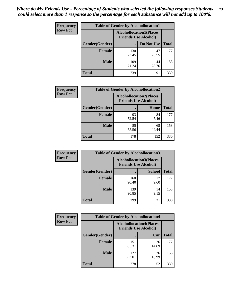| <b>Frequency</b> | <b>Table of Gender by Alcohollocation1</b> |                                                               |             |              |
|------------------|--------------------------------------------|---------------------------------------------------------------|-------------|--------------|
| <b>Row Pct</b>   |                                            | <b>Alcohollocation1(Places</b><br><b>Friends Use Alcohol)</b> |             |              |
|                  | Gender(Gender)                             |                                                               | Do Not Use  | <b>Total</b> |
|                  | <b>Female</b>                              | 130<br>73.45                                                  | 47<br>26.55 | 177          |
|                  | <b>Male</b>                                | 109<br>71.24                                                  | 44<br>28.76 | 153          |
|                  | <b>Total</b>                               | 239                                                           | 91          | 330          |

| <b>Frequency</b> | <b>Table of Gender by Alcohollocation2</b> |                                                               |             |              |
|------------------|--------------------------------------------|---------------------------------------------------------------|-------------|--------------|
| <b>Row Pct</b>   |                                            | <b>Alcohollocation2(Places</b><br><b>Friends Use Alcohol)</b> |             |              |
|                  | Gender(Gender)                             |                                                               | Home        | <b>Total</b> |
|                  | Female                                     | 93<br>52.54                                                   | 84<br>47.46 | 177          |
|                  | <b>Male</b>                                | 85<br>55.56                                                   | 68<br>44.44 | 153          |
|                  | <b>Total</b>                               | 178                                                           | 152         | 330          |

| Frequency      | <b>Table of Gender by Alcohollocation3</b> |                                                               |               |              |
|----------------|--------------------------------------------|---------------------------------------------------------------|---------------|--------------|
| <b>Row Pct</b> |                                            | <b>Alcohollocation3(Places</b><br><b>Friends Use Alcohol)</b> |               |              |
|                | Gender(Gender)                             |                                                               | <b>School</b> | <b>Total</b> |
|                | <b>Female</b>                              | 160<br>90.40                                                  | 17<br>9.60    | 177          |
|                | <b>Male</b>                                | 139<br>90.85                                                  | 14<br>9.15    | 153          |
|                | <b>Total</b>                               | 299                                                           | 31            | 330          |

| <b>Frequency</b> |                | <b>Table of Gender by Alcohollocation4</b>                    |             |              |  |
|------------------|----------------|---------------------------------------------------------------|-------------|--------------|--|
| <b>Row Pct</b>   |                | <b>Alcohollocation4(Places</b><br><b>Friends Use Alcohol)</b> |             |              |  |
|                  | Gender(Gender) |                                                               | Car         | <b>Total</b> |  |
|                  | <b>Female</b>  | 151<br>85.31                                                  | 26<br>14.69 | 177          |  |
|                  | <b>Male</b>    | 127<br>83.01                                                  | 26<br>16.99 | 153          |  |
|                  | <b>Total</b>   | 278                                                           | 52          | 330          |  |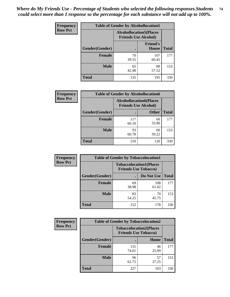| <b>Frequency</b> | <b>Table of Gender by Alcohollocation5</b> |             |                                                                |              |
|------------------|--------------------------------------------|-------------|----------------------------------------------------------------|--------------|
| <b>Row Pct</b>   |                                            |             | <b>Alcohollocation5</b> (Places<br><b>Friends Use Alcohol)</b> |              |
|                  | Gender(Gender)                             | $\bullet$   | <b>Friend's</b><br><b>House</b>                                | <b>Total</b> |
|                  | <b>Female</b>                              | 70<br>39.55 | 107<br>60.45                                                   | 177          |
|                  | <b>Male</b>                                | 65<br>42.48 | 88<br>57.52                                                    | 153          |
|                  | <b>Total</b>                               | 135         | 195                                                            | 330          |

| <b>Frequency</b> | <b>Table of Gender by Alcohollocation6</b> |                                                               |              |              |
|------------------|--------------------------------------------|---------------------------------------------------------------|--------------|--------------|
| <b>Row Pct</b>   |                                            | <b>Alcohollocation6(Places</b><br><b>Friends Use Alcohol)</b> |              |              |
|                  | Gender(Gender)                             |                                                               | <b>Other</b> | <b>Total</b> |
|                  | <b>Female</b>                              | 117<br>66.10                                                  | 60<br>33.90  | 177          |
|                  | <b>Male</b>                                | 93<br>60.78                                                   | 60<br>39.22  | 153          |
|                  | <b>Total</b>                               | 210                                                           | 120          | 330          |

| Frequency      | <b>Table of Gender by Tobaccolocation1</b> |                                                               |              |              |  |
|----------------|--------------------------------------------|---------------------------------------------------------------|--------------|--------------|--|
| <b>Row Pct</b> |                                            | <b>Tobaccolocation1(Places</b><br><b>Friends Use Tobacco)</b> |              |              |  |
|                | Gender(Gender)                             |                                                               | Do Not Use   | <b>Total</b> |  |
|                | Female                                     | 69<br>38.98                                                   | 108<br>61.02 | 177          |  |
|                | <b>Male</b>                                | 83<br>54.25                                                   | 70<br>45.75  | 153          |  |
|                | <b>Total</b>                               | 152                                                           | 178          | 330          |  |

| <b>Frequency</b> |                | <b>Table of Gender by Tobaccolocation2</b>                    |             |              |  |  |
|------------------|----------------|---------------------------------------------------------------|-------------|--------------|--|--|
| <b>Row Pct</b>   |                | <b>Tobaccolocation2(Places</b><br><b>Friends Use Tobacco)</b> |             |              |  |  |
|                  | Gender(Gender) |                                                               | Home        | <b>Total</b> |  |  |
|                  | Female         | 131<br>74.01                                                  | 46<br>25.99 | 177          |  |  |
|                  | <b>Male</b>    | 96<br>62.75                                                   | 57<br>37.25 | 153          |  |  |
|                  | <b>Total</b>   | 227                                                           | 103         | 330          |  |  |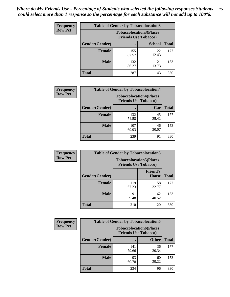| <b>Frequency</b> | <b>Table of Gender by Tobaccolocation3</b> |              |                                                               |              |
|------------------|--------------------------------------------|--------------|---------------------------------------------------------------|--------------|
| <b>Row Pct</b>   |                                            |              | <b>Tobaccolocation3(Places</b><br><b>Friends Use Tobacco)</b> |              |
|                  | Gender(Gender)                             |              | <b>School</b>                                                 | <b>Total</b> |
|                  | <b>Female</b>                              | 155<br>87.57 | 22<br>12.43                                                   | 177          |
|                  | <b>Male</b>                                | 132<br>86.27 | 21<br>13.73                                                   | 153          |
|                  | Total                                      | 287          | 43                                                            | 330          |

| <b>Frequency</b> | <b>Table of Gender by Tobaccolocation4</b> |                             |                                |              |
|------------------|--------------------------------------------|-----------------------------|--------------------------------|--------------|
| <b>Row Pct</b>   |                                            | <b>Friends Use Tobacco)</b> | <b>Tobaccolocation4(Places</b> |              |
|                  | Gender(Gender)                             |                             | Car                            | <b>Total</b> |
|                  | <b>Female</b>                              | 132<br>74.58                | 45<br>25.42                    | 177          |
|                  | <b>Male</b>                                | 107<br>69.93                | 46<br>30.07                    | 153          |
|                  | <b>Total</b>                               | 239                         | 91                             | 330          |

| <b>Frequency</b> | <b>Table of Gender by Tobaccolocation5</b> |                             |                                 |              |
|------------------|--------------------------------------------|-----------------------------|---------------------------------|--------------|
| <b>Row Pct</b>   |                                            | <b>Friends Use Tobacco)</b> | <b>Tobaccolocation5(Places</b>  |              |
|                  | Gender(Gender)                             |                             | <b>Friend's</b><br><b>House</b> | <b>Total</b> |
|                  | <b>Female</b>                              | 119<br>67.23                | 58<br>32.77                     | 177          |
|                  | <b>Male</b>                                | 91<br>59.48                 | 62<br>40.52                     | 153          |
|                  | <b>Total</b>                               | 210                         | 120                             | 330          |

| <b>Frequency</b> | <b>Table of Gender by Tobaccolocation6</b> |                                                               |              |              |
|------------------|--------------------------------------------|---------------------------------------------------------------|--------------|--------------|
| <b>Row Pct</b>   |                                            | <b>Tobaccolocation6(Places</b><br><b>Friends Use Tobacco)</b> |              |              |
|                  | Gender(Gender)                             |                                                               | <b>Other</b> | <b>Total</b> |
|                  | Female                                     | 141<br>79.66                                                  | 36<br>20.34  | 177          |
|                  | <b>Male</b>                                | 93<br>60.78                                                   | 60<br>39.22  | 153          |
|                  | <b>Total</b>                               | 234                                                           | 96           | 330          |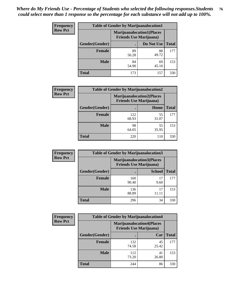| <b>Frequency</b> | <b>Table of Gender by Marijuanalocation1</b> |                                                                    |             |              |
|------------------|----------------------------------------------|--------------------------------------------------------------------|-------------|--------------|
| <b>Row Pct</b>   |                                              | <b>Marijuanalocation1(Places</b><br><b>Friends Use Marijuana</b> ) |             |              |
|                  | Gender(Gender)                               |                                                                    | Do Not Use  | <b>Total</b> |
|                  | <b>Female</b>                                | 89<br>50.28                                                        | 88<br>49.72 | 177          |
|                  | <b>Male</b>                                  | 84<br>54.90                                                        | 69<br>45.10 | 153          |
|                  | <b>Total</b>                                 | 173                                                                | 157         | 330          |

| <b>Frequency</b> | <b>Table of Gender by Marijuanalocation2</b> |                                                                    |             |              |  |
|------------------|----------------------------------------------|--------------------------------------------------------------------|-------------|--------------|--|
| <b>Row Pct</b>   |                                              | <b>Marijuanalocation2(Places</b><br><b>Friends Use Marijuana</b> ) |             |              |  |
|                  | Gender(Gender)                               |                                                                    | Home        | <b>Total</b> |  |
|                  | Female                                       | 122<br>68.93                                                       | 55<br>31.07 | 177          |  |
|                  | <b>Male</b>                                  | 98<br>64.05                                                        | 55<br>35.95 | 153          |  |
|                  | <b>Total</b>                                 | 220                                                                | 110         | 330          |  |

| <b>Frequency</b> |                | <b>Table of Gender by Marijuanalocation3</b>                        |               |              |
|------------------|----------------|---------------------------------------------------------------------|---------------|--------------|
| <b>Row Pct</b>   |                | <b>Marijuanalocation3(Places)</b><br><b>Friends Use Marijuana</b> ) |               |              |
|                  | Gender(Gender) |                                                                     | <b>School</b> | <b>Total</b> |
|                  | Female         | 160<br>90.40                                                        | 17<br>9.60    | 177          |
|                  | <b>Male</b>    | 136<br>88.89                                                        | 17<br>11.11   | 153          |
|                  | <b>Total</b>   | 296                                                                 | 34            | 330          |

| Frequency      | <b>Table of Gender by Marijuanalocation4</b> |                                |                                  |              |
|----------------|----------------------------------------------|--------------------------------|----------------------------------|--------------|
| <b>Row Pct</b> |                                              | <b>Friends Use Marijuana</b> ) | <b>Marijuanalocation4(Places</b> |              |
|                | Gender(Gender)                               |                                | Car                              | <b>Total</b> |
|                | Female                                       | 132<br>74.58                   | 45<br>25.42                      | 177          |
|                | <b>Male</b>                                  | 112<br>73.20                   | 41<br>26.80                      | 153          |
|                | <b>Total</b>                                 | 244                            | 86                               | 330          |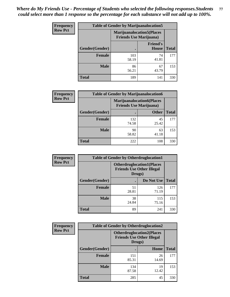| Frequency      | <b>Table of Gender by Marijuanalocation5</b> |                                                                    |                                 |              |
|----------------|----------------------------------------------|--------------------------------------------------------------------|---------------------------------|--------------|
| <b>Row Pct</b> |                                              | <b>Marijuanalocation5(Places</b><br><b>Friends Use Marijuana</b> ) |                                 |              |
|                | Gender(Gender)                               |                                                                    | <b>Friend's</b><br><b>House</b> | <b>Total</b> |
|                | Female                                       | 103<br>58.19                                                       | 74<br>41.81                     | 177          |
|                | <b>Male</b>                                  | 86<br>56.21                                                        | 67<br>43.79                     | 153          |
|                | <b>Total</b>                                 | 189                                                                | 141                             | 330          |

| <b>Frequency</b> | <b>Table of Gender by Marijuanalocation6</b> |                                |                                  |              |  |
|------------------|----------------------------------------------|--------------------------------|----------------------------------|--------------|--|
| <b>Row Pct</b>   |                                              | <b>Friends Use Marijuana</b> ) | <b>Marijuanalocation6(Places</b> |              |  |
|                  | <b>Gender</b> (Gender)                       |                                | <b>Other</b>                     | <b>Total</b> |  |
|                  | <b>Female</b>                                | 132<br>74.58                   | 45<br>25.42                      | 177          |  |
|                  | <b>Male</b>                                  | 90<br>58.82                    | 63<br>41.18                      | 153          |  |
|                  | <b>Total</b>                                 | 222                            | 108                              | 330          |  |

| Frequency      | <b>Table of Gender by Otherdruglocation1</b> |                                                                                |              |              |
|----------------|----------------------------------------------|--------------------------------------------------------------------------------|--------------|--------------|
| <b>Row Pct</b> |                                              | <b>Otherdruglocation1(Places</b><br><b>Friends Use Other Illegal</b><br>Drugs) |              |              |
|                | Gender(Gender)                               |                                                                                | Do Not Use   | <b>Total</b> |
|                | <b>Female</b>                                | 51<br>28.81                                                                    | 126<br>71.19 | 177          |
|                | <b>Male</b>                                  | 38<br>24.84                                                                    | 115<br>75.16 | 153          |
|                | <b>Total</b>                                 | 89                                                                             | 241          | 330          |

| <b>Frequency</b> | <b>Table of Gender by Otherdruglocation2</b> |                                                                                |             |              |
|------------------|----------------------------------------------|--------------------------------------------------------------------------------|-------------|--------------|
| <b>Row Pct</b>   |                                              | <b>Otherdruglocation2(Places</b><br><b>Friends Use Other Illegal</b><br>Drugs) |             |              |
|                  | Gender(Gender)                               |                                                                                | Home        | <b>Total</b> |
|                  | Female                                       | 151<br>85.31                                                                   | 26<br>14.69 | 177          |
|                  | <b>Male</b>                                  | 134<br>87.58                                                                   | 19<br>12.42 | 153          |
|                  | <b>Total</b>                                 | 285                                                                            | 45          | 330          |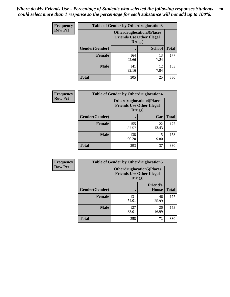| <b>Frequency</b> | <b>Table of Gender by Otherdruglocation3</b> |                                                                                |               |              |
|------------------|----------------------------------------------|--------------------------------------------------------------------------------|---------------|--------------|
| <b>Row Pct</b>   |                                              | <b>Otherdruglocation3(Places</b><br><b>Friends Use Other Illegal</b><br>Drugs) |               |              |
|                  | Gender(Gender)                               |                                                                                | <b>School</b> | <b>Total</b> |
|                  | <b>Female</b>                                | 164<br>92.66                                                                   | 13<br>7.34    | 177          |
|                  | <b>Male</b>                                  | 141<br>92.16                                                                   | 12<br>7.84    | 153          |
|                  | <b>Total</b>                                 | 305                                                                            | 25            | 330          |

| <b>Frequency</b> | <b>Table of Gender by Otherdruglocation4</b> |                                                                                |             |              |
|------------------|----------------------------------------------|--------------------------------------------------------------------------------|-------------|--------------|
| <b>Row Pct</b>   |                                              | <b>Otherdruglocation4(Places</b><br><b>Friends Use Other Illegal</b><br>Drugs) |             |              |
|                  | <b>Gender</b> (Gender)                       |                                                                                | Car         | <b>Total</b> |
|                  | <b>Female</b>                                | 155<br>87.57                                                                   | 22<br>12.43 | 177          |
|                  | <b>Male</b>                                  | 138<br>90.20                                                                   | 15<br>9.80  | 153          |
|                  | <b>Total</b>                                 | 293                                                                            | 37          | 330          |

| Frequency      | <b>Table of Gender by Otherdruglocation5</b> |                                                                                |                                 |              |
|----------------|----------------------------------------------|--------------------------------------------------------------------------------|---------------------------------|--------------|
| <b>Row Pct</b> |                                              | <b>Otherdruglocation5(Places</b><br><b>Friends Use Other Illegal</b><br>Drugs) |                                 |              |
|                | Gender(Gender)                               |                                                                                | <b>Friend's</b><br><b>House</b> | <b>Total</b> |
|                | <b>Female</b>                                | 131<br>74.01                                                                   | 46<br>25.99                     | 177          |
|                | <b>Male</b>                                  | 127<br>83.01                                                                   | 26<br>16.99                     | 153          |
|                | <b>Total</b>                                 | 258                                                                            | 72                              | 330          |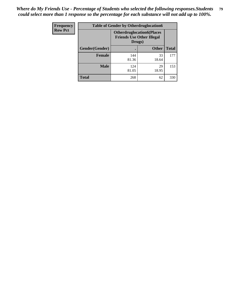| <b>Frequency</b> | <b>Table of Gender by Otherdruglocation6</b> |                                            |                                  |              |
|------------------|----------------------------------------------|--------------------------------------------|----------------------------------|--------------|
| <b>Row Pct</b>   |                                              | <b>Friends Use Other Illegal</b><br>Drugs) | <b>Otherdruglocation6(Places</b> |              |
|                  | Gender(Gender)                               |                                            | <b>Other</b>                     | <b>Total</b> |
|                  | Female                                       | 144<br>81.36                               | 33<br>18.64                      | 177          |
|                  | <b>Male</b>                                  | 124<br>81.05                               | 29<br>18.95                      | 153          |
|                  | <b>Total</b>                                 | 268                                        | 62                               | 330          |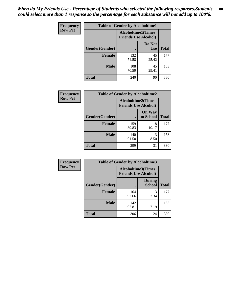| <b>Frequency</b> | <b>Table of Gender by Alcoholtime1</b> |                                                          |                      |              |
|------------------|----------------------------------------|----------------------------------------------------------|----------------------|--------------|
| <b>Row Pct</b>   |                                        | <b>Alcoholtime1(Times</b><br><b>Friends Use Alcohol)</b> |                      |              |
|                  | Gender(Gender)                         | $\bullet$                                                | Do Not<br><b>Use</b> | <b>Total</b> |
|                  | <b>Female</b>                          | 132<br>74.58                                             | 45<br>25.42          | 177          |
|                  | <b>Male</b>                            | 108<br>70.59                                             | 45<br>29.41          | 153          |
|                  | <b>Total</b>                           | 240                                                      | 90                   | 330          |

| Frequency      | <b>Table of Gender by Alcoholtime2</b> |                                                          |                            |              |
|----------------|----------------------------------------|----------------------------------------------------------|----------------------------|--------------|
| <b>Row Pct</b> |                                        | <b>Alcoholtime2(Times</b><br><b>Friends Use Alcohol)</b> |                            |              |
|                | Gender(Gender)                         |                                                          | <b>On Way</b><br>to School | <b>Total</b> |
|                | <b>Female</b>                          | 159<br>89.83                                             | 18<br>10.17                | 177          |
|                | <b>Male</b>                            | 140<br>91.50                                             | 13<br>8.50                 | 153          |
|                | Total                                  | 299                                                      | 31                         | 330          |

| Frequency      | <b>Table of Gender by Alcoholtime3</b> |                                                          |                                |              |
|----------------|----------------------------------------|----------------------------------------------------------|--------------------------------|--------------|
| <b>Row Pct</b> |                                        | <b>Alcoholtime3(Times</b><br><b>Friends Use Alcohol)</b> |                                |              |
|                | Gender(Gender)                         |                                                          | <b>During</b><br><b>School</b> | <b>Total</b> |
|                | Female                                 | 164<br>92.66                                             | 13<br>7.34                     | 177          |
|                | <b>Male</b>                            | 142<br>92.81                                             | 11<br>7.19                     | 153          |
|                | <b>Total</b>                           | 306                                                      | 24                             | 330          |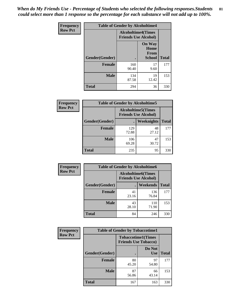*When do My Friends Use - Percentage of Students who selected the following responses.Students could select more than 1 response so the percentage for each substance will not add up to 100%.* **81**

| <b>Frequency</b> | <b>Table of Gender by Alcoholtime4</b> |                                                          |                                                       |              |
|------------------|----------------------------------------|----------------------------------------------------------|-------------------------------------------------------|--------------|
| <b>Row Pct</b>   |                                        | <b>Alcoholtime4(Times</b><br><b>Friends Use Alcohol)</b> |                                                       |              |
|                  | Gender(Gender)                         |                                                          | <b>On Way</b><br>Home<br><b>From</b><br><b>School</b> | <b>Total</b> |
|                  | <b>Female</b>                          | 160<br>90.40                                             | 17<br>9.60                                            | 177          |
|                  | <b>Male</b>                            | 134<br>87.58                                             | 19<br>12.42                                           | 153          |
|                  | <b>Total</b>                           | 294                                                      | 36                                                    | 330          |

| <b>Frequency</b> | <b>Table of Gender by Alcoholtime5</b> |                                                           |             |              |
|------------------|----------------------------------------|-----------------------------------------------------------|-------------|--------------|
| <b>Row Pct</b>   |                                        | <b>Alcoholtime5</b> (Times<br><b>Friends Use Alcohol)</b> |             |              |
|                  | Gender(Gender)                         |                                                           | Weeknights  | <b>Total</b> |
|                  | <b>Female</b>                          | 129<br>72.88                                              | 48<br>27.12 | 177          |
|                  | <b>Male</b>                            | 106<br>69.28                                              | 47<br>30.72 | 153          |
|                  | <b>Total</b>                           | 235                                                       | 95          | 330          |

| <b>Frequency</b> | <b>Table of Gender by Alcoholtime6</b> |             |                                                           |              |  |
|------------------|----------------------------------------|-------------|-----------------------------------------------------------|--------------|--|
| <b>Row Pct</b>   |                                        |             | <b>Alcoholtime6</b> (Times<br><b>Friends Use Alcohol)</b> |              |  |
|                  | Gender(Gender)                         |             | <b>Weekends</b>                                           | <b>Total</b> |  |
|                  | Female                                 | 41<br>23.16 | 136<br>76.84                                              | 177          |  |
|                  | <b>Male</b>                            | 43<br>28.10 | 110<br>71.90                                              | 153          |  |
|                  | Total                                  | 84          | 246                                                       | 330          |  |

| <b>Frequency</b> | <b>Table of Gender by Tobaccotime1</b> |                                                          |                      |              |
|------------------|----------------------------------------|----------------------------------------------------------|----------------------|--------------|
| <b>Row Pct</b>   |                                        | <b>Tobaccotime1(Times</b><br><b>Friends Use Tobacco)</b> |                      |              |
|                  | Gender(Gender)                         |                                                          | Do Not<br><b>Use</b> | <b>Total</b> |
|                  | <b>Female</b>                          | 80<br>45.20                                              | 97<br>54.80          | 177          |
|                  | <b>Male</b>                            | 87<br>56.86                                              | 66<br>43.14          | 153          |
|                  | <b>Total</b>                           | 167                                                      | 163                  | 330          |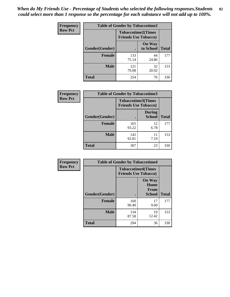*When do My Friends Use - Percentage of Students who selected the following responses.Students could select more than 1 response so the percentage for each substance will not add up to 100%.* **82**

| <b>Frequency</b> | <b>Table of Gender by Tobaccotime2</b> |                                                          |                            |              |
|------------------|----------------------------------------|----------------------------------------------------------|----------------------------|--------------|
| <b>Row Pct</b>   |                                        | <b>Tobaccotime2(Times</b><br><b>Friends Use Tobacco)</b> |                            |              |
|                  | Gender(Gender)                         | $\bullet$                                                | <b>On Way</b><br>to School | <b>Total</b> |
|                  | Female                                 | 133<br>75.14                                             | 44<br>24.86                | 177          |
|                  | <b>Male</b>                            | 121<br>79.08                                             | 32<br>20.92                | 153          |
|                  | <b>Total</b>                           | 254                                                      | 76                         | 330          |

| Frequency      | <b>Table of Gender by Tobaccotime3</b> |                                                          |                                |              |
|----------------|----------------------------------------|----------------------------------------------------------|--------------------------------|--------------|
| <b>Row Pct</b> |                                        | <b>Tobaccotime3(Times</b><br><b>Friends Use Tobacco)</b> |                                |              |
|                | Gender(Gender)                         |                                                          | <b>During</b><br><b>School</b> | <b>Total</b> |
|                | Female                                 | 165<br>93.22                                             | 12<br>6.78                     | 177          |
|                | <b>Male</b>                            | 142<br>92.81                                             | 11<br>7.19                     | 153          |
|                | <b>Total</b>                           | 307                                                      | 23                             | 330          |

| <b>Frequency</b> | <b>Table of Gender by Tobaccotime4</b> |                                                          |                                                |              |
|------------------|----------------------------------------|----------------------------------------------------------|------------------------------------------------|--------------|
| <b>Row Pct</b>   |                                        | <b>Tobaccotime4(Times</b><br><b>Friends Use Tobacco)</b> |                                                |              |
|                  | Gender(Gender)                         |                                                          | <b>On Way</b><br>Home<br>From<br><b>School</b> | <b>Total</b> |
|                  | <b>Female</b>                          | 160<br>90.40                                             | 17<br>9.60                                     | 177          |
|                  | <b>Male</b>                            | 134<br>87.58                                             | 19<br>12.42                                    | 153          |
|                  | <b>Total</b>                           | 294                                                      | 36                                             | 330          |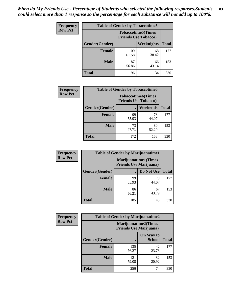| Frequency      | <b>Table of Gender by Tobaccotime5</b> |              |                                                          |              |  |
|----------------|----------------------------------------|--------------|----------------------------------------------------------|--------------|--|
| <b>Row Pct</b> |                                        |              | <b>Tobaccotime5(Times</b><br><b>Friends Use Tobacco)</b> |              |  |
|                | Gender(Gender)                         |              | Weeknights                                               | <b>Total</b> |  |
|                | <b>Female</b>                          | 109<br>61.58 | 68<br>38.42                                              | 177          |  |
|                | <b>Male</b>                            | 87<br>56.86  | 66<br>43.14                                              | 153          |  |
|                | <b>Total</b>                           | 196          | 134                                                      | 330          |  |

| Frequency      | <b>Table of Gender by Tobaccotime6</b> |                                                          |             |              |
|----------------|----------------------------------------|----------------------------------------------------------|-------------|--------------|
| <b>Row Pct</b> |                                        | <b>Tobaccotime6(Times</b><br><b>Friends Use Tobacco)</b> |             |              |
|                | Gender(Gender)                         |                                                          | Weekends    | <b>Total</b> |
|                | Female                                 | 99<br>55.93                                              | 78<br>44.07 | 177          |
|                | <b>Male</b>                            | 73<br>47.71                                              | 80<br>52.29 | 153          |
|                | <b>Total</b>                           | 172                                                      | 158         | 330          |

| <b>Frequency</b> | <b>Table of Gender by Marijuanatime1</b> |                                                               |             |              |  |
|------------------|------------------------------------------|---------------------------------------------------------------|-------------|--------------|--|
| <b>Row Pct</b>   |                                          | <b>Marijuanatime1(Times</b><br><b>Friends Use Marijuana</b> ) |             |              |  |
|                  | Gender(Gender)                           |                                                               | Do Not Use  | <b>Total</b> |  |
|                  | <b>Female</b>                            | 99<br>55.93                                                   | 78<br>44.07 | 177          |  |
|                  | <b>Male</b>                              | 86<br>56.21                                                   | 67<br>43.79 | 153          |  |
|                  | <b>Total</b>                             | 185                                                           | 145         | 330          |  |

| <b>Frequency</b> | <b>Table of Gender by Marijuanatime2</b> |                                                               |                            |              |
|------------------|------------------------------------------|---------------------------------------------------------------|----------------------------|--------------|
| <b>Row Pct</b>   |                                          | <b>Marijuanatime2(Times</b><br><b>Friends Use Marijuana</b> ) |                            |              |
|                  | Gender(Gender)                           |                                                               | On Way to<br><b>School</b> | <b>Total</b> |
|                  | Female                                   | 135<br>76.27                                                  | 42<br>23.73                | 177          |
|                  | <b>Male</b>                              | 121<br>79.08                                                  | 32<br>20.92                | 153          |
|                  | <b>Total</b>                             | 256                                                           | 74                         | 330          |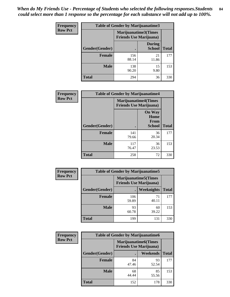*When do My Friends Use - Percentage of Students who selected the following responses.Students could select more than 1 response so the percentage for each substance will not add up to 100%.* **84**

| <b>Frequency</b> | Table of Gender by Marijuanatime3 |                                                        |                                |              |
|------------------|-----------------------------------|--------------------------------------------------------|--------------------------------|--------------|
| <b>Row Pct</b>   |                                   | Marijuanatime3(Times<br><b>Friends Use Marijuana</b> ) |                                |              |
|                  | Gender(Gender)                    |                                                        | <b>During</b><br><b>School</b> | <b>Total</b> |
|                  | <b>Female</b>                     | 156<br>88.14                                           | 21<br>11.86                    | 177          |
|                  | <b>Male</b>                       | 138<br>90.20                                           | 15<br>9.80                     | 153          |
|                  | <b>Total</b>                      | 294                                                    | 36                             | 330          |

| Frequency      | <b>Table of Gender by Marijuanatime4</b> |                                                               |                                                       |              |
|----------------|------------------------------------------|---------------------------------------------------------------|-------------------------------------------------------|--------------|
| <b>Row Pct</b> |                                          | <b>Marijuanatime4(Times</b><br><b>Friends Use Marijuana</b> ) |                                                       |              |
|                | Gender(Gender)                           |                                                               | <b>On Way</b><br>Home<br><b>From</b><br><b>School</b> | <b>Total</b> |
|                | <b>Female</b>                            | 141<br>79.66                                                  | 36<br>20.34                                           | 177          |
|                | <b>Male</b>                              | 117<br>76.47                                                  | 36<br>23.53                                           | 153          |
|                | <b>Total</b>                             | 258                                                           | 72                                                    | 330          |

| Frequency      | <b>Table of Gender by Marijuanatime5</b> |              |                                                                |              |  |
|----------------|------------------------------------------|--------------|----------------------------------------------------------------|--------------|--|
| <b>Row Pct</b> |                                          |              | <b>Marijuanatime5</b> (Times<br><b>Friends Use Marijuana</b> ) |              |  |
|                | Gender(Gender)                           |              | Weeknights                                                     | <b>Total</b> |  |
|                | <b>Female</b>                            | 106<br>59.89 | 71<br>40.11                                                    | 177          |  |
|                | <b>Male</b>                              | 93<br>60.78  | 60<br>39.22                                                    | 153          |  |
|                | <b>Total</b>                             | 199          | 131                                                            | 330          |  |

| Frequency      | <b>Table of Gender by Marijuanatime6</b> |                                                               |                 |              |  |
|----------------|------------------------------------------|---------------------------------------------------------------|-----------------|--------------|--|
| <b>Row Pct</b> |                                          | <b>Marijuanatime6(Times</b><br><b>Friends Use Marijuana</b> ) |                 |              |  |
|                | Gender(Gender)                           |                                                               | <b>Weekends</b> | <b>Total</b> |  |
|                | <b>Female</b>                            | 84<br>47.46                                                   | 93<br>52.54     | 177          |  |
|                | <b>Male</b>                              | 68<br>44.44                                                   | 85<br>55.56     | 153          |  |
|                | <b>Total</b>                             | 152                                                           | 178             | 330          |  |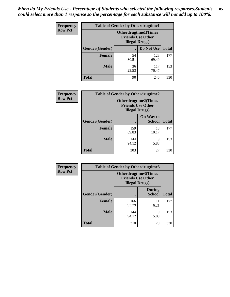*When do My Friends Use - Percentage of Students who selected the following responses.Students could select more than 1 response so the percentage for each substance will not add up to 100%.* **85**

| <b>Frequency</b> | <b>Table of Gender by Otherdrugtime1</b> |                        |                                                          |              |
|------------------|------------------------------------------|------------------------|----------------------------------------------------------|--------------|
| <b>Row Pct</b>   |                                          | <b>Illegal Drugs</b> ) | <b>Otherdrugtime1</b> (Times<br><b>Friends Use Other</b> |              |
|                  | Gender(Gender)                           |                        | Do Not Use                                               | <b>Total</b> |
|                  | <b>Female</b>                            | 54<br>30.51            | 123<br>69.49                                             | 177          |
|                  | <b>Male</b>                              | 36<br>23.53            | 117<br>76.47                                             | 153          |
|                  | <b>Total</b>                             | 90                     | 240                                                      | 330          |

| Frequency      | <b>Table of Gender by Otherdrugtime2</b> |                                                                                   |                            |              |
|----------------|------------------------------------------|-----------------------------------------------------------------------------------|----------------------------|--------------|
| <b>Row Pct</b> |                                          | <b>Otherdrugtime2(Times</b><br><b>Friends Use Other</b><br><b>Illegal Drugs</b> ) |                            |              |
|                | Gender(Gender)                           |                                                                                   | On Way to<br><b>School</b> | <b>Total</b> |
|                | <b>Female</b>                            | 159<br>89.83                                                                      | 18<br>10.17                | 177          |
|                | <b>Male</b>                              | 144<br>94.12                                                                      | 9<br>5.88                  | 153          |
|                | <b>Total</b>                             | 303                                                                               | 27                         | 330          |

| Frequency      | <b>Table of Gender by Otherdrugtime3</b> |                                                   |                                |              |
|----------------|------------------------------------------|---------------------------------------------------|--------------------------------|--------------|
| <b>Row Pct</b> |                                          | <b>Friends Use Other</b><br><b>Illegal Drugs)</b> | Otherdrugtime3(Times           |              |
|                | Gender(Gender)                           |                                                   | <b>During</b><br><b>School</b> | <b>Total</b> |
|                | <b>Female</b>                            | 166<br>93.79                                      | 11<br>6.21                     | 177          |
|                | <b>Male</b>                              | 144<br>94.12                                      | 9<br>5.88                      | 153          |
|                | <b>Total</b>                             | 310                                               | 20                             | 330          |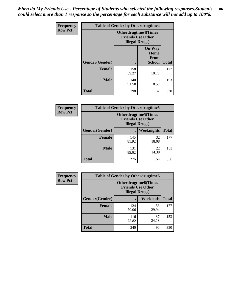*When do My Friends Use - Percentage of Students who selected the following responses.Students could select more than 1 response so the percentage for each substance will not add up to 100%.* **86**

| <b>Frequency</b> | <b>Table of Gender by Otherdrugtime4</b> |                                                    |                                                       |              |
|------------------|------------------------------------------|----------------------------------------------------|-------------------------------------------------------|--------------|
| <b>Row Pct</b>   |                                          | <b>Friends Use Other</b><br><b>Illegal Drugs</b> ) | <b>Otherdrugtime4(Times</b>                           |              |
|                  | <b>Gender</b> (Gender)                   |                                                    | <b>On Way</b><br>Home<br><b>From</b><br><b>School</b> | <b>Total</b> |
|                  | <b>Female</b>                            | 158<br>89.27                                       | 19<br>10.73                                           | 177          |
|                  | <b>Male</b>                              | 140<br>91.50                                       | 13<br>8.50                                            | 153          |
|                  | Total                                    | 298                                                | 32                                                    | 330          |

| Frequency      | <b>Table of Gender by Otherdrugtime5</b> |                                                                                    |             |              |
|----------------|------------------------------------------|------------------------------------------------------------------------------------|-------------|--------------|
| <b>Row Pct</b> |                                          | <b>Otherdrugtime5</b> (Times<br><b>Friends Use Other</b><br><b>Illegal Drugs</b> ) |             |              |
|                | Gender(Gender)                           |                                                                                    | Weeknights  | <b>Total</b> |
|                | <b>Female</b>                            | 145<br>81.92                                                                       | 32<br>18.08 | 177          |
|                | <b>Male</b>                              | 131<br>85.62                                                                       | 22<br>14.38 | 153          |
|                | <b>Total</b>                             | 276                                                                                | 54          | 330          |

| <b>Frequency</b> | <b>Table of Gender by Otherdrugtime6</b> |                                                                                   |             |              |
|------------------|------------------------------------------|-----------------------------------------------------------------------------------|-------------|--------------|
| <b>Row Pct</b>   |                                          | <b>Otherdrugtime6(Times</b><br><b>Friends Use Other</b><br><b>Illegal Drugs</b> ) |             |              |
|                  | Gender(Gender)                           |                                                                                   | Weekends    | <b>Total</b> |
|                  | Female                                   | 124<br>70.06                                                                      | 53<br>29.94 | 177          |
|                  | <b>Male</b>                              | 116<br>75.82                                                                      | 37<br>24.18 | 153          |
|                  | <b>Total</b>                             | 240                                                                               | 90          | 330          |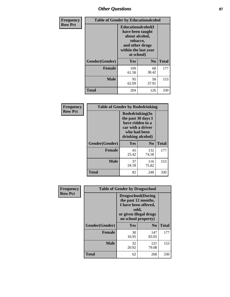# *Other Questions* **87**

| <b>Frequency</b> | <b>Table of Gender by Educationalcohol</b> |                                                                                                                                       |                |              |  |
|------------------|--------------------------------------------|---------------------------------------------------------------------------------------------------------------------------------------|----------------|--------------|--|
| <b>Row Pct</b>   |                                            | <b>Educationalcohol</b> (I<br>have been taught<br>about alcohol,<br>tobacco,<br>and other drugs<br>within the last year<br>at school) |                |              |  |
|                  | Gender(Gender)                             | <b>Yes</b>                                                                                                                            | N <sub>0</sub> | <b>Total</b> |  |
|                  | <b>Female</b>                              | 109<br>61.58                                                                                                                          | 68<br>38.42    | 177          |  |
|                  | <b>Male</b>                                | 95<br>62.09                                                                                                                           | 58<br>37.91    | 153          |  |
|                  | <b>Total</b>                               | 204                                                                                                                                   | 126            | 330          |  |

| Frequency      | <b>Table of Gender by Rodedrinking</b> |                                                                                                                     |                |              |  |
|----------------|----------------------------------------|---------------------------------------------------------------------------------------------------------------------|----------------|--------------|--|
| <b>Row Pct</b> |                                        | Rodedrinking(In<br>the past 30 days I<br>have ridden in a<br>car with a driver<br>who had been<br>drinking alcohol) |                |              |  |
|                | Gender(Gender)                         | Yes                                                                                                                 | N <sub>0</sub> | <b>Total</b> |  |
|                | <b>Female</b>                          | 45<br>25.42                                                                                                         | 132<br>74.58   | 177          |  |
|                | <b>Male</b>                            | 37<br>24.18                                                                                                         | 116<br>75.82   | 153          |  |
|                | <b>Total</b>                           | 82                                                                                                                  | 248            | 330          |  |

| Frequency      | <b>Table of Gender by Drugsschool</b> |                                                                                                                                     |                |              |  |
|----------------|---------------------------------------|-------------------------------------------------------------------------------------------------------------------------------------|----------------|--------------|--|
| <b>Row Pct</b> |                                       | <b>Drugsschool</b> (During<br>the past 12 months,<br>I have been offered,<br>sold,<br>or given illegal drugs<br>on school property) |                |              |  |
|                | Gender(Gender)                        | Yes                                                                                                                                 | N <sub>0</sub> | <b>Total</b> |  |
|                | <b>Female</b>                         | 30<br>16.95                                                                                                                         | 147<br>83.05   | 177          |  |
|                | <b>Male</b>                           | 32<br>20.92                                                                                                                         | 121<br>79.08   | 153          |  |
|                | <b>Total</b>                          | 62                                                                                                                                  | 268            | 330          |  |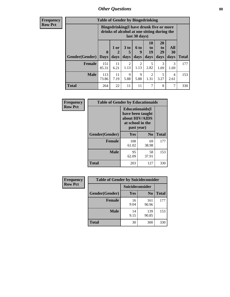## *Other Questions* **88**

**Frequency Row Pct**

| <b>Table of Gender by Bingedrinking</b> |                                                                                                         |                |                   |                   |                        |                               |                   |              |
|-----------------------------------------|---------------------------------------------------------------------------------------------------------|----------------|-------------------|-------------------|------------------------|-------------------------------|-------------------|--------------|
|                                         | Bingedrinking(I have drunk five or more<br>drinks of alcohol at one sitting during the<br>last 30 days) |                |                   |                   |                        |                               |                   |              |
| <b>Gender</b> (Gender)                  | $\bf{0}$<br><b>Days</b>                                                                                 | $1$ or<br>days | 3 to<br>5<br>days | 6 to<br>9<br>days | 10<br>to<br>19<br>days | <b>20</b><br>to<br>29<br>days | All<br>30<br>days | <b>Total</b> |
|                                         |                                                                                                         |                |                   |                   |                        |                               |                   |              |
| <b>Female</b>                           | 151<br>85.31                                                                                            | 11<br>6.21     | 2<br>1.13         | 2<br>1.13         | 5<br>2.82              | 3<br>1.69                     | 3<br>1.69         | 177          |
| <b>Male</b>                             | 113<br>73.86                                                                                            | 11<br>7.19     | 9<br>5.88         | 9<br>5.88         | $\mathfrak{D}$<br>1.31 | 5<br>3.27                     | 4<br>2.61         | 153          |

| Frequency      | <b>Table of Gender by Educationaids</b> |                                                                                                 |                |              |  |
|----------------|-----------------------------------------|-------------------------------------------------------------------------------------------------|----------------|--------------|--|
| <b>Row Pct</b> |                                         | <b>Educationaids</b> (I<br>have been taught<br>about HIV/AIDS<br>at school in the<br>past year) |                |              |  |
|                | Gender(Gender)                          | Yes                                                                                             | N <sub>0</sub> | <b>Total</b> |  |
|                | <b>Female</b>                           | 108<br>61.02                                                                                    | 69<br>38.98    | 177          |  |
|                | <b>Male</b>                             | 95<br>62.09                                                                                     | 58<br>37.91    | 153          |  |
|                | <b>Total</b>                            | 203                                                                                             | 127            | 330          |  |

| <b>Frequency</b> | <b>Table of Gender by Suicideconsider</b> |                 |                |       |  |
|------------------|-------------------------------------------|-----------------|----------------|-------|--|
| <b>Row Pct</b>   |                                           | Suicideconsider |                |       |  |
|                  | Gender(Gender)                            | Yes             | N <sub>0</sub> | Total |  |
|                  | <b>Female</b>                             | 16<br>9.04      | 161<br>90.96   | 177   |  |
|                  | <b>Male</b>                               | 14<br>9.15      | 139<br>90.85   | 153   |  |
|                  | <b>Total</b>                              | 30              | 300            | 330   |  |